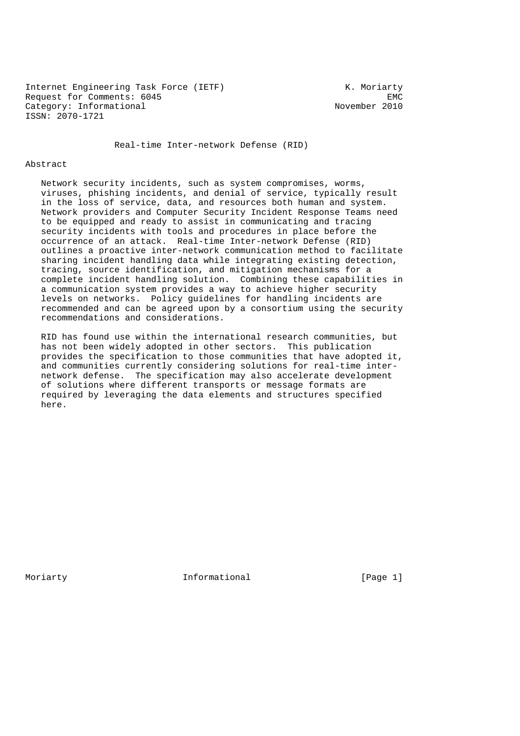Internet Engineering Task Force (IETF) The Muslim Constants and Muslim Constants and Muslim Constants and Muslim Constants and Muslim Constants and Muslim Constants and Muslim Constants and Muslim Constants and Muslim Cons Request for Comments: 6045<br>Category: Informational example and the November 2010 Category: Informational ISSN: 2070-1721

Real-time Inter-network Defense (RID)

### Abstract

 Network security incidents, such as system compromises, worms, viruses, phishing incidents, and denial of service, typically result in the loss of service, data, and resources both human and system. Network providers and Computer Security Incident Response Teams need to be equipped and ready to assist in communicating and tracing security incidents with tools and procedures in place before the occurrence of an attack. Real-time Inter-network Defense (RID) outlines a proactive inter-network communication method to facilitate sharing incident handling data while integrating existing detection, tracing, source identification, and mitigation mechanisms for a complete incident handling solution. Combining these capabilities in a communication system provides a way to achieve higher security levels on networks. Policy guidelines for handling incidents are recommended and can be agreed upon by a consortium using the security recommendations and considerations.

 RID has found use within the international research communities, but has not been widely adopted in other sectors. This publication provides the specification to those communities that have adopted it, and communities currently considering solutions for real-time inter network defense. The specification may also accelerate development of solutions where different transports or message formats are required by leveraging the data elements and structures specified here.

Moriarty **Informational** [Page 1]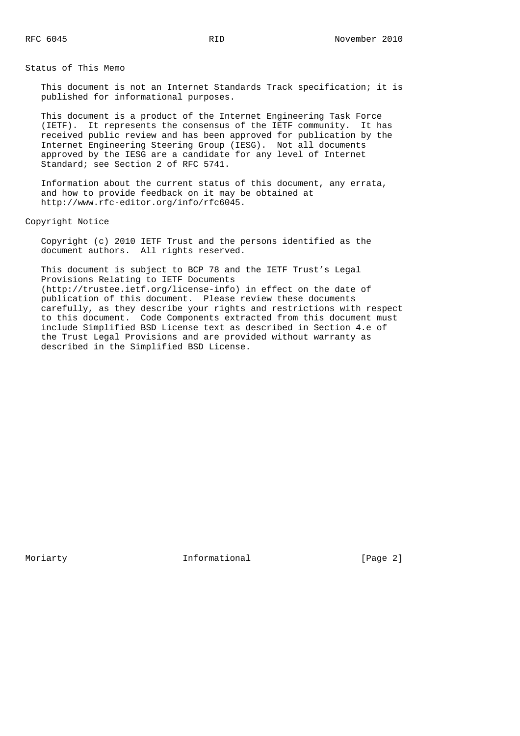Status of This Memo

 This document is not an Internet Standards Track specification; it is published for informational purposes.

 This document is a product of the Internet Engineering Task Force (IETF). It represents the consensus of the IETF community. It has received public review and has been approved for publication by the Internet Engineering Steering Group (IESG). Not all documents approved by the IESG are a candidate for any level of Internet Standard; see Section 2 of RFC 5741.

 Information about the current status of this document, any errata, and how to provide feedback on it may be obtained at http://www.rfc-editor.org/info/rfc6045.

Copyright Notice

 Copyright (c) 2010 IETF Trust and the persons identified as the document authors. All rights reserved.

 This document is subject to BCP 78 and the IETF Trust's Legal Provisions Relating to IETF Documents (http://trustee.ietf.org/license-info) in effect on the date of publication of this document. Please review these documents carefully, as they describe your rights and restrictions with respect to this document. Code Components extracted from this document must include Simplified BSD License text as described in Section 4.e of the Trust Legal Provisions and are provided without warranty as described in the Simplified BSD License.

Moriarty **Informational Informational** [Page 2]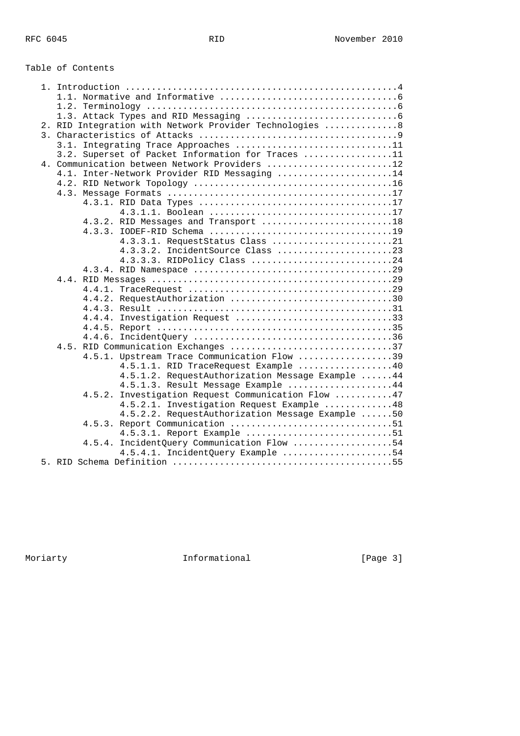# Table of Contents

| 2. RID Integration with Network Provider Technologies  8 |
|----------------------------------------------------------|
|                                                          |
| 3.1. Integrating Trace Approaches 11                     |
| 3.2. Superset of Packet Information for Traces 11        |
| 4. Communication between Network Providers 12            |
| 4.1. Inter-Network Provider RID Messaging 14             |
|                                                          |
|                                                          |
|                                                          |
| 4.3.1.1. Boolean 17                                      |
| 4.3.2. RID Messages and Transport 18                     |
|                                                          |
| 4.3.3.1. RequestStatus Class 21                          |
| 4.3.3.2. IncidentSource Class 23                         |
| 4.3.3.3. RIDPolicy Class 24                              |
|                                                          |
|                                                          |
| 4.4.2. RequestAuthorization 30                           |
|                                                          |
| 4.4.4. Investigation Request 33                          |
|                                                          |
|                                                          |
| 4.5. RID Communication Exchanges 37                      |
| 4.5.1. Upstream Trace Communication Flow 39              |
| 4.5.1.1. RID TraceRequest Example 40                     |
| 4.5.1.2. RequestAuthorization Message Example  44        |
| 4.5.1.3. Result Message Example 44                       |
| 4.5.2. Investigation Request Communication Flow 47       |
| 4.5.2.1. Investigation Request Example 48                |
| 4.5.2.2. RequestAuthorization Message Example 50         |
| 4.5.3. Report Communication 51                           |
| 4.5.3.1. Report Example 51                               |
| 4.5.4. IncidentQuery Communication Flow 54               |
| 4.5.4.1. IncidentQuery Example 54                        |
|                                                          |

Moriarty **Informational Informational** [Page 3]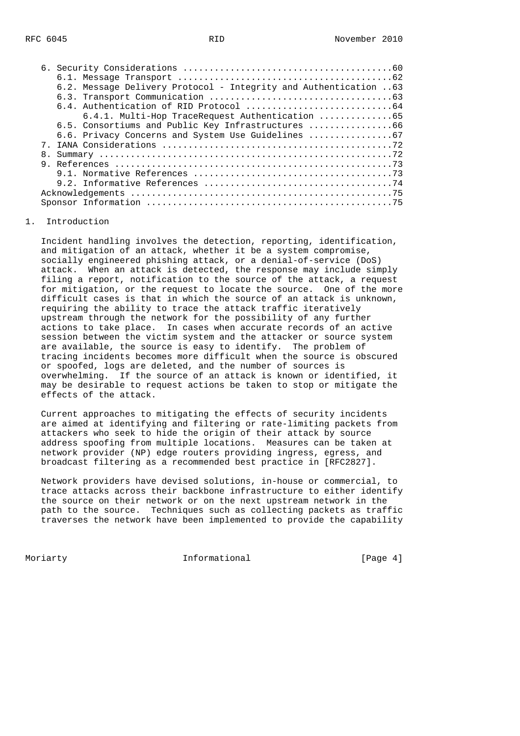|    | 6.2. Message Delivery Protocol - Integrity and Authentication 63 |
|----|------------------------------------------------------------------|
|    |                                                                  |
|    |                                                                  |
|    | 6.4.1. Multi-Hop TraceRequest Authentication 65                  |
|    | 6.5. Consortiums and Public Key Infrastructures 66               |
|    | 6.6. Privacy Concerns and System Use Guidelines                  |
|    |                                                                  |
| 8. |                                                                  |
|    |                                                                  |
|    |                                                                  |
|    |                                                                  |
|    |                                                                  |
|    |                                                                  |

#### 1. Introduction

 Incident handling involves the detection, reporting, identification, and mitigation of an attack, whether it be a system compromise, socially engineered phishing attack, or a denial-of-service (DoS) attack. When an attack is detected, the response may include simply filing a report, notification to the source of the attack, a request for mitigation, or the request to locate the source. One of the more difficult cases is that in which the source of an attack is unknown, requiring the ability to trace the attack traffic iteratively upstream through the network for the possibility of any further actions to take place. In cases when accurate records of an active session between the victim system and the attacker or source system are available, the source is easy to identify. The problem of tracing incidents becomes more difficult when the source is obscured or spoofed, logs are deleted, and the number of sources is overwhelming. If the source of an attack is known or identified, it may be desirable to request actions be taken to stop or mitigate the effects of the attack.

 Current approaches to mitigating the effects of security incidents are aimed at identifying and filtering or rate-limiting packets from attackers who seek to hide the origin of their attack by source address spoofing from multiple locations. Measures can be taken at network provider (NP) edge routers providing ingress, egress, and broadcast filtering as a recommended best practice in [RFC2827].

 Network providers have devised solutions, in-house or commercial, to trace attacks across their backbone infrastructure to either identify the source on their network or on the next upstream network in the path to the source. Techniques such as collecting packets as traffic traverses the network have been implemented to provide the capability

Moriarty **Informational Informational** [Page 4]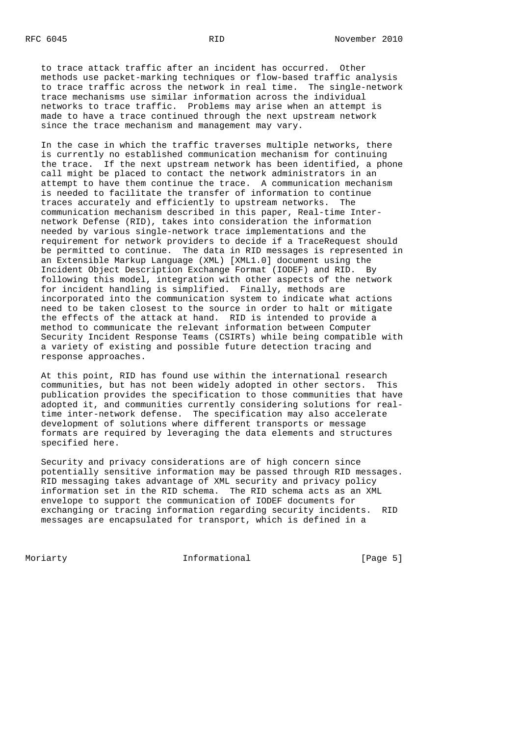to trace attack traffic after an incident has occurred. Other methods use packet-marking techniques or flow-based traffic analysis to trace traffic across the network in real time. The single-network trace mechanisms use similar information across the individual networks to trace traffic. Problems may arise when an attempt is made to have a trace continued through the next upstream network since the trace mechanism and management may vary.

 In the case in which the traffic traverses multiple networks, there is currently no established communication mechanism for continuing the trace. If the next upstream network has been identified, a phone call might be placed to contact the network administrators in an attempt to have them continue the trace. A communication mechanism is needed to facilitate the transfer of information to continue traces accurately and efficiently to upstream networks. The communication mechanism described in this paper, Real-time Inter network Defense (RID), takes into consideration the information needed by various single-network trace implementations and the requirement for network providers to decide if a TraceRequest should be permitted to continue. The data in RID messages is represented in an Extensible Markup Language (XML) [XML1.0] document using the Incident Object Description Exchange Format (IODEF) and RID. By following this model, integration with other aspects of the network for incident handling is simplified. Finally, methods are incorporated into the communication system to indicate what actions need to be taken closest to the source in order to halt or mitigate the effects of the attack at hand. RID is intended to provide a method to communicate the relevant information between Computer Security Incident Response Teams (CSIRTs) while being compatible with a variety of existing and possible future detection tracing and response approaches.

 At this point, RID has found use within the international research communities, but has not been widely adopted in other sectors. This publication provides the specification to those communities that have adopted it, and communities currently considering solutions for real time inter-network defense. The specification may also accelerate development of solutions where different transports or message formats are required by leveraging the data elements and structures specified here.

 Security and privacy considerations are of high concern since potentially sensitive information may be passed through RID messages. RID messaging takes advantage of XML security and privacy policy information set in the RID schema. The RID schema acts as an XML envelope to support the communication of IODEF documents for exchanging or tracing information regarding security incidents. RID messages are encapsulated for transport, which is defined in a

Moriarty **Informational Informational** [Page 5]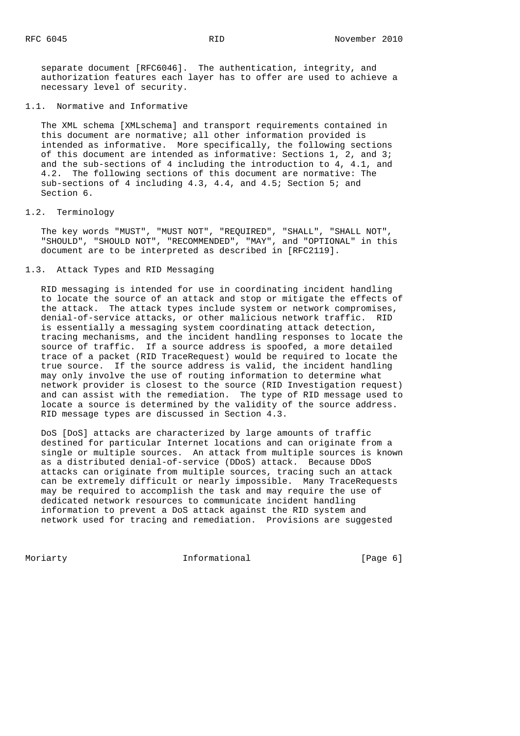separate document [RFC6046]. The authentication, integrity, and authorization features each layer has to offer are used to achieve a necessary level of security.

### 1.1. Normative and Informative

 The XML schema [XMLschema] and transport requirements contained in this document are normative; all other information provided is intended as informative. More specifically, the following sections of this document are intended as informative: Sections 1, 2, and 3; and the sub-sections of 4 including the introduction to 4, 4.1, and 4.2. The following sections of this document are normative: The sub-sections of 4 including 4.3, 4.4, and 4.5; Section 5; and Section 6.

## 1.2. Terminology

 The key words "MUST", "MUST NOT", "REQUIRED", "SHALL", "SHALL NOT", "SHOULD", "SHOULD NOT", "RECOMMENDED", "MAY", and "OPTIONAL" in this document are to be interpreted as described in [RFC2119].

1.3. Attack Types and RID Messaging

 RID messaging is intended for use in coordinating incident handling to locate the source of an attack and stop or mitigate the effects of the attack. The attack types include system or network compromises, denial-of-service attacks, or other malicious network traffic. RID is essentially a messaging system coordinating attack detection, tracing mechanisms, and the incident handling responses to locate the source of traffic. If a source address is spoofed, a more detailed trace of a packet (RID TraceRequest) would be required to locate the true source. If the source address is valid, the incident handling may only involve the use of routing information to determine what network provider is closest to the source (RID Investigation request) and can assist with the remediation. The type of RID message used to locate a source is determined by the validity of the source address. RID message types are discussed in Section 4.3.

 DoS [DoS] attacks are characterized by large amounts of traffic destined for particular Internet locations and can originate from a single or multiple sources. An attack from multiple sources is known as a distributed denial-of-service (DDoS) attack. Because DDoS attacks can originate from multiple sources, tracing such an attack can be extremely difficult or nearly impossible. Many TraceRequests may be required to accomplish the task and may require the use of dedicated network resources to communicate incident handling information to prevent a DoS attack against the RID system and network used for tracing and remediation. Provisions are suggested

Moriarty **Informational Informational** [Page 6]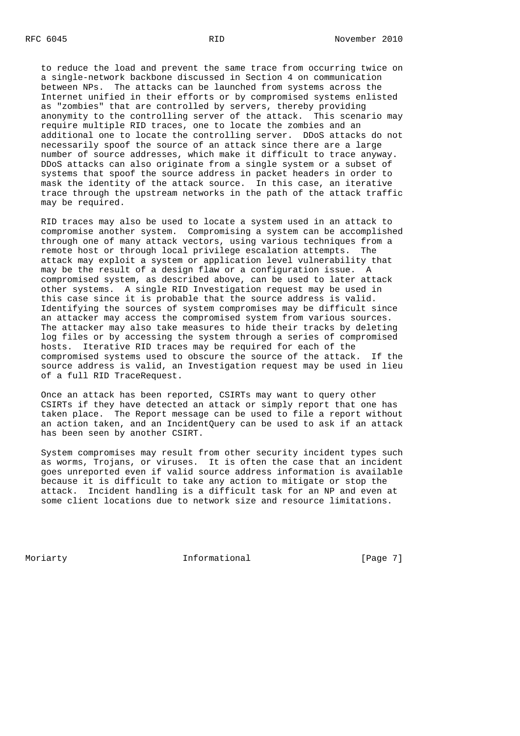to reduce the load and prevent the same trace from occurring twice on a single-network backbone discussed in Section 4 on communication between NPs. The attacks can be launched from systems across the Internet unified in their efforts or by compromised systems enlisted as "zombies" that are controlled by servers, thereby providing anonymity to the controlling server of the attack. This scenario may require multiple RID traces, one to locate the zombies and an additional one to locate the controlling server. DDoS attacks do not necessarily spoof the source of an attack since there are a large number of source addresses, which make it difficult to trace anyway. DDoS attacks can also originate from a single system or a subset of systems that spoof the source address in packet headers in order to mask the identity of the attack source. In this case, an iterative trace through the upstream networks in the path of the attack traffic may be required.

 RID traces may also be used to locate a system used in an attack to compromise another system. Compromising a system can be accomplished through one of many attack vectors, using various techniques from a remote host or through local privilege escalation attempts. The attack may exploit a system or application level vulnerability that may be the result of a design flaw or a configuration issue. A compromised system, as described above, can be used to later attack other systems. A single RID Investigation request may be used in this case since it is probable that the source address is valid. Identifying the sources of system compromises may be difficult since an attacker may access the compromised system from various sources. The attacker may also take measures to hide their tracks by deleting log files or by accessing the system through a series of compromised hosts. Iterative RID traces may be required for each of the compromised systems used to obscure the source of the attack. If the source address is valid, an Investigation request may be used in lieu of a full RID TraceRequest.

 Once an attack has been reported, CSIRTs may want to query other CSIRTs if they have detected an attack or simply report that one has taken place. The Report message can be used to file a report without an action taken, and an IncidentQuery can be used to ask if an attack has been seen by another CSIRT.

 System compromises may result from other security incident types such as worms, Trojans, or viruses. It is often the case that an incident goes unreported even if valid source address information is available because it is difficult to take any action to mitigate or stop the attack. Incident handling is a difficult task for an NP and even at some client locations due to network size and resource limitations.

Moriarty **Informational Informational** [Page 7]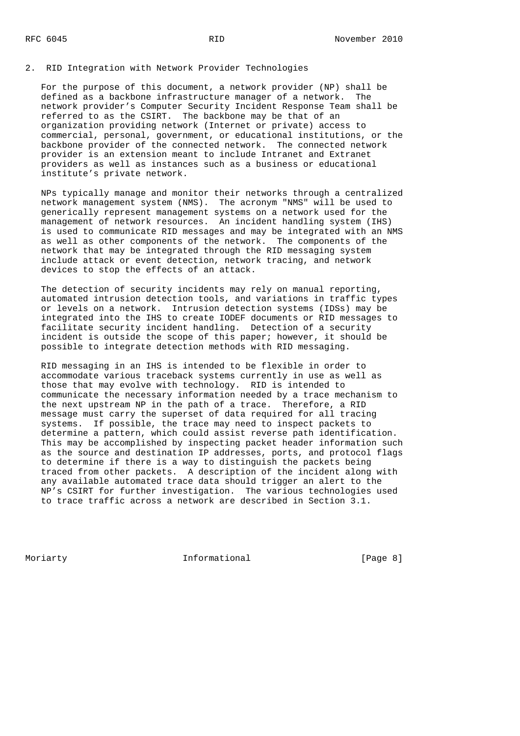## 2. RID Integration with Network Provider Technologies

 For the purpose of this document, a network provider (NP) shall be defined as a backbone infrastructure manager of a network. The network provider's Computer Security Incident Response Team shall be referred to as the CSIRT. The backbone may be that of an organization providing network (Internet or private) access to commercial, personal, government, or educational institutions, or the backbone provider of the connected network. The connected network provider is an extension meant to include Intranet and Extranet providers as well as instances such as a business or educational institute's private network.

 NPs typically manage and monitor their networks through a centralized network management system (NMS). The acronym "NMS" will be used to generically represent management systems on a network used for the management of network resources. An incident handling system (IHS) is used to communicate RID messages and may be integrated with an NMS as well as other components of the network. The components of the network that may be integrated through the RID messaging system include attack or event detection, network tracing, and network devices to stop the effects of an attack.

 The detection of security incidents may rely on manual reporting, automated intrusion detection tools, and variations in traffic types or levels on a network. Intrusion detection systems (IDSs) may be integrated into the IHS to create IODEF documents or RID messages to facilitate security incident handling. Detection of a security incident is outside the scope of this paper; however, it should be possible to integrate detection methods with RID messaging.

 RID messaging in an IHS is intended to be flexible in order to accommodate various traceback systems currently in use as well as those that may evolve with technology. RID is intended to communicate the necessary information needed by a trace mechanism to the next upstream NP in the path of a trace. Therefore, a RID message must carry the superset of data required for all tracing systems. If possible, the trace may need to inspect packets to determine a pattern, which could assist reverse path identification. This may be accomplished by inspecting packet header information such as the source and destination IP addresses, ports, and protocol flags to determine if there is a way to distinguish the packets being traced from other packets. A description of the incident along with any available automated trace data should trigger an alert to the NP's CSIRT for further investigation. The various technologies used to trace traffic across a network are described in Section 3.1.

Moriarty **Informational Informational** [Page 8]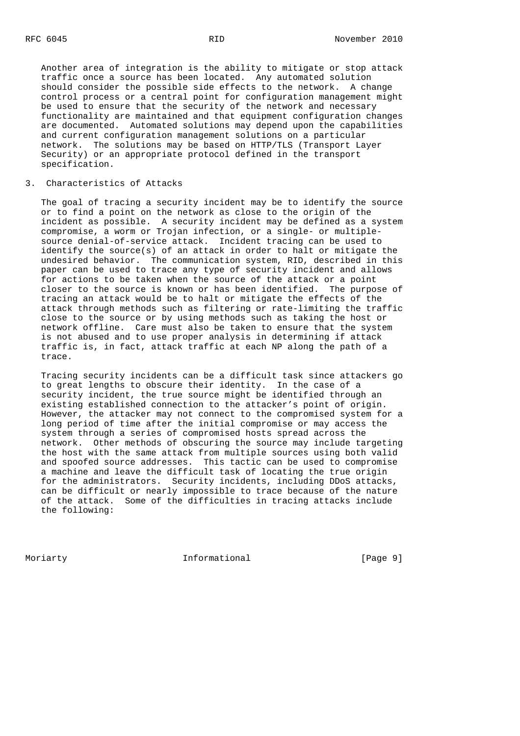Another area of integration is the ability to mitigate or stop attack traffic once a source has been located. Any automated solution should consider the possible side effects to the network. A change control process or a central point for configuration management might be used to ensure that the security of the network and necessary functionality are maintained and that equipment configuration changes are documented. Automated solutions may depend upon the capabilities and current configuration management solutions on a particular network. The solutions may be based on HTTP/TLS (Transport Layer Security) or an appropriate protocol defined in the transport specification.

### 3. Characteristics of Attacks

 The goal of tracing a security incident may be to identify the source or to find a point on the network as close to the origin of the incident as possible. A security incident may be defined as a system compromise, a worm or Trojan infection, or a single- or multiple source denial-of-service attack. Incident tracing can be used to identify the source(s) of an attack in order to halt or mitigate the undesired behavior. The communication system, RID, described in this paper can be used to trace any type of security incident and allows for actions to be taken when the source of the attack or a point closer to the source is known or has been identified. The purpose of tracing an attack would be to halt or mitigate the effects of the attack through methods such as filtering or rate-limiting the traffic close to the source or by using methods such as taking the host or network offline. Care must also be taken to ensure that the system is not abused and to use proper analysis in determining if attack traffic is, in fact, attack traffic at each NP along the path of a trace.

 Tracing security incidents can be a difficult task since attackers go to great lengths to obscure their identity. In the case of a security incident, the true source might be identified through an existing established connection to the attacker's point of origin. However, the attacker may not connect to the compromised system for a long period of time after the initial compromise or may access the system through a series of compromised hosts spread across the network. Other methods of obscuring the source may include targeting the host with the same attack from multiple sources using both valid and spoofed source addresses. This tactic can be used to compromise a machine and leave the difficult task of locating the true origin for the administrators. Security incidents, including DDoS attacks, can be difficult or nearly impossible to trace because of the nature of the attack. Some of the difficulties in tracing attacks include the following:

Moriarty **Informational Informational** [Page 9]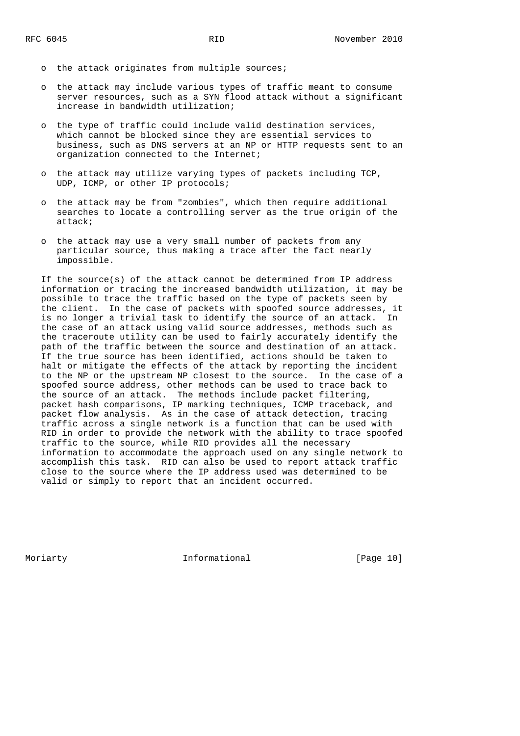- o the attack originates from multiple sources;
- o the attack may include various types of traffic meant to consume server resources, such as a SYN flood attack without a significant increase in bandwidth utilization;
- o the type of traffic could include valid destination services, which cannot be blocked since they are essential services to business, such as DNS servers at an NP or HTTP requests sent to an organization connected to the Internet;
- o the attack may utilize varying types of packets including TCP, UDP, ICMP, or other IP protocols;
- o the attack may be from "zombies", which then require additional searches to locate a controlling server as the true origin of the attack;
- o the attack may use a very small number of packets from any particular source, thus making a trace after the fact nearly impossible.

 If the source(s) of the attack cannot be determined from IP address information or tracing the increased bandwidth utilization, it may be possible to trace the traffic based on the type of packets seen by the client. In the case of packets with spoofed source addresses, it is no longer a trivial task to identify the source of an attack. In the case of an attack using valid source addresses, methods such as the traceroute utility can be used to fairly accurately identify the path of the traffic between the source and destination of an attack. If the true source has been identified, actions should be taken to halt or mitigate the effects of the attack by reporting the incident to the NP or the upstream NP closest to the source. In the case of a spoofed source address, other methods can be used to trace back to the source of an attack. The methods include packet filtering, packet hash comparisons, IP marking techniques, ICMP traceback, and packet flow analysis. As in the case of attack detection, tracing traffic across a single network is a function that can be used with RID in order to provide the network with the ability to trace spoofed traffic to the source, while RID provides all the necessary information to accommodate the approach used on any single network to accomplish this task. RID can also be used to report attack traffic close to the source where the IP address used was determined to be valid or simply to report that an incident occurred.

Moriarty **Informational** [Page 10]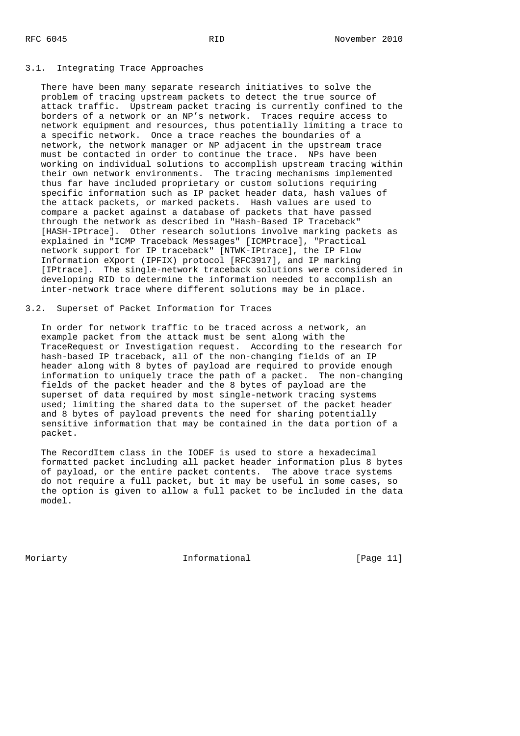### 3.1. Integrating Trace Approaches

 There have been many separate research initiatives to solve the problem of tracing upstream packets to detect the true source of attack traffic. Upstream packet tracing is currently confined to the borders of a network or an NP's network. Traces require access to network equipment and resources, thus potentially limiting a trace to a specific network. Once a trace reaches the boundaries of a network, the network manager or NP adjacent in the upstream trace must be contacted in order to continue the trace. NPs have been working on individual solutions to accomplish upstream tracing within their own network environments. The tracing mechanisms implemented thus far have included proprietary or custom solutions requiring specific information such as IP packet header data, hash values of the attack packets, or marked packets. Hash values are used to compare a packet against a database of packets that have passed through the network as described in "Hash-Based IP Traceback" [HASH-IPtrace]. Other research solutions involve marking packets as explained in "ICMP Traceback Messages" [ICMPtrace], "Practical network support for IP traceback" [NTWK-IPtrace], the IP Flow Information eXport (IPFIX) protocol [RFC3917], and IP marking [IPtrace]. The single-network traceback solutions were considered in developing RID to determine the information needed to accomplish an inter-network trace where different solutions may be in place.

## 3.2. Superset of Packet Information for Traces

 In order for network traffic to be traced across a network, an example packet from the attack must be sent along with the TraceRequest or Investigation request. According to the research for hash-based IP traceback, all of the non-changing fields of an IP header along with 8 bytes of payload are required to provide enough information to uniquely trace the path of a packet. The non-changing fields of the packet header and the 8 bytes of payload are the superset of data required by most single-network tracing systems used; limiting the shared data to the superset of the packet header and 8 bytes of payload prevents the need for sharing potentially sensitive information that may be contained in the data portion of a packet.

 The RecordItem class in the IODEF is used to store a hexadecimal formatted packet including all packet header information plus 8 bytes of payload, or the entire packet contents. The above trace systems do not require a full packet, but it may be useful in some cases, so the option is given to allow a full packet to be included in the data model.

Moriarty **Informational** [Page 11]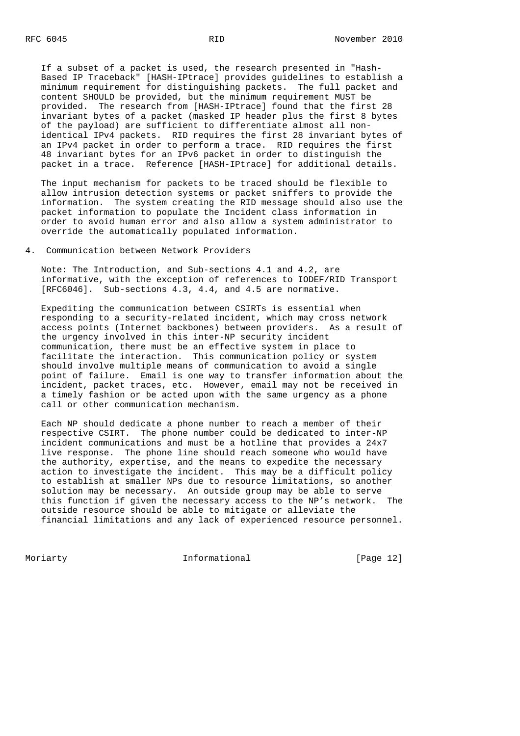If a subset of a packet is used, the research presented in "Hash- Based IP Traceback" [HASH-IPtrace] provides guidelines to establish a minimum requirement for distinguishing packets. The full packet and content SHOULD be provided, but the minimum requirement MUST be provided. The research from [HASH-IPtrace] found that the first 28 invariant bytes of a packet (masked IP header plus the first 8 bytes of the payload) are sufficient to differentiate almost all non identical IPv4 packets. RID requires the first 28 invariant bytes of an IPv4 packet in order to perform a trace. RID requires the first 48 invariant bytes for an IPv6 packet in order to distinguish the packet in a trace. Reference [HASH-IPtrace] for additional details.

 The input mechanism for packets to be traced should be flexible to allow intrusion detection systems or packet sniffers to provide the information. The system creating the RID message should also use the packet information to populate the Incident class information in order to avoid human error and also allow a system administrator to override the automatically populated information.

## 4. Communication between Network Providers

 Note: The Introduction, and Sub-sections 4.1 and 4.2, are informative, with the exception of references to IODEF/RID Transport [RFC6046]. Sub-sections 4.3, 4.4, and 4.5 are normative.

 Expediting the communication between CSIRTs is essential when responding to a security-related incident, which may cross network access points (Internet backbones) between providers. As a result of the urgency involved in this inter-NP security incident communication, there must be an effective system in place to facilitate the interaction. This communication policy or system should involve multiple means of communication to avoid a single point of failure. Email is one way to transfer information about the incident, packet traces, etc. However, email may not be received in a timely fashion or be acted upon with the same urgency as a phone call or other communication mechanism.

 Each NP should dedicate a phone number to reach a member of their respective CSIRT. The phone number could be dedicated to inter-NP incident communications and must be a hotline that provides a 24x7 live response. The phone line should reach someone who would have the authority, expertise, and the means to expedite the necessary action to investigate the incident. This may be a difficult policy to establish at smaller NPs due to resource limitations, so another solution may be necessary. An outside group may be able to serve this function if given the necessary access to the NP's network. The outside resource should be able to mitigate or alleviate the financial limitations and any lack of experienced resource personnel.

Moriarty **Informational** [Page 12]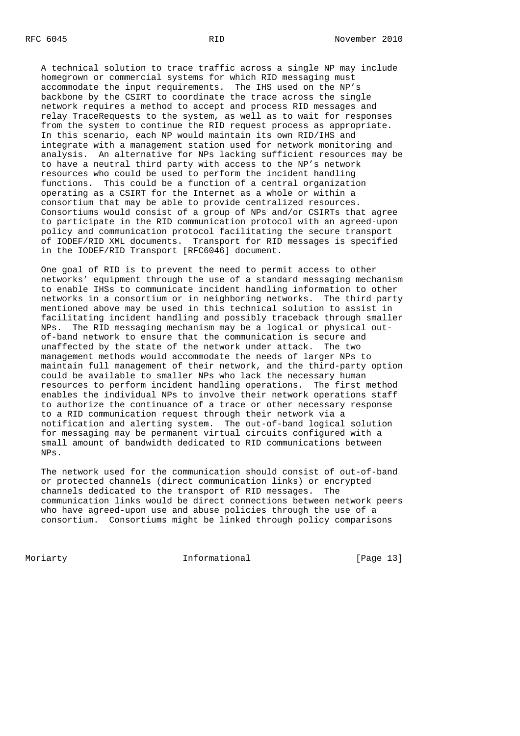A technical solution to trace traffic across a single NP may include homegrown or commercial systems for which RID messaging must accommodate the input requirements. The IHS used on the NP's backbone by the CSIRT to coordinate the trace across the single network requires a method to accept and process RID messages and relay TraceRequests to the system, as well as to wait for responses from the system to continue the RID request process as appropriate. In this scenario, each NP would maintain its own RID/IHS and integrate with a management station used for network monitoring and analysis. An alternative for NPs lacking sufficient resources may be to have a neutral third party with access to the NP's network resources who could be used to perform the incident handling functions. This could be a function of a central organization operating as a CSIRT for the Internet as a whole or within a consortium that may be able to provide centralized resources. Consortiums would consist of a group of NPs and/or CSIRTs that agree to participate in the RID communication protocol with an agreed-upon policy and communication protocol facilitating the secure transport of IODEF/RID XML documents. Transport for RID messages is specified in the IODEF/RID Transport [RFC6046] document.

 One goal of RID is to prevent the need to permit access to other networks' equipment through the use of a standard messaging mechanism to enable IHSs to communicate incident handling information to other networks in a consortium or in neighboring networks. The third party mentioned above may be used in this technical solution to assist in facilitating incident handling and possibly traceback through smaller NPs. The RID messaging mechanism may be a logical or physical out of-band network to ensure that the communication is secure and unaffected by the state of the network under attack. The two management methods would accommodate the needs of larger NPs to maintain full management of their network, and the third-party option could be available to smaller NPs who lack the necessary human resources to perform incident handling operations. The first method enables the individual NPs to involve their network operations staff to authorize the continuance of a trace or other necessary response to a RID communication request through their network via a notification and alerting system. The out-of-band logical solution for messaging may be permanent virtual circuits configured with a small amount of bandwidth dedicated to RID communications between NPs.

 The network used for the communication should consist of out-of-band or protected channels (direct communication links) or encrypted channels dedicated to the transport of RID messages. The communication links would be direct connections between network peers who have agreed-upon use and abuse policies through the use of a consortium. Consortiums might be linked through policy comparisons

Moriarty **Informational** [Page 13]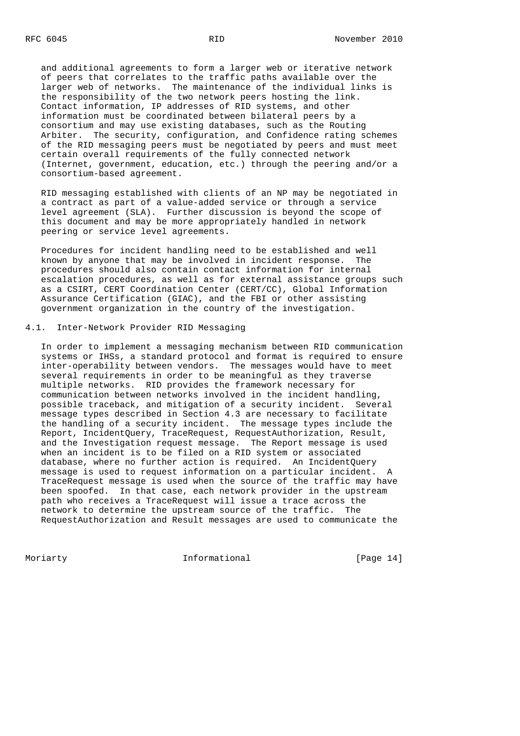and additional agreements to form a larger web or iterative network of peers that correlates to the traffic paths available over the larger web of networks. The maintenance of the individual links is the responsibility of the two network peers hosting the link. Contact information, IP addresses of RID systems, and other information must be coordinated between bilateral peers by a consortium and may use existing databases, such as the Routing Arbiter. The security, configuration, and Confidence rating schemes of the RID messaging peers must be negotiated by peers and must meet certain overall requirements of the fully connected network (Internet, government, education, etc.) through the peering and/or a consortium-based agreement.

 RID messaging established with clients of an NP may be negotiated in a contract as part of a value-added service or through a service level agreement (SLA). Further discussion is beyond the scope of this document and may be more appropriately handled in network peering or service level agreements.

 Procedures for incident handling need to be established and well known by anyone that may be involved in incident response. The procedures should also contain contact information for internal escalation procedures, as well as for external assistance groups such as a CSIRT, CERT Coordination Center (CERT/CC), Global Information Assurance Certification (GIAC), and the FBI or other assisting government organization in the country of the investigation.

### 4.1. Inter-Network Provider RID Messaging

 In order to implement a messaging mechanism between RID communication systems or IHSs, a standard protocol and format is required to ensure inter-operability between vendors. The messages would have to meet several requirements in order to be meaningful as they traverse multiple networks. RID provides the framework necessary for communication between networks involved in the incident handling, possible traceback, and mitigation of a security incident. Several message types described in Section 4.3 are necessary to facilitate the handling of a security incident. The message types include the Report, IncidentQuery, TraceRequest, RequestAuthorization, Result, and the Investigation request message. The Report message is used when an incident is to be filed on a RID system or associated database, where no further action is required. An IncidentQuery message is used to request information on a particular incident. A TraceRequest message is used when the source of the traffic may have been spoofed. In that case, each network provider in the upstream path who receives a TraceRequest will issue a trace across the network to determine the upstream source of the traffic. The RequestAuthorization and Result messages are used to communicate the

Moriarty **Informational** [Page 14]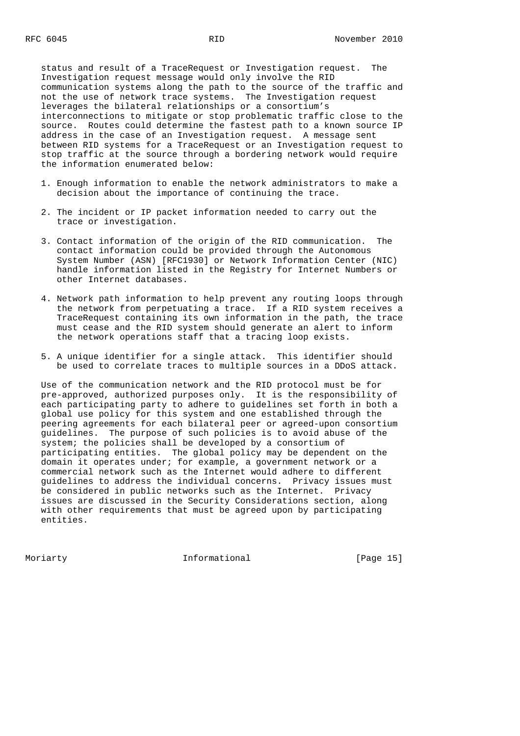status and result of a TraceRequest or Investigation request. The Investigation request message would only involve the RID communication systems along the path to the source of the traffic and not the use of network trace systems. The Investigation request leverages the bilateral relationships or a consortium's interconnections to mitigate or stop problematic traffic close to the source. Routes could determine the fastest path to a known source IP address in the case of an Investigation request. A message sent between RID systems for a TraceRequest or an Investigation request to stop traffic at the source through a bordering network would require the information enumerated below:

- 1. Enough information to enable the network administrators to make a decision about the importance of continuing the trace.
- 2. The incident or IP packet information needed to carry out the trace or investigation.
- 3. Contact information of the origin of the RID communication. The contact information could be provided through the Autonomous System Number (ASN) [RFC1930] or Network Information Center (NIC) handle information listed in the Registry for Internet Numbers or other Internet databases.
- 4. Network path information to help prevent any routing loops through the network from perpetuating a trace. If a RID system receives a TraceRequest containing its own information in the path, the trace must cease and the RID system should generate an alert to inform the network operations staff that a tracing loop exists.
- 5. A unique identifier for a single attack. This identifier should be used to correlate traces to multiple sources in a DDoS attack.

 Use of the communication network and the RID protocol must be for pre-approved, authorized purposes only. It is the responsibility of each participating party to adhere to guidelines set forth in both a global use policy for this system and one established through the peering agreements for each bilateral peer or agreed-upon consortium guidelines. The purpose of such policies is to avoid abuse of the system; the policies shall be developed by a consortium of participating entities. The global policy may be dependent on the domain it operates under; for example, a government network or a commercial network such as the Internet would adhere to different guidelines to address the individual concerns. Privacy issues must be considered in public networks such as the Internet. Privacy issues are discussed in the Security Considerations section, along with other requirements that must be agreed upon by participating entities.

Moriarty **Informational** [Page 15]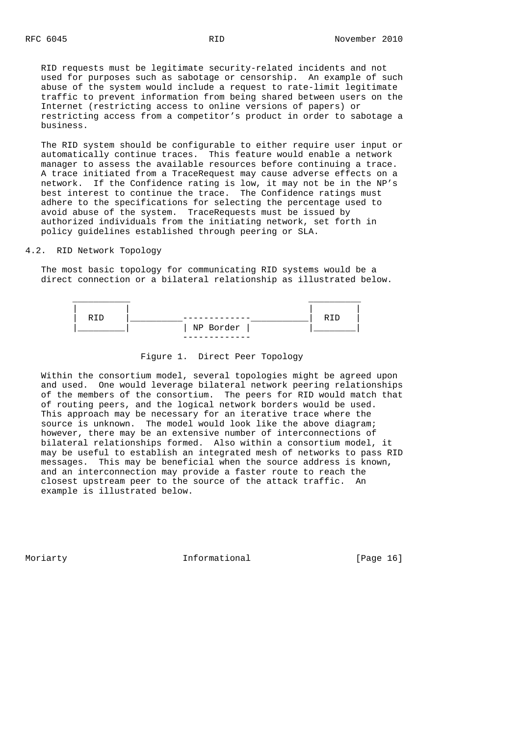RID requests must be legitimate security-related incidents and not used for purposes such as sabotage or censorship. An example of such abuse of the system would include a request to rate-limit legitimate traffic to prevent information from being shared between users on the Internet (restricting access to online versions of papers) or restricting access from a competitor's product in order to sabotage a business.

 The RID system should be configurable to either require user input or automatically continue traces. This feature would enable a network manager to assess the available resources before continuing a trace. A trace initiated from a TraceRequest may cause adverse effects on a network. If the Confidence rating is low, it may not be in the NP's best interest to continue the trace. The Confidence ratings must adhere to the specifications for selecting the percentage used to avoid abuse of the system. TraceRequests must be issued by authorized individuals from the initiating network, set forth in policy guidelines established through peering or SLA.

4.2. RID Network Topology

 The most basic topology for communicating RID systems would be a direct connection or a bilateral relationship as illustrated below.



Figure 1. Direct Peer Topology

 Within the consortium model, several topologies might be agreed upon and used. One would leverage bilateral network peering relationships of the members of the consortium. The peers for RID would match that of routing peers, and the logical network borders would be used. This approach may be necessary for an iterative trace where the source is unknown. The model would look like the above diagram; however, there may be an extensive number of interconnections of bilateral relationships formed. Also within a consortium model, it may be useful to establish an integrated mesh of networks to pass RID messages. This may be beneficial when the source address is known, and an interconnection may provide a faster route to reach the closest upstream peer to the source of the attack traffic. An example is illustrated below.

Moriarty **Informational** [Page 16]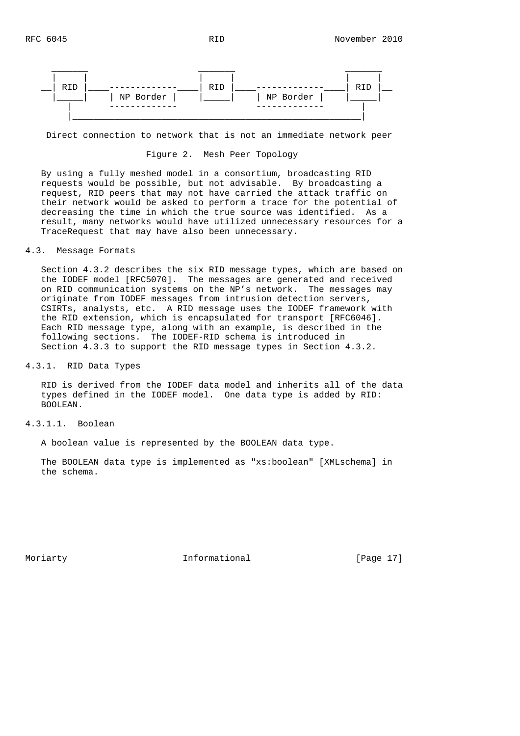

Direct connection to network that is not an immediate network peer

### Figure 2. Mesh Peer Topology

 By using a fully meshed model in a consortium, broadcasting RID requests would be possible, but not advisable. By broadcasting a request, RID peers that may not have carried the attack traffic on their network would be asked to perform a trace for the potential of decreasing the time in which the true source was identified. As a result, many networks would have utilized unnecessary resources for a TraceRequest that may have also been unnecessary.

## 4.3. Message Formats

 Section 4.3.2 describes the six RID message types, which are based on the IODEF model [RFC5070]. The messages are generated and received on RID communication systems on the NP's network. The messages may originate from IODEF messages from intrusion detection servers, CSIRTs, analysts, etc. A RID message uses the IODEF framework with the RID extension, which is encapsulated for transport [RFC6046]. Each RID message type, along with an example, is described in the following sections. The IODEF-RID schema is introduced in Section 4.3.3 to support the RID message types in Section 4.3.2.

4.3.1. RID Data Types

 RID is derived from the IODEF data model and inherits all of the data types defined in the IODEF model. One data type is added by RID: BOOLEAN.

4.3.1.1. Boolean

A boolean value is represented by the BOOLEAN data type.

 The BOOLEAN data type is implemented as "xs:boolean" [XMLschema] in the schema.

Moriarty **Informational** [Page 17]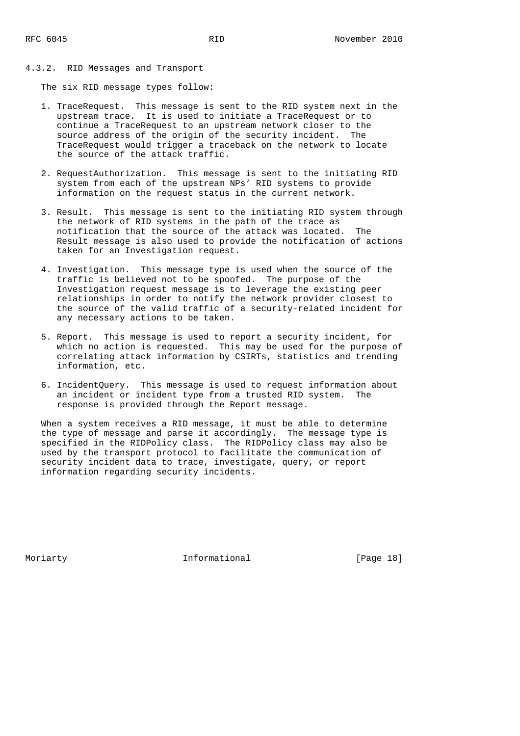4.3.2. RID Messages and Transport

The six RID message types follow:

- 1. TraceRequest. This message is sent to the RID system next in the upstream trace. It is used to initiate a TraceRequest or to continue a TraceRequest to an upstream network closer to the source address of the origin of the security incident. The TraceRequest would trigger a traceback on the network to locate the source of the attack traffic.
- 2. RequestAuthorization. This message is sent to the initiating RID system from each of the upstream NPs' RID systems to provide information on the request status in the current network.
- 3. Result. This message is sent to the initiating RID system through the network of RID systems in the path of the trace as notification that the source of the attack was located. The Result message is also used to provide the notification of actions taken for an Investigation request.
- 4. Investigation. This message type is used when the source of the traffic is believed not to be spoofed. The purpose of the Investigation request message is to leverage the existing peer relationships in order to notify the network provider closest to the source of the valid traffic of a security-related incident for any necessary actions to be taken.
- 5. Report. This message is used to report a security incident, for which no action is requested. This may be used for the purpose of correlating attack information by CSIRTs, statistics and trending information, etc.
- 6. IncidentQuery. This message is used to request information about an incident or incident type from a trusted RID system. The response is provided through the Report message.

 When a system receives a RID message, it must be able to determine the type of message and parse it accordingly. The message type is specified in the RIDPolicy class. The RIDPolicy class may also be used by the transport protocol to facilitate the communication of security incident data to trace, investigate, query, or report information regarding security incidents.

Moriarty **Informational** [Page 18]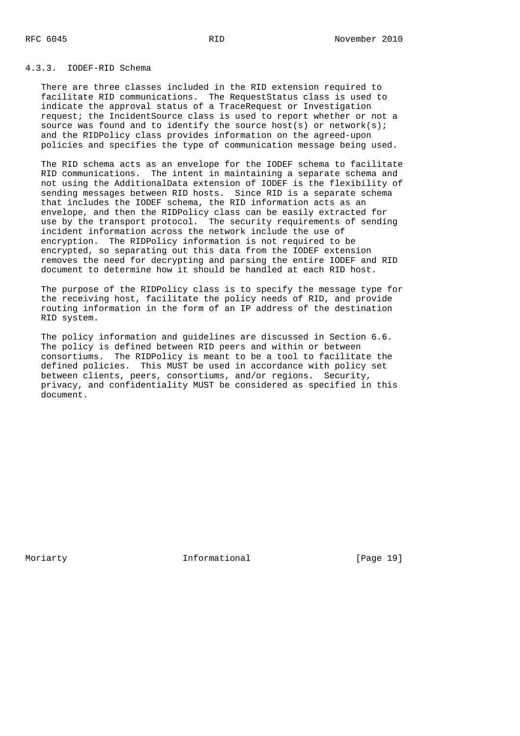## 4.3.3. IODEF-RID Schema

 There are three classes included in the RID extension required to facilitate RID communications. The RequestStatus class is used to indicate the approval status of a TraceRequest or Investigation request; the IncidentSource class is used to report whether or not a source was found and to identify the source host(s) or network(s); and the RIDPolicy class provides information on the agreed-upon policies and specifies the type of communication message being used.

 The RID schema acts as an envelope for the IODEF schema to facilitate RID communications. The intent in maintaining a separate schema and not using the AdditionalData extension of IODEF is the flexibility of sending messages between RID hosts. Since RID is a separate schema that includes the IODEF schema, the RID information acts as an envelope, and then the RIDPolicy class can be easily extracted for use by the transport protocol. The security requirements of sending incident information across the network include the use of encryption. The RIDPolicy information is not required to be encrypted, so separating out this data from the IODEF extension removes the need for decrypting and parsing the entire IODEF and RID document to determine how it should be handled at each RID host.

 The purpose of the RIDPolicy class is to specify the message type for the receiving host, facilitate the policy needs of RID, and provide routing information in the form of an IP address of the destination RID system.

 The policy information and guidelines are discussed in Section 6.6. The policy is defined between RID peers and within or between consortiums. The RIDPolicy is meant to be a tool to facilitate the defined policies. This MUST be used in accordance with policy set between clients, peers, consortiums, and/or regions. Security, privacy, and confidentiality MUST be considered as specified in this document.

Moriarty **Informational** [Page 19]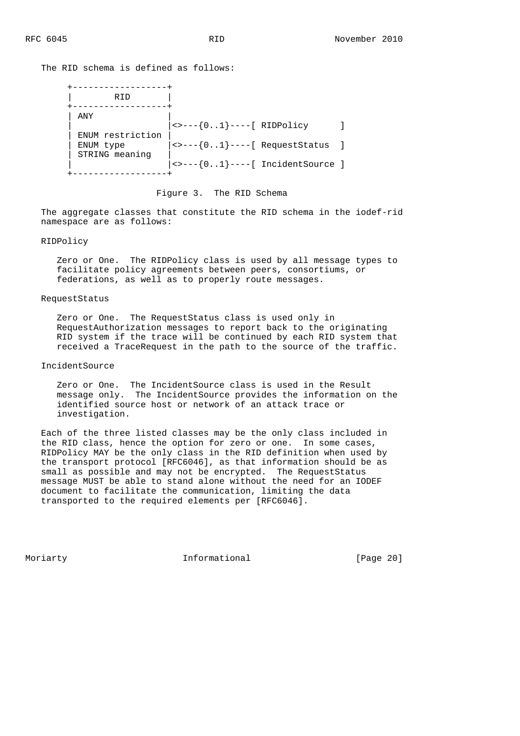The RID schema is defined as follows:

| ANY<br>ENUM restriction<br>ENUM type<br>STRING meaning | $  \rightarrow \left[ -2 \right]$ ----[ RIDPolicy<br>$ $ <>---{01}----[ RequestStatus |  |
|--------------------------------------------------------|---------------------------------------------------------------------------------------|--|

### Figure 3. The RID Schema

 The aggregate classes that constitute the RID schema in the iodef-rid namespace are as follows:

### RIDPolicy

 Zero or One. The RIDPolicy class is used by all message types to facilitate policy agreements between peers, consortiums, or federations, as well as to properly route messages.

#### RequestStatus

 Zero or One. The RequestStatus class is used only in RequestAuthorization messages to report back to the originating RID system if the trace will be continued by each RID system that received a TraceRequest in the path to the source of the traffic.

### IncidentSource

 Zero or One. The IncidentSource class is used in the Result message only. The IncidentSource provides the information on the identified source host or network of an attack trace or investigation.

 Each of the three listed classes may be the only class included in the RID class, hence the option for zero or one. In some cases, RIDPolicy MAY be the only class in the RID definition when used by the transport protocol [RFC6046], as that information should be as small as possible and may not be encrypted. The RequestStatus message MUST be able to stand alone without the need for an IODEF document to facilitate the communication, limiting the data transported to the required elements per [RFC6046].

Moriarty **Informational** [Page 20]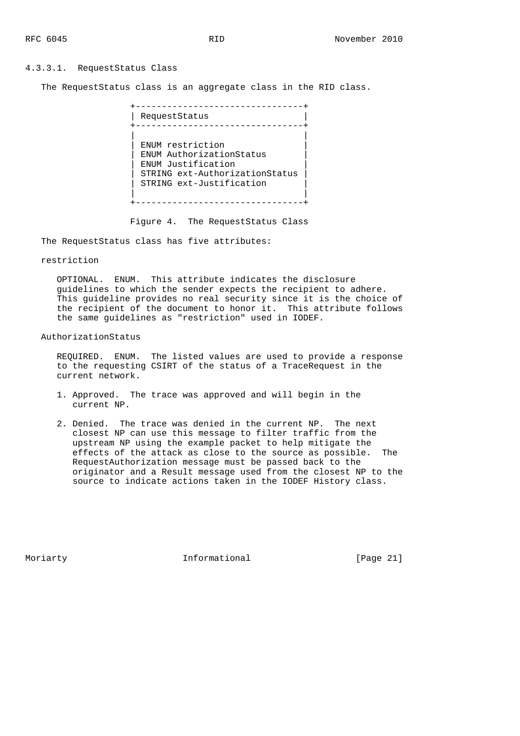### 4.3.3.1. RequestStatus Class

The RequestStatus class is an aggregate class in the RID class.

 +--------------------------------+ | RequestStatus | +--------------------------------+ | | ENUM restriction | ENUM AuthorizationStatus | | ENUM Justification | | STRING ext-AuthorizationStatus | | STRING ext-Justification | | | +--------------------------------+

Figure 4. The RequestStatus Class

The RequestStatus class has five attributes:

### restriction

 OPTIONAL. ENUM. This attribute indicates the disclosure guidelines to which the sender expects the recipient to adhere. This guideline provides no real security since it is the choice of the recipient of the document to honor it. This attribute follows the same guidelines as "restriction" used in IODEF.

### AuthorizationStatus

 REQUIRED. ENUM. The listed values are used to provide a response to the requesting CSIRT of the status of a TraceRequest in the current network.

- 1. Approved. The trace was approved and will begin in the current NP.
- 2. Denied. The trace was denied in the current NP. The next closest NP can use this message to filter traffic from the upstream NP using the example packet to help mitigate the effects of the attack as close to the source as possible. The RequestAuthorization message must be passed back to the originator and a Result message used from the closest NP to the source to indicate actions taken in the IODEF History class.

Moriarty **Informational** [Page 21]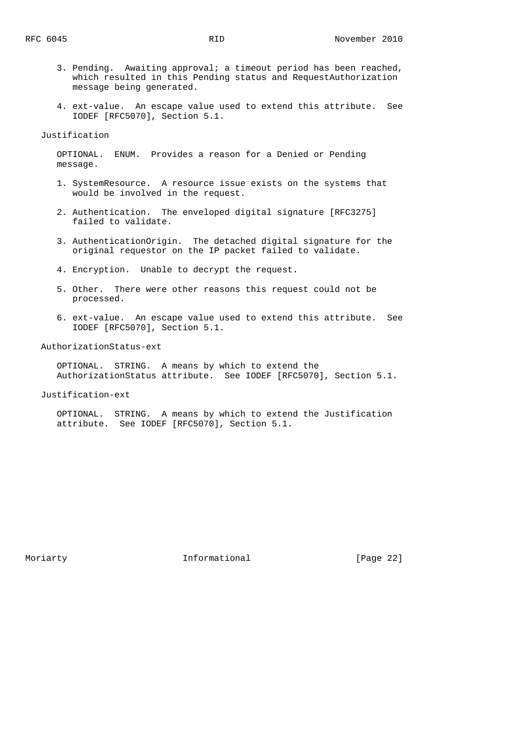- 3. Pending. Awaiting approval; a timeout period has been reached, which resulted in this Pending status and RequestAuthorization message being generated.
- 4. ext-value. An escape value used to extend this attribute. See IODEF [RFC5070], Section 5.1.

Justification

 OPTIONAL. ENUM. Provides a reason for a Denied or Pending message.

- 1. SystemResource. A resource issue exists on the systems that would be involved in the request.
- 2. Authentication. The enveloped digital signature [RFC3275] failed to validate.
- 3. AuthenticationOrigin. The detached digital signature for the original requestor on the IP packet failed to validate.
- 4. Encryption. Unable to decrypt the request.
- 5. Other. There were other reasons this request could not be processed.
- 6. ext-value. An escape value used to extend this attribute. See IODEF [RFC5070], Section 5.1.

AuthorizationStatus-ext

 OPTIONAL. STRING. A means by which to extend the AuthorizationStatus attribute. See IODEF [RFC5070], Section 5.1.

Justification-ext

 OPTIONAL. STRING. A means by which to extend the Justification attribute. See IODEF [RFC5070], Section 5.1.

Moriarty **Informational** [Page 22]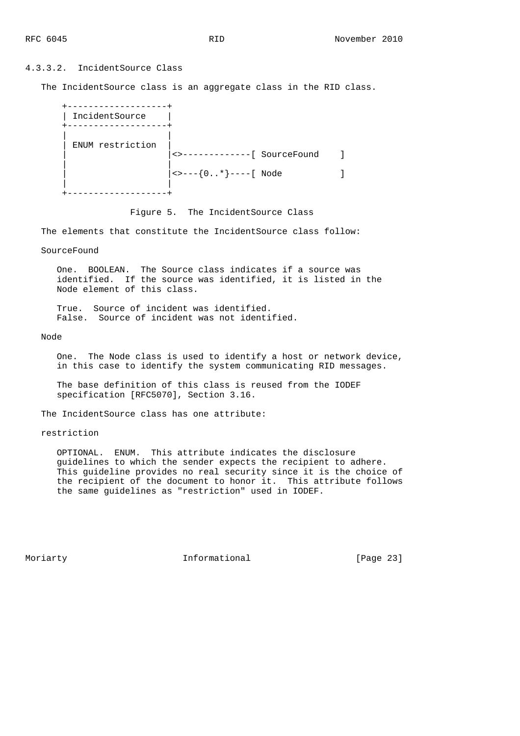## 4.3.3.2. IncidentSource Class

The IncidentSource class is an aggregate class in the RID class.

| IncidentSource   |                                                                                                          |  |
|------------------|----------------------------------------------------------------------------------------------------------|--|
| ENUM restriction | ------------[ SourceFound                                                                                |  |
|                  | $ \left\langle \texttt{>---}\left\{ 0\ldots\texttt{*}\right\} \texttt{---} -\left[ \texttt{Node}\right.$ |  |
|                  |                                                                                                          |  |

Figure 5. The IncidentSource Class

The elements that constitute the IncidentSource class follow:

SourceFound

 One. BOOLEAN. The Source class indicates if a source was identified. If the source was identified, it is listed in the Node element of this class.

 True. Source of incident was identified. False. Source of incident was not identified.

Node

 One. The Node class is used to identify a host or network device, in this case to identify the system communicating RID messages.

 The base definition of this class is reused from the IODEF specification [RFC5070], Section 3.16.

The IncidentSource class has one attribute:

restriction

 OPTIONAL. ENUM. This attribute indicates the disclosure guidelines to which the sender expects the recipient to adhere. This guideline provides no real security since it is the choice of the recipient of the document to honor it. This attribute follows the same guidelines as "restriction" used in IODEF.

Moriarty **Informational** [Page 23]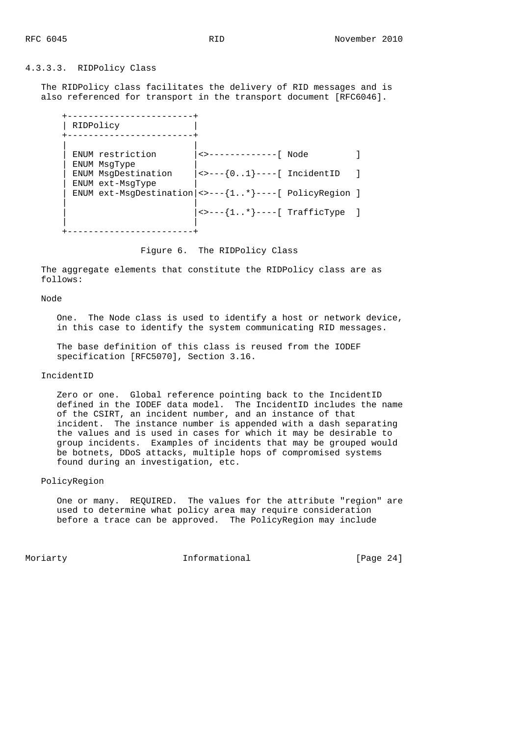### 4.3.3.3. RIDPolicy Class

 The RIDPolicy class facilitates the delivery of RID messages and is also referenced for transport in the transport document [RFC6046].

| RIDPolicy                               |                                                                                               |  |
|-----------------------------------------|-----------------------------------------------------------------------------------------------|--|
| ENUM restriction<br>ENUM MsqType        | <>-------------[ Node                                                                         |  |
| ENUM MsqDestination<br>ENUM ext-MsqType | $ \left\langle \rightarrow \left\langle -\right\rangle \{01\} \right\rangle$ ----[ IncidentID |  |
|                                         | ENUM ext-MsgDestination $  \leftarrow - -\{1* \} --- [$ PolicyRegion ]                        |  |
|                                         | $ $ <>---{ $1*$ }----[ TrafficType                                                            |  |
|                                         |                                                                                               |  |

Figure 6. The RIDPolicy Class

 The aggregate elements that constitute the RIDPolicy class are as follows:

#### Node

 One. The Node class is used to identify a host or network device, in this case to identify the system communicating RID messages.

 The base definition of this class is reused from the IODEF specification [RFC5070], Section 3.16.

#### IncidentID

 Zero or one. Global reference pointing back to the IncidentID defined in the IODEF data model. The IncidentID includes the name of the CSIRT, an incident number, and an instance of that incident. The instance number is appended with a dash separating the values and is used in cases for which it may be desirable to group incidents. Examples of incidents that may be grouped would be botnets, DDoS attacks, multiple hops of compromised systems found during an investigation, etc.

## PolicyRegion

 One or many. REQUIRED. The values for the attribute "region" are used to determine what policy area may require consideration before a trace can be approved. The PolicyRegion may include

Moriarty **Informational** [Page 24]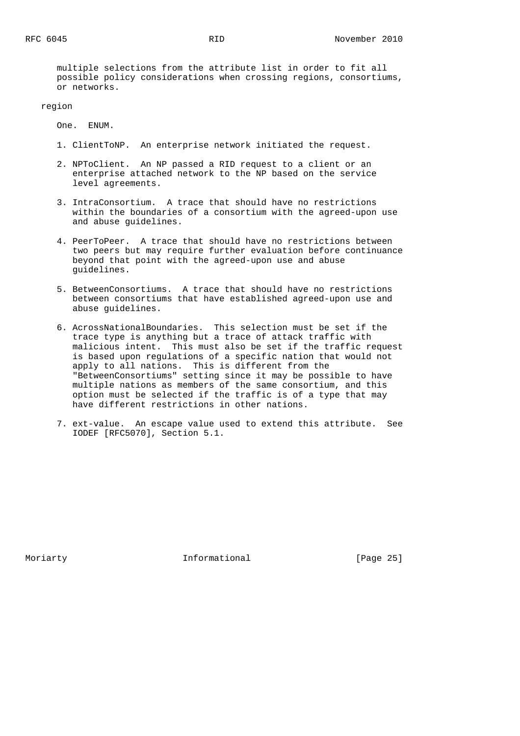multiple selections from the attribute list in order to fit all possible policy considerations when crossing regions, consortiums, or networks.

region

One. ENUM.

- 1. ClientToNP. An enterprise network initiated the request.
- 2. NPToClient. An NP passed a RID request to a client or an enterprise attached network to the NP based on the service level agreements.
- 3. IntraConsortium. A trace that should have no restrictions within the boundaries of a consortium with the agreed-upon use and abuse guidelines.
- 4. PeerToPeer. A trace that should have no restrictions between two peers but may require further evaluation before continuance beyond that point with the agreed-upon use and abuse guidelines.
- 5. BetweenConsortiums. A trace that should have no restrictions between consortiums that have established agreed-upon use and abuse guidelines.
- 6. AcrossNationalBoundaries. This selection must be set if the trace type is anything but a trace of attack traffic with malicious intent. This must also be set if the traffic request is based upon regulations of a specific nation that would not apply to all nations. This is different from the "BetweenConsortiums" setting since it may be possible to have multiple nations as members of the same consortium, and this option must be selected if the traffic is of a type that may have different restrictions in other nations.
- 7. ext-value. An escape value used to extend this attribute. See IODEF [RFC5070], Section 5.1.

Moriarty **Informational** [Page 25]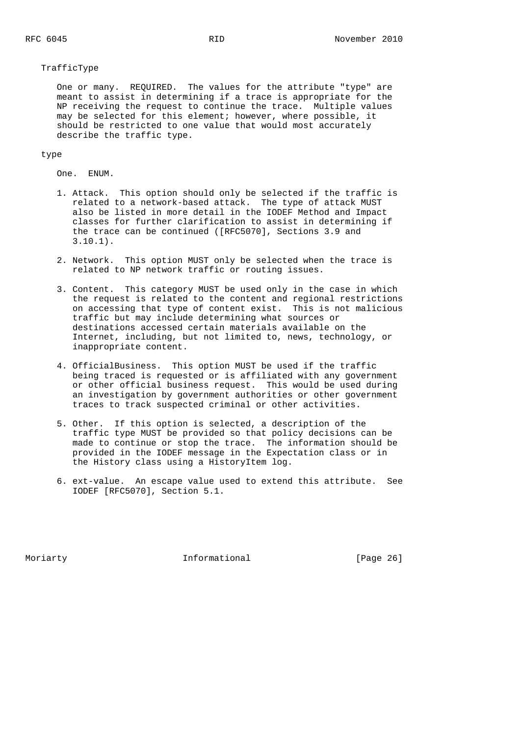### TrafficType

 One or many. REQUIRED. The values for the attribute "type" are meant to assist in determining if a trace is appropriate for the NP receiving the request to continue the trace. Multiple values may be selected for this element; however, where possible, it should be restricted to one value that would most accurately describe the traffic type.

### type

One. ENUM.

- 1. Attack. This option should only be selected if the traffic is related to a network-based attack. The type of attack MUST also be listed in more detail in the IODEF Method and Impact classes for further clarification to assist in determining if the trace can be continued ([RFC5070], Sections 3.9 and 3.10.1).
- 2. Network. This option MUST only be selected when the trace is related to NP network traffic or routing issues.
- 3. Content. This category MUST be used only in the case in which the request is related to the content and regional restrictions on accessing that type of content exist. This is not malicious traffic but may include determining what sources or destinations accessed certain materials available on the Internet, including, but not limited to, news, technology, or inappropriate content.
- 4. OfficialBusiness. This option MUST be used if the traffic being traced is requested or is affiliated with any government or other official business request. This would be used during an investigation by government authorities or other government traces to track suspected criminal or other activities.
- 5. Other. If this option is selected, a description of the traffic type MUST be provided so that policy decisions can be made to continue or stop the trace. The information should be provided in the IODEF message in the Expectation class or in the History class using a HistoryItem log.
- 6. ext-value. An escape value used to extend this attribute. See IODEF [RFC5070], Section 5.1.

Moriarty **Informational** [Page 26]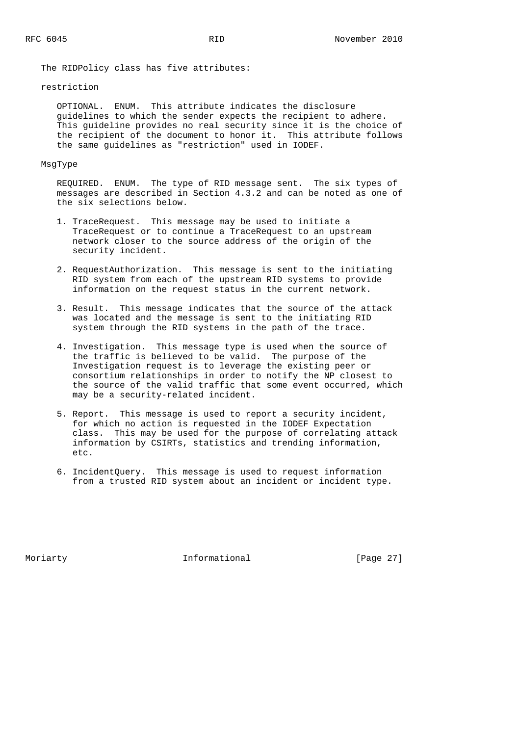The RIDPolicy class has five attributes:

### restriction

 OPTIONAL. ENUM. This attribute indicates the disclosure guidelines to which the sender expects the recipient to adhere. This guideline provides no real security since it is the choice of the recipient of the document to honor it. This attribute follows the same guidelines as "restriction" used in IODEF.

#### MsgType

 REQUIRED. ENUM. The type of RID message sent. The six types of messages are described in Section 4.3.2 and can be noted as one of the six selections below.

- 1. TraceRequest. This message may be used to initiate a TraceRequest or to continue a TraceRequest to an upstream network closer to the source address of the origin of the security incident.
- 2. RequestAuthorization. This message is sent to the initiating RID system from each of the upstream RID systems to provide information on the request status in the current network.
- 3. Result. This message indicates that the source of the attack was located and the message is sent to the initiating RID system through the RID systems in the path of the trace.
- 4. Investigation. This message type is used when the source of the traffic is believed to be valid. The purpose of the Investigation request is to leverage the existing peer or consortium relationships in order to notify the NP closest to the source of the valid traffic that some event occurred, which may be a security-related incident.
- 5. Report. This message is used to report a security incident, for which no action is requested in the IODEF Expectation class. This may be used for the purpose of correlating attack information by CSIRTs, statistics and trending information, etc.
- 6. IncidentQuery. This message is used to request information from a trusted RID system about an incident or incident type.

Moriarty **Informational** [Page 27]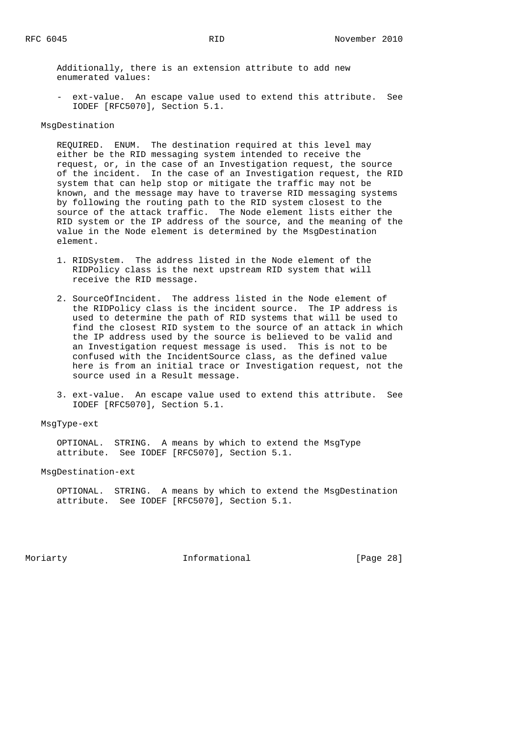Additionally, there is an extension attribute to add new enumerated values:

 - ext-value. An escape value used to extend this attribute. See IODEF [RFC5070], Section 5.1.

### MsgDestination

 REQUIRED. ENUM. The destination required at this level may either be the RID messaging system intended to receive the request, or, in the case of an Investigation request, the source of the incident. In the case of an Investigation request, the RID system that can help stop or mitigate the traffic may not be known, and the message may have to traverse RID messaging systems by following the routing path to the RID system closest to the source of the attack traffic. The Node element lists either the RID system or the IP address of the source, and the meaning of the value in the Node element is determined by the MsgDestination element.

- 1. RIDSystem. The address listed in the Node element of the RIDPolicy class is the next upstream RID system that will receive the RID message.
- 2. SourceOfIncident. The address listed in the Node element of the RIDPolicy class is the incident source. The IP address is used to determine the path of RID systems that will be used to find the closest RID system to the source of an attack in which the IP address used by the source is believed to be valid and an Investigation request message is used. This is not to be confused with the IncidentSource class, as the defined value here is from an initial trace or Investigation request, not the source used in a Result message.
- 3. ext-value. An escape value used to extend this attribute. See IODEF [RFC5070], Section 5.1.

### MsgType-ext

 OPTIONAL. STRING. A means by which to extend the MsgType attribute. See IODEF [RFC5070], Section 5.1.

### MsgDestination-ext

 OPTIONAL. STRING. A means by which to extend the MsgDestination attribute. See IODEF [RFC5070], Section 5.1.

Moriarty **Informational** [Page 28]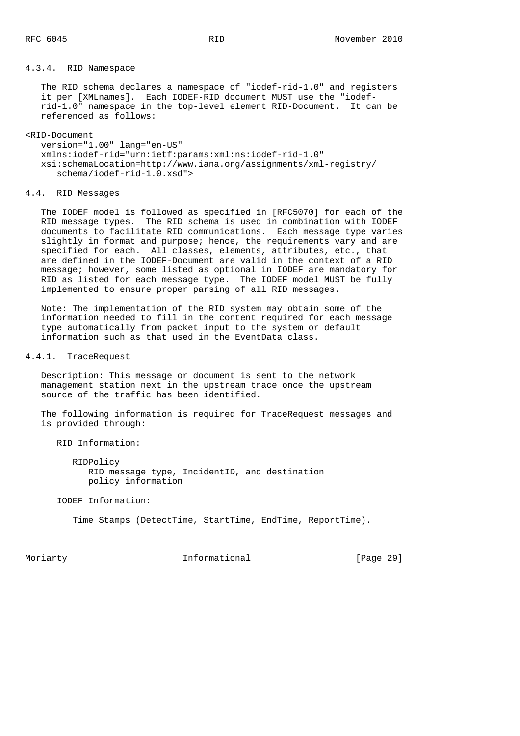## 4.3.4. RID Namespace

 The RID schema declares a namespace of "iodef-rid-1.0" and registers it per [XMLnames]. Each IODEF-RID document MUST use the "iodef rid-1.0" namespace in the top-level element RID-Document. It can be referenced as follows:

#### <RID-Document

 version="1.00" lang="en-US" xmlns:iodef-rid="urn:ietf:params:xml:ns:iodef-rid-1.0" xsi:schemaLocation=http://www.iana.org/assignments/xml-registry/ schema/iodef-rid-1.0.xsd">

#### 4.4. RID Messages

 The IODEF model is followed as specified in [RFC5070] for each of the RID message types. The RID schema is used in combination with IODEF documents to facilitate RID communications. Each message type varies slightly in format and purpose; hence, the requirements vary and are specified for each. All classes, elements, attributes, etc., that are defined in the IODEF-Document are valid in the context of a RID message; however, some listed as optional in IODEF are mandatory for RID as listed for each message type. The IODEF model MUST be fully implemented to ensure proper parsing of all RID messages.

 Note: The implementation of the RID system may obtain some of the information needed to fill in the content required for each message type automatically from packet input to the system or default information such as that used in the EventData class.

## 4.4.1. TraceRequest

 Description: This message or document is sent to the network management station next in the upstream trace once the upstream source of the traffic has been identified.

 The following information is required for TraceRequest messages and is provided through:

RID Information:

 RIDPolicy RID message type, IncidentID, and destination policy information

IODEF Information:

Time Stamps (DetectTime, StartTime, EndTime, ReportTime).

Moriarty **Informational** [Page 29]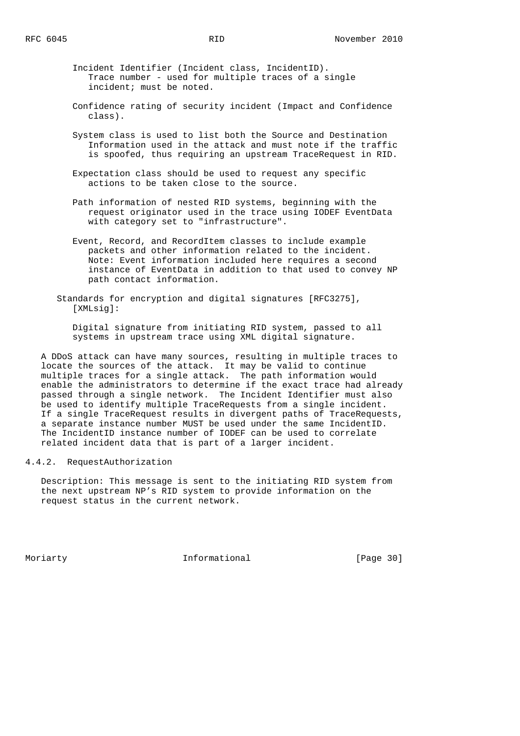Incident Identifier (Incident class, IncidentID). Trace number - used for multiple traces of a single incident; must be noted.

- Confidence rating of security incident (Impact and Confidence class).
- System class is used to list both the Source and Destination Information used in the attack and must note if the traffic is spoofed, thus requiring an upstream TraceRequest in RID.
- Expectation class should be used to request any specific actions to be taken close to the source.
- Path information of nested RID systems, beginning with the request originator used in the trace using IODEF EventData with category set to "infrastructure".
- Event, Record, and RecordItem classes to include example packets and other information related to the incident. Note: Event information included here requires a second instance of EventData in addition to that used to convey NP path contact information.
- Standards for encryption and digital signatures [RFC3275], [XMLsig]:
	- Digital signature from initiating RID system, passed to all systems in upstream trace using XML digital signature.

 A DDoS attack can have many sources, resulting in multiple traces to locate the sources of the attack. It may be valid to continue multiple traces for a single attack. The path information would enable the administrators to determine if the exact trace had already passed through a single network. The Incident Identifier must also be used to identify multiple TraceRequests from a single incident. If a single TraceRequest results in divergent paths of TraceRequests, a separate instance number MUST be used under the same IncidentID. The IncidentID instance number of IODEF can be used to correlate related incident data that is part of a larger incident.

## 4.4.2. RequestAuthorization

 Description: This message is sent to the initiating RID system from the next upstream NP's RID system to provide information on the request status in the current network.

Moriarty **Informational** [Page 30]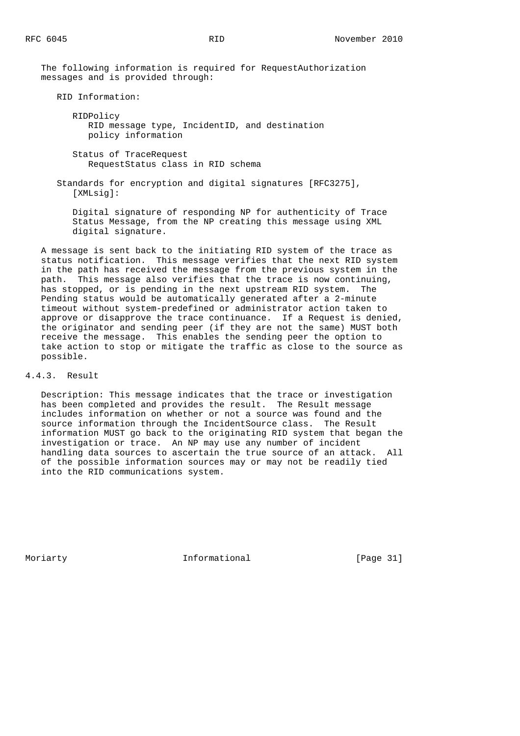The following information is required for RequestAuthorization messages and is provided through:

RID Information:

 RIDPolicy RID message type, IncidentID, and destination policy information

 Status of TraceRequest RequestStatus class in RID schema

 Standards for encryption and digital signatures [RFC3275], [XMLsig]:

 Digital signature of responding NP for authenticity of Trace Status Message, from the NP creating this message using XML digital signature.

 A message is sent back to the initiating RID system of the trace as status notification. This message verifies that the next RID system in the path has received the message from the previous system in the path. This message also verifies that the trace is now continuing, has stopped, or is pending in the next upstream RID system. Pending status would be automatically generated after a 2-minute timeout without system-predefined or administrator action taken to approve or disapprove the trace continuance. If a Request is denied, the originator and sending peer (if they are not the same) MUST both receive the message. This enables the sending peer the option to take action to stop or mitigate the traffic as close to the source as possible.

4.4.3. Result

 Description: This message indicates that the trace or investigation has been completed and provides the result. The Result message includes information on whether or not a source was found and the source information through the IncidentSource class. The Result information MUST go back to the originating RID system that began the investigation or trace. An NP may use any number of incident handling data sources to ascertain the true source of an attack. All of the possible information sources may or may not be readily tied into the RID communications system.

Moriarty **Informational** [Page 31]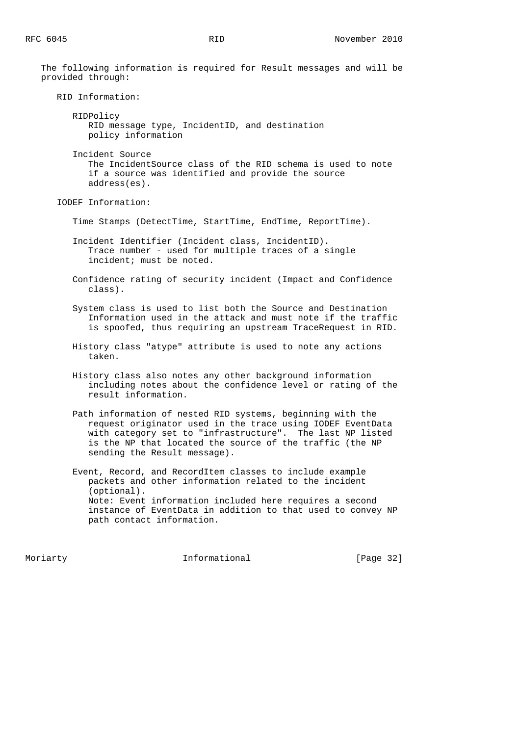The following information is required for Result messages and will be provided through: RID Information: RIDPolicy RID message type, IncidentID, and destination policy information Incident Source The IncidentSource class of the RID schema is used to note if a source was identified and provide the source address(es). IODEF Information: Time Stamps (DetectTime, StartTime, EndTime, ReportTime). Incident Identifier (Incident class, IncidentID). Trace number - used for multiple traces of a single incident; must be noted. Confidence rating of security incident (Impact and Confidence class). System class is used to list both the Source and Destination Information used in the attack and must note if the traffic is spoofed, thus requiring an upstream TraceRequest in RID. History class "atype" attribute is used to note any actions taken. History class also notes any other background information including notes about the confidence level or rating of the result information. Path information of nested RID systems, beginning with the request originator used in the trace using IODEF EventData with category set to "infrastructure". The last NP listed is the NP that located the source of the traffic (the NP sending the Result message). Event, Record, and RecordItem classes to include example packets and other information related to the incident (optional). Note: Event information included here requires a second instance of EventData in addition to that used to convey NP path contact information.

Moriarty **Informational** [Page 32]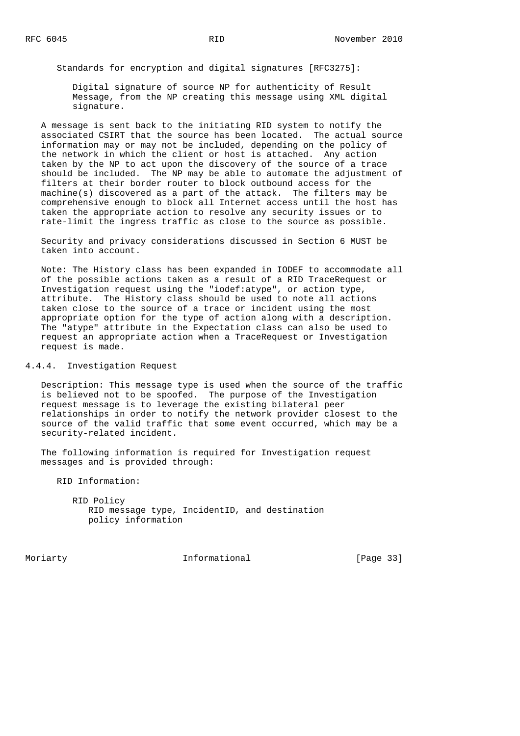Standards for encryption and digital signatures [RFC3275]:

 Digital signature of source NP for authenticity of Result Message, from the NP creating this message using XML digital signature.

 A message is sent back to the initiating RID system to notify the associated CSIRT that the source has been located. The actual source information may or may not be included, depending on the policy of the network in which the client or host is attached. Any action taken by the NP to act upon the discovery of the source of a trace should be included. The NP may be able to automate the adjustment of filters at their border router to block outbound access for the machine(s) discovered as a part of the attack. The filters may be comprehensive enough to block all Internet access until the host has taken the appropriate action to resolve any security issues or to rate-limit the ingress traffic as close to the source as possible.

 Security and privacy considerations discussed in Section 6 MUST be taken into account.

 Note: The History class has been expanded in IODEF to accommodate all of the possible actions taken as a result of a RID TraceRequest or Investigation request using the "iodef:atype", or action type, attribute. The History class should be used to note all actions taken close to the source of a trace or incident using the most appropriate option for the type of action along with a description. The "atype" attribute in the Expectation class can also be used to request an appropriate action when a TraceRequest or Investigation request is made.

### 4.4.4. Investigation Request

 Description: This message type is used when the source of the traffic is believed not to be spoofed. The purpose of the Investigation request message is to leverage the existing bilateral peer relationships in order to notify the network provider closest to the source of the valid traffic that some event occurred, which may be a security-related incident.

 The following information is required for Investigation request messages and is provided through:

RID Information:

| RID Policy         |                                               |  |
|--------------------|-----------------------------------------------|--|
|                    | RID message type, IncidentID, and destination |  |
| policy information |                                               |  |

Moriarty **Informational** [Page 33]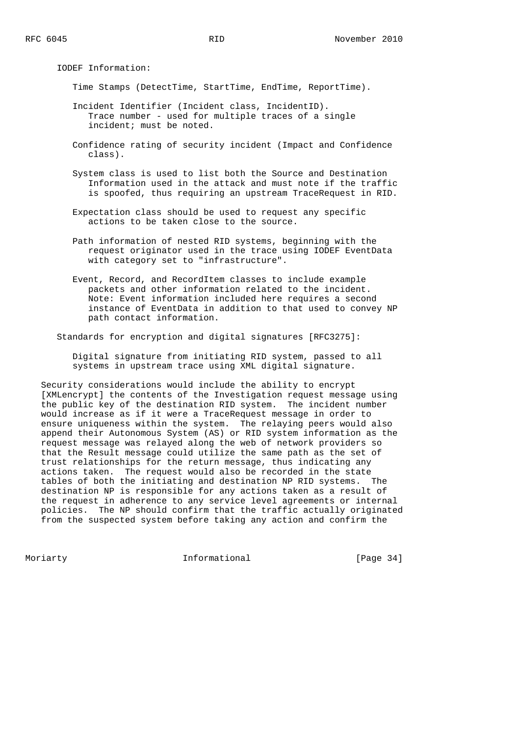IODEF Information:

Time Stamps (DetectTime, StartTime, EndTime, ReportTime).

- Incident Identifier (Incident class, IncidentID). Trace number - used for multiple traces of a single incident; must be noted.
- Confidence rating of security incident (Impact and Confidence class).
- System class is used to list both the Source and Destination Information used in the attack and must note if the traffic is spoofed, thus requiring an upstream TraceRequest in RID.
- Expectation class should be used to request any specific actions to be taken close to the source.
- Path information of nested RID systems, beginning with the request originator used in the trace using IODEF EventData with category set to "infrastructure".
- Event, Record, and RecordItem classes to include example packets and other information related to the incident. Note: Event information included here requires a second instance of EventData in addition to that used to convey NP path contact information.

Standards for encryption and digital signatures [RFC3275]:

 Digital signature from initiating RID system, passed to all systems in upstream trace using XML digital signature.

 Security considerations would include the ability to encrypt [XMLencrypt] the contents of the Investigation request message using the public key of the destination RID system. The incident number would increase as if it were a TraceRequest message in order to ensure uniqueness within the system. The relaying peers would also append their Autonomous System (AS) or RID system information as the request message was relayed along the web of network providers so that the Result message could utilize the same path as the set of trust relationships for the return message, thus indicating any actions taken. The request would also be recorded in the state tables of both the initiating and destination NP RID systems. The destination NP is responsible for any actions taken as a result of the request in adherence to any service level agreements or internal policies. The NP should confirm that the traffic actually originated from the suspected system before taking any action and confirm the

Moriarty **Informational** [Page 34]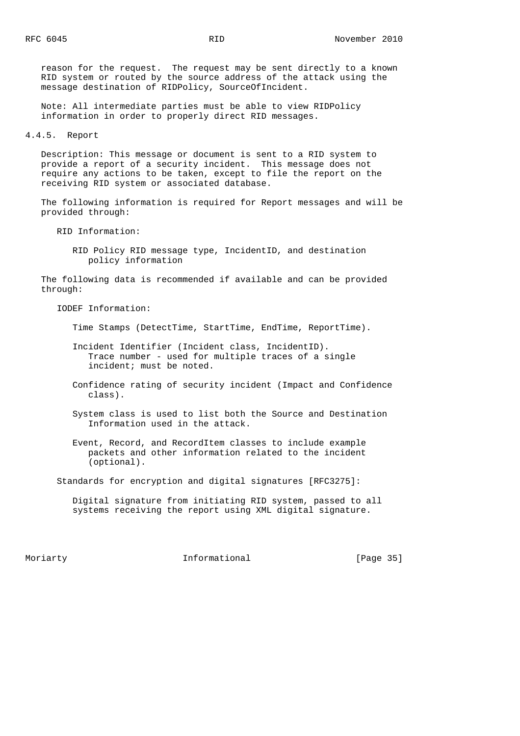reason for the request. The request may be sent directly to a known RID system or routed by the source address of the attack using the message destination of RIDPolicy, SourceOfIncident.

 Note: All intermediate parties must be able to view RIDPolicy information in order to properly direct RID messages.

4.4.5. Report

 Description: This message or document is sent to a RID system to provide a report of a security incident. This message does not require any actions to be taken, except to file the report on the receiving RID system or associated database.

 The following information is required for Report messages and will be provided through:

RID Information:

 RID Policy RID message type, IncidentID, and destination policy information

 The following data is recommended if available and can be provided through:

IODEF Information:

Time Stamps (DetectTime, StartTime, EndTime, ReportTime).

- Incident Identifier (Incident class, IncidentID). Trace number - used for multiple traces of a single incident; must be noted.
- Confidence rating of security incident (Impact and Confidence class).
- System class is used to list both the Source and Destination Information used in the attack.
- Event, Record, and RecordItem classes to include example packets and other information related to the incident (optional).

Standards for encryption and digital signatures [RFC3275]:

 Digital signature from initiating RID system, passed to all systems receiving the report using XML digital signature.

Moriarty **Informational** [Page 35]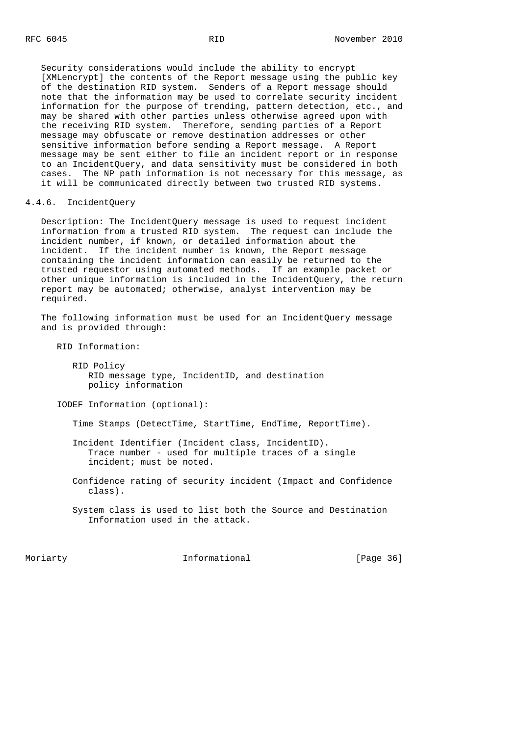Security considerations would include the ability to encrypt [XMLencrypt] the contents of the Report message using the public key of the destination RID system. Senders of a Report message should note that the information may be used to correlate security incident information for the purpose of trending, pattern detection, etc., and may be shared with other parties unless otherwise agreed upon with the receiving RID system. Therefore, sending parties of a Report message may obfuscate or remove destination addresses or other sensitive information before sending a Report message. A Report message may be sent either to file an incident report or in response to an IncidentQuery, and data sensitivity must be considered in both cases. The NP path information is not necessary for this message, as it will be communicated directly between two trusted RID systems.

## 4.4.6. IncidentQuery

 Description: The IncidentQuery message is used to request incident information from a trusted RID system. The request can include the incident number, if known, or detailed information about the incident. If the incident number is known, the Report message containing the incident information can easily be returned to the trusted requestor using automated methods. If an example packet or other unique information is included in the IncidentQuery, the return report may be automated; otherwise, analyst intervention may be required.

 The following information must be used for an IncidentQuery message and is provided through:

RID Information:

 RID Policy RID message type, IncidentID, and destination policy information

IODEF Information (optional):

Time Stamps (DetectTime, StartTime, EndTime, ReportTime).

 Incident Identifier (Incident class, IncidentID). Trace number - used for multiple traces of a single incident; must be noted.

 Confidence rating of security incident (Impact and Confidence class).

 System class is used to list both the Source and Destination Information used in the attack.

Moriarty **Informational** [Page 36]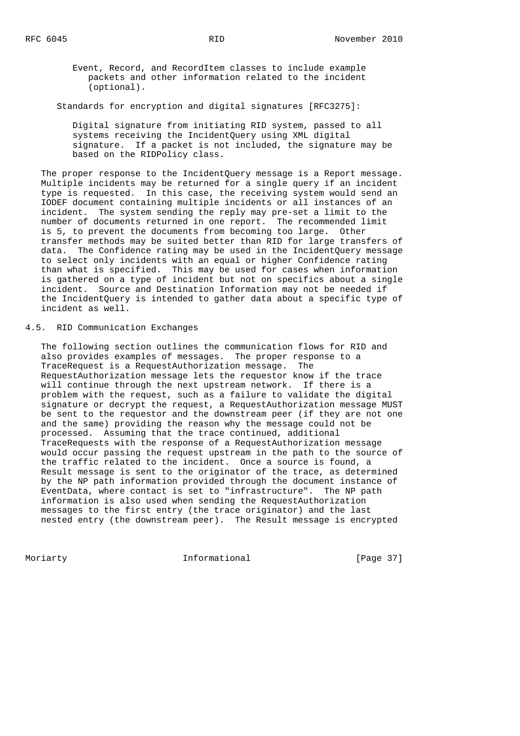Event, Record, and RecordItem classes to include example packets and other information related to the incident (optional).

Standards for encryption and digital signatures [RFC3275]:

 Digital signature from initiating RID system, passed to all systems receiving the IncidentQuery using XML digital signature. If a packet is not included, the signature may be based on the RIDPolicy class.

 The proper response to the IncidentQuery message is a Report message. Multiple incidents may be returned for a single query if an incident type is requested. In this case, the receiving system would send an IODEF document containing multiple incidents or all instances of an incident. The system sending the reply may pre-set a limit to the number of documents returned in one report. The recommended limit is 5, to prevent the documents from becoming too large. Other transfer methods may be suited better than RID for large transfers of data. The Confidence rating may be used in the IncidentQuery message to select only incidents with an equal or higher Confidence rating than what is specified. This may be used for cases when information is gathered on a type of incident but not on specifics about a single incident. Source and Destination Information may not be needed if the IncidentQuery is intended to gather data about a specific type of incident as well.

4.5. RID Communication Exchanges

 The following section outlines the communication flows for RID and also provides examples of messages. The proper response to a TraceRequest is a RequestAuthorization message. The RequestAuthorization message lets the requestor know if the trace will continue through the next upstream network. If there is a problem with the request, such as a failure to validate the digital signature or decrypt the request, a RequestAuthorization message MUST be sent to the requestor and the downstream peer (if they are not one and the same) providing the reason why the message could not be processed. Assuming that the trace continued, additional TraceRequests with the response of a RequestAuthorization message would occur passing the request upstream in the path to the source of the traffic related to the incident. Once a source is found, a Result message is sent to the originator of the trace, as determined by the NP path information provided through the document instance of EventData, where contact is set to "infrastructure". The NP path information is also used when sending the RequestAuthorization messages to the first entry (the trace originator) and the last nested entry (the downstream peer). The Result message is encrypted

Moriarty **Informational** [Page 37]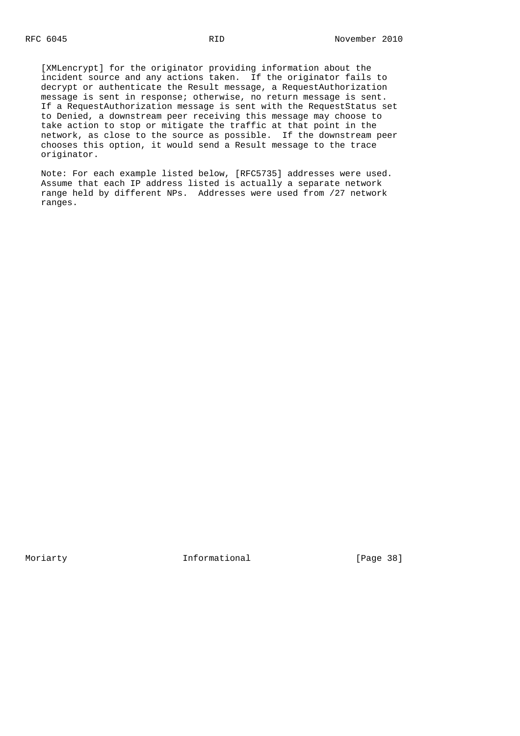[XMLencrypt] for the originator providing information about the incident source and any actions taken. If the originator fails to decrypt or authenticate the Result message, a RequestAuthorization message is sent in response; otherwise, no return message is sent. If a RequestAuthorization message is sent with the RequestStatus set to Denied, a downstream peer receiving this message may choose to take action to stop or mitigate the traffic at that point in the network, as close to the source as possible. If the downstream peer chooses this option, it would send a Result message to the trace originator.

 Note: For each example listed below, [RFC5735] addresses were used. Assume that each IP address listed is actually a separate network range held by different NPs. Addresses were used from /27 network ranges.

Moriarty 1nformational [Page 38]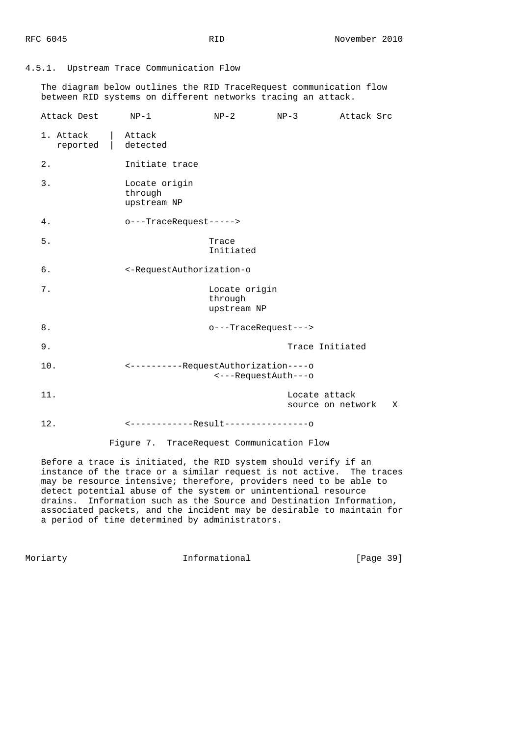# 4.5.1. Upstream Trace Communication Flow

 The diagram below outlines the RID TraceRequest communication flow between RID systems on different networks tracing an attack.

| Attack Dest           | $NP-1$                                                      | $NP-2$                                  | $NP-3$                             | Attack Src |   |
|-----------------------|-------------------------------------------------------------|-----------------------------------------|------------------------------------|------------|---|
| 1. Attack<br>reported | Attack<br>detected                                          |                                         |                                    |            |   |
| 2.                    | Initiate trace                                              |                                         |                                    |            |   |
| 3.                    | Locate origin<br>through<br>upstream NP                     |                                         |                                    |            |   |
| 4.                    | o---TraceRequest----->                                      |                                         |                                    |            |   |
| 5.                    |                                                             | Trace<br>Initiated                      |                                    |            |   |
| б.                    | <-RequestAuthorization-o                                    |                                         |                                    |            |   |
| 7.                    |                                                             | Locate origin<br>through<br>upstream NP |                                    |            |   |
| 8.                    |                                                             | o---TraceRequest--->                    |                                    |            |   |
| 9.                    |                                                             |                                         | Trace Initiated                    |            |   |
| 10.                   | <----------RequestAuthorization----o<br><---RequestAuth---o |                                         |                                    |            |   |
| 11.                   |                                                             |                                         | Locate attack<br>source on network |            | X |
| 12.                   | <-------------Result----------------0                       |                                         |                                    |            |   |
|                       |                                                             |                                         |                                    |            |   |

Figure 7. TraceRequest Communication Flow

 Before a trace is initiated, the RID system should verify if an instance of the trace or a similar request is not active. The traces may be resource intensive; therefore, providers need to be able to detect potential abuse of the system or unintentional resource drains. Information such as the Source and Destination Information, associated packets, and the incident may be desirable to maintain for a period of time determined by administrators.

Moriarty 1nformational [Page 39]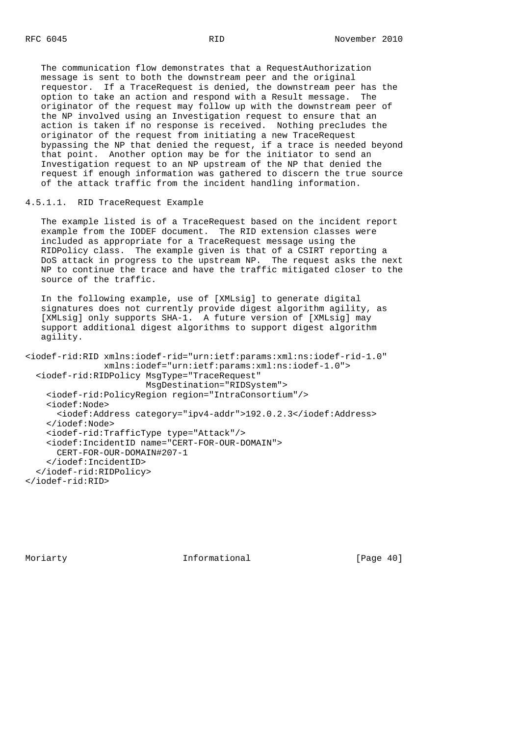The communication flow demonstrates that a RequestAuthorization message is sent to both the downstream peer and the original requestor. If a TraceRequest is denied, the downstream peer has the option to take an action and respond with a Result message. The originator of the request may follow up with the downstream peer of the NP involved using an Investigation request to ensure that an action is taken if no response is received. Nothing precludes the originator of the request from initiating a new TraceRequest bypassing the NP that denied the request, if a trace is needed beyond that point. Another option may be for the initiator to send an Investigation request to an NP upstream of the NP that denied the request if enough information was gathered to discern the true source of the attack traffic from the incident handling information.

4.5.1.1. RID TraceRequest Example

 The example listed is of a TraceRequest based on the incident report example from the IODEF document. The RID extension classes were included as appropriate for a TraceRequest message using the RIDPolicy class. The example given is that of a CSIRT reporting a DoS attack in progress to the upstream NP. The request asks the next NP to continue the trace and have the traffic mitigated closer to the source of the traffic.

 In the following example, use of [XMLsig] to generate digital signatures does not currently provide digest algorithm agility, as [XMLsig] only supports SHA-1. A future version of [XMLsig] may support additional digest algorithms to support digest algorithm agility.

```
<iodef-rid:RID xmlns:iodef-rid="urn:ietf:params:xml:ns:iodef-rid-1.0"
                xmlns:iodef="urn:ietf:params:xml:ns:iodef-1.0">
  <iodef-rid:RIDPolicy MsgType="TraceRequest"
                        MsgDestination="RIDSystem">
     <iodef-rid:PolicyRegion region="IntraConsortium"/>
    <iodef:Node>
       <iodef:Address category="ipv4-addr">192.0.2.3</iodef:Address>
     </iodef:Node>
     <iodef-rid:TrafficType type="Attack"/>
     <iodef:IncidentID name="CERT-FOR-OUR-DOMAIN">
      CERT-FOR-OUR-DOMAIN#207-1
     </iodef:IncidentID>
   </iodef-rid:RIDPolicy>
</iodef-rid:RID>
```
Moriarty **Informational** [Page 40]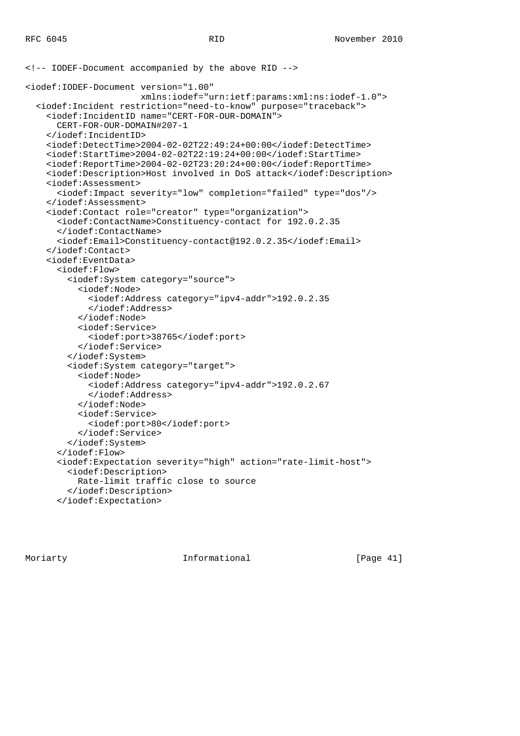```
<!-- IODEF-Document accompanied by the above RID -->
<iodef:IODEF-Document version="1.00"
                       xmlns:iodef="urn:ietf:params:xml:ns:iodef-1.0">
   <iodef:Incident restriction="need-to-know" purpose="traceback">
     <iodef:IncidentID name="CERT-FOR-OUR-DOMAIN">
       CERT-FOR-OUR-DOMAIN#207-1
     </iodef:IncidentID>
     <iodef:DetectTime>2004-02-02T22:49:24+00:00</iodef:DetectTime>
     <iodef:StartTime>2004-02-02T22:19:24+00:00</iodef:StartTime>
     <iodef:ReportTime>2004-02-02T23:20:24+00:00</iodef:ReportTime>
     <iodef:Description>Host involved in DoS attack</iodef:Description>
     <iodef:Assessment>
       <iodef:Impact severity="low" completion="failed" type="dos"/>
     </iodef:Assessment>
     <iodef:Contact role="creator" type="organization">
       <iodef:ContactName>Constituency-contact for 192.0.2.35
       </iodef:ContactName>
       <iodef:Email>Constituency-contact@192.0.2.35</iodef:Email>
     </iodef:Contact>
     <iodef:EventData>
       <iodef:Flow>
         <iodef:System category="source">
           <iodef:Node>
             <iodef:Address category="ipv4-addr">192.0.2.35
             </iodef:Address>
           </iodef:Node>
           <iodef:Service>
             <iodef:port>38765</iodef:port>
           </iodef:Service>
         </iodef:System>
         <iodef:System category="target">
           <iodef:Node>
             <iodef:Address category="ipv4-addr">192.0.2.67
             </iodef:Address>
           </iodef:Node>
           <iodef:Service>
             <iodef:port>80</iodef:port>
           </iodef:Service>
         </iodef:System>
       </iodef:Flow>
       <iodef:Expectation severity="high" action="rate-limit-host">
         <iodef:Description>
           Rate-limit traffic close to source
         </iodef:Description>
       </iodef:Expectation>
```
Moriarty **Informational** [Page 41]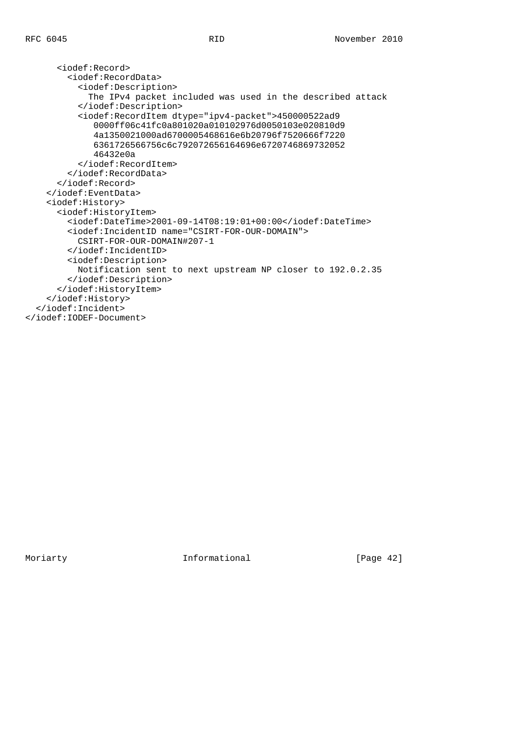<iodef:Record> <iodef:RecordData> <iodef:Description> The IPv4 packet included was used in the described attack </iodef:Description> <iodef:RecordItem dtype="ipv4-packet">450000522ad9 0000ff06c41fc0a801020a010102976d0050103e020810d9 4a1350021000ad6700005468616e6b20796f7520666f7220 6361726566756c6c792072656164696e6720746869732052 46432e0a </iodef:RecordItem> </iodef:RecordData> </iodef:Record> </iodef:EventData> <iodef:History> <iodef:HistoryItem> <iodef:DateTime>2001-09-14T08:19:01+00:00</iodef:DateTime> <iodef:IncidentID name="CSIRT-FOR-OUR-DOMAIN"> CSIRT-FOR-OUR-DOMAIN#207-1 </iodef:IncidentID> <iodef:Description> Notification sent to next upstream NP closer to 192.0.2.35 </iodef:Description> </iodef:HistoryItem> </iodef:History> </iodef:Incident> </iodef:IODEF-Document>

Moriarty **Informational** [Page 42]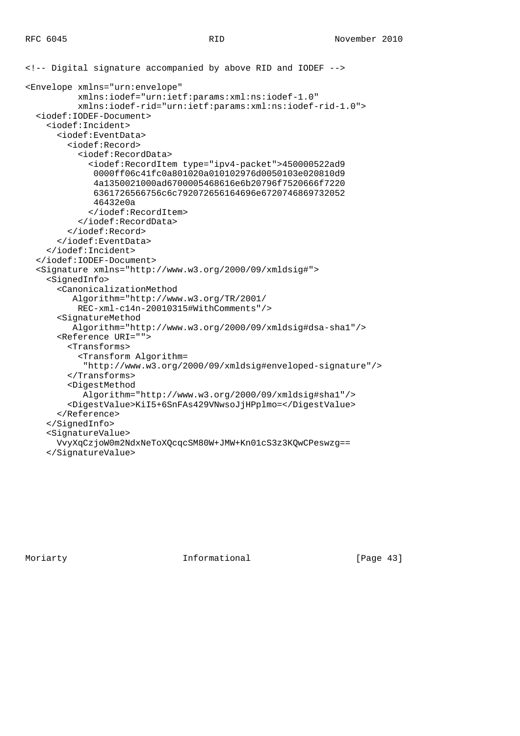```
<!-- Digital signature accompanied by above RID and IODEF -->
<Envelope xmlns="urn:envelope"
           xmlns:iodef="urn:ietf:params:xml:ns:iodef-1.0"
           xmlns:iodef-rid="urn:ietf:params:xml:ns:iodef-rid-1.0">
   <iodef:IODEF-Document>
     <iodef:Incident>
       <iodef:EventData>
         <iodef:Record>
           <iodef:RecordData>
             <iodef:RecordItem type="ipv4-packet">450000522ad9
              0000ff06c41fc0a801020a010102976d0050103e020810d9
              4a1350021000ad6700005468616e6b20796f7520666f7220
              6361726566756c6c792072656164696e6720746869732052
              46432e0a
             </iodef:RecordItem>
           </iodef:RecordData>
         </iodef:Record>
       </iodef:EventData>
     </iodef:Incident>
   </iodef:IODEF-Document>
   <Signature xmlns="http://www.w3.org/2000/09/xmldsig#">
     <SignedInfo>
       <CanonicalizationMethod
          Algorithm="http://www.w3.org/TR/2001/
           REC-xml-c14n-20010315#WithComments"/>
       <SignatureMethod
          Algorithm="http://www.w3.org/2000/09/xmldsig#dsa-sha1"/>
       <Reference URI="">
         <Transforms>
           <Transform Algorithm=
            "http://www.w3.org/2000/09/xmldsig#enveloped-signature"/>
         </Transforms>
         <DigestMethod
            Algorithm="http://www.w3.org/2000/09/xmldsig#sha1"/>
         <DigestValue>KiI5+6SnFAs429VNwsoJjHPplmo=</DigestValue>
       </Reference>
     </SignedInfo>
     <SignatureValue>
       VvyXqCzjoW0m2NdxNeToXQcqcSM80W+JMW+Kn01cS3z3KQwCPeswzg==
     </SignatureValue>
```
Moriarty **Informational** [Page 43]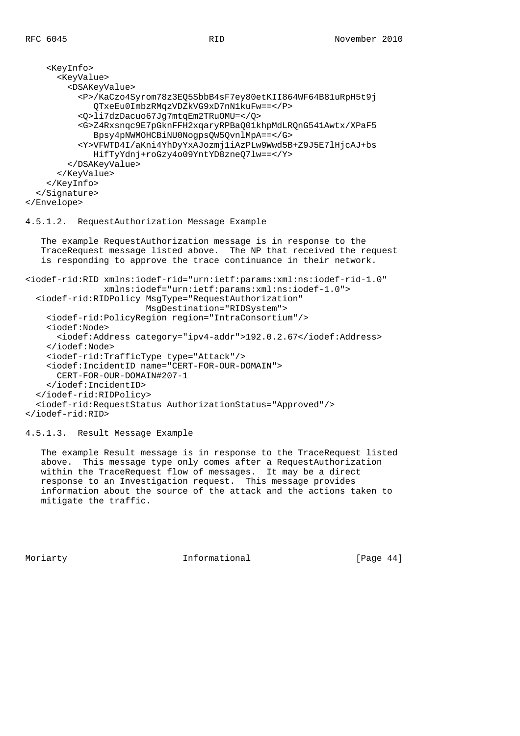```
 <KeyInfo>
       <KeyValue>
         <DSAKeyValue>
           <P>/KaCzo4Syrom78z3EQ5SbbB4sF7ey80etKII864WF64B81uRpH5t9j
              QTxeEu0ImbzRMqzVDZkVG9xD7nN1kuFw==</P>
           <Q>li7dzDacuo67Jg7mtqEm2TRuOMU=</Q>
           <G>Z4Rxsnqc9E7pGknFFH2xqaryRPBaQ01khpMdLRQnG541Awtx/XPaF5
              Bpsy4pNWMOHCBiNU0NogpsQW5QvnlMpA==</G>
           <Y>VFWTD4I/aKni4YhDyYxAJozmj1iAzPLw9Wwd5B+Z9J5E7lHjcAJ+bs
              HifTyYdnj+roGzy4o09YntYD8zneQ7lw==</Y>
         </DSAKeyValue>
       </KeyValue>
     </KeyInfo>
   </Signature>
</Envelope>
```
# 4.5.1.2. RequestAuthorization Message Example

 The example RequestAuthorization message is in response to the TraceRequest message listed above. The NP that received the request is responding to approve the trace continuance in their network.

```
<iodef-rid:RID xmlns:iodef-rid="urn:ietf:params:xml:ns:iodef-rid-1.0"
                xmlns:iodef="urn:ietf:params:xml:ns:iodef-1.0">
   <iodef-rid:RIDPolicy MsgType="RequestAuthorization"
                        MsgDestination="RIDSystem">
     <iodef-rid:PolicyRegion region="IntraConsortium"/>
     <iodef:Node>
       <iodef:Address category="ipv4-addr">192.0.2.67</iodef:Address>
     </iodef:Node>
     <iodef-rid:TrafficType type="Attack"/>
     <iodef:IncidentID name="CERT-FOR-OUR-DOMAIN">
       CERT-FOR-OUR-DOMAIN#207-1
     </iodef:IncidentID>
   </iodef-rid:RIDPolicy>
   <iodef-rid:RequestStatus AuthorizationStatus="Approved"/>
</iodef-rid:RID>
```
4.5.1.3. Result Message Example

 The example Result message is in response to the TraceRequest listed above. This message type only comes after a RequestAuthorization within the TraceRequest flow of messages. It may be a direct response to an Investigation request. This message provides information about the source of the attack and the actions taken to mitigate the traffic.

Moriarty **Informational Informational** [Page 44]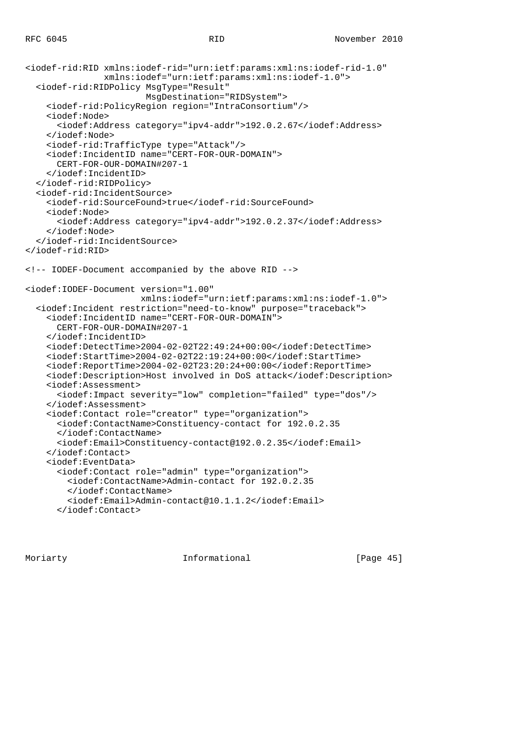```
<iodef-rid:RID xmlns:iodef-rid="urn:ietf:params:xml:ns:iodef-rid-1.0"
                xmlns:iodef="urn:ietf:params:xml:ns:iodef-1.0">
   <iodef-rid:RIDPolicy MsgType="Result"
                        MsgDestination="RIDSystem">
     <iodef-rid:PolicyRegion region="IntraConsortium"/>
     <iodef:Node>
       <iodef:Address category="ipv4-addr">192.0.2.67</iodef:Address>
     </iodef:Node>
     <iodef-rid:TrafficType type="Attack"/>
     <iodef:IncidentID name="CERT-FOR-OUR-DOMAIN">
       CERT-FOR-OUR-DOMAIN#207-1
     </iodef:IncidentID>
   </iodef-rid:RIDPolicy>
   <iodef-rid:IncidentSource>
     <iodef-rid:SourceFound>true</iodef-rid:SourceFound>
     <iodef:Node>
       <iodef:Address category="ipv4-addr">192.0.2.37</iodef:Address>
     </iodef:Node>
   </iodef-rid:IncidentSource>
</iodef-rid:RID>
<!-- IODEF-Document accompanied by the above RID -->
<iodef:IODEF-Document version="1.00"
                       xmlns:iodef="urn:ietf:params:xml:ns:iodef-1.0">
   <iodef:Incident restriction="need-to-know" purpose="traceback">
     <iodef:IncidentID name="CERT-FOR-OUR-DOMAIN">
       CERT-FOR-OUR-DOMAIN#207-1
     </iodef:IncidentID>
     <iodef:DetectTime>2004-02-02T22:49:24+00:00</iodef:DetectTime>
     <iodef:StartTime>2004-02-02T22:19:24+00:00</iodef:StartTime>
     <iodef:ReportTime>2004-02-02T23:20:24+00:00</iodef:ReportTime>
     <iodef:Description>Host involved in DoS attack</iodef:Description>
     <iodef:Assessment>
       <iodef:Impact severity="low" completion="failed" type="dos"/>
     </iodef:Assessment>
     <iodef:Contact role="creator" type="organization">
       <iodef:ContactName>Constituency-contact for 192.0.2.35
       </iodef:ContactName>
       <iodef:Email>Constituency-contact@192.0.2.35</iodef:Email>
     </iodef:Contact>
     <iodef:EventData>
       <iodef:Contact role="admin" type="organization">
         <iodef:ContactName>Admin-contact for 192.0.2.35
         </iodef:ContactName>
         <iodef:Email>Admin-contact@10.1.1.2</iodef:Email>
       </iodef:Contact>
```
Moriarty **Informational Informational** [Page 45]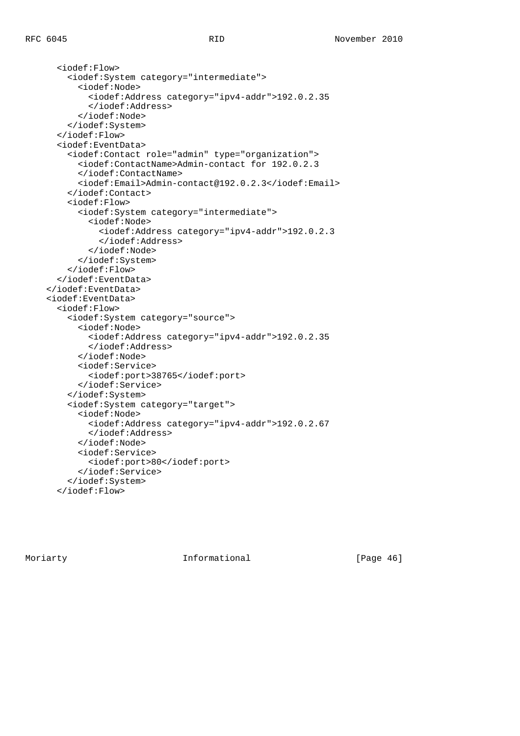```
 <iodef:Flow>
     <iodef:System category="intermediate">
       <iodef:Node>
         <iodef:Address category="ipv4-addr">192.0.2.35
         </iodef:Address>
       </iodef:Node>
     </iodef:System>
   </iodef:Flow>
   <iodef:EventData>
     <iodef:Contact role="admin" type="organization">
       <iodef:ContactName>Admin-contact for 192.0.2.3
       </iodef:ContactName>
       <iodef:Email>Admin-contact@192.0.2.3</iodef:Email>
     </iodef:Contact>
     <iodef:Flow>
       <iodef:System category="intermediate">
         <iodef:Node>
           <iodef:Address category="ipv4-addr">192.0.2.3
           </iodef:Address>
         </iodef:Node>
       </iodef:System>
     </iodef:Flow>
   </iodef:EventData>
 </iodef:EventData>
 <iodef:EventData>
   <iodef:Flow>
     <iodef:System category="source">
       <iodef:Node>
         <iodef:Address category="ipv4-addr">192.0.2.35
         </iodef:Address>
       </iodef:Node>
       <iodef:Service>
         <iodef:port>38765</iodef:port>
       </iodef:Service>
     </iodef:System>
     <iodef:System category="target">
       <iodef:Node>
         <iodef:Address category="ipv4-addr">192.0.2.67
         </iodef:Address>
       </iodef:Node>
       <iodef:Service>
         <iodef:port>80</iodef:port>
       </iodef:Service>
     </iodef:System>
   </iodef:Flow>
```
Moriarty **Informational Informational** [Page 46]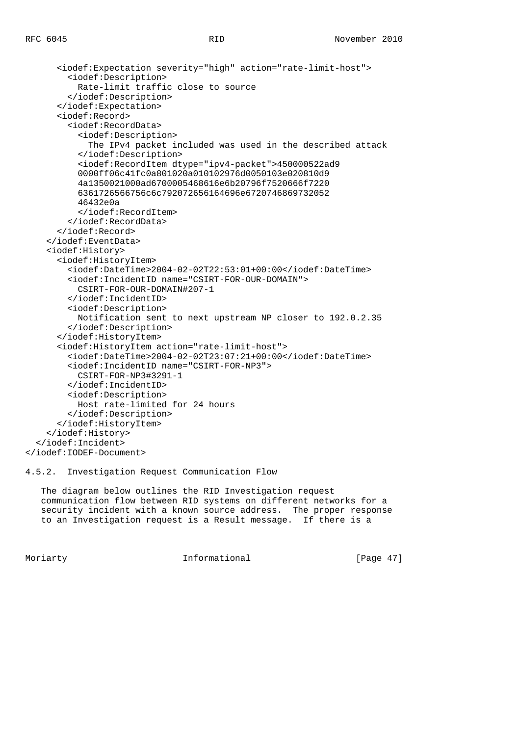```
 <iodef:Expectation severity="high" action="rate-limit-host">
       <iodef:Description>
         Rate-limit traffic close to source
       </iodef:Description>
     </iodef:Expectation>
     <iodef:Record>
       <iodef:RecordData>
         <iodef:Description>
           The IPv4 packet included was used in the described attack
         </iodef:Description>
         <iodef:RecordItem dtype="ipv4-packet">450000522ad9
         0000ff06c41fc0a801020a010102976d0050103e020810d9
         4a1350021000ad6700005468616e6b20796f7520666f7220
         6361726566756c6c792072656164696e6720746869732052
         46432e0a
         </iodef:RecordItem>
       </iodef:RecordData>
     </iodef:Record>
   </iodef:EventData>
   <iodef:History>
     <iodef:HistoryItem>
       <iodef:DateTime>2004-02-02T22:53:01+00:00</iodef:DateTime>
       <iodef:IncidentID name="CSIRT-FOR-OUR-DOMAIN">
         CSIRT-FOR-OUR-DOMAIN#207-1
       </iodef:IncidentID>
       <iodef:Description>
         Notification sent to next upstream NP closer to 192.0.2.35
       </iodef:Description>
     </iodef:HistoryItem>
     <iodef:HistoryItem action="rate-limit-host">
       <iodef:DateTime>2004-02-02T23:07:21+00:00</iodef:DateTime>
       <iodef:IncidentID name="CSIRT-FOR-NP3">
         CSIRT-FOR-NP3#3291-1
       </iodef:IncidentID>
       <iodef:Description>
         Host rate-limited for 24 hours
       </iodef:Description>
     </iodef:HistoryItem>
   </iodef:History>
 </iodef:Incident>
```
</iodef:IODEF-Document>

4.5.2. Investigation Request Communication Flow

 The diagram below outlines the RID Investigation request communication flow between RID systems on different networks for a security incident with a known source address. The proper response to an Investigation request is a Result message. If there is a

Moriarty **Informational** [Page 47]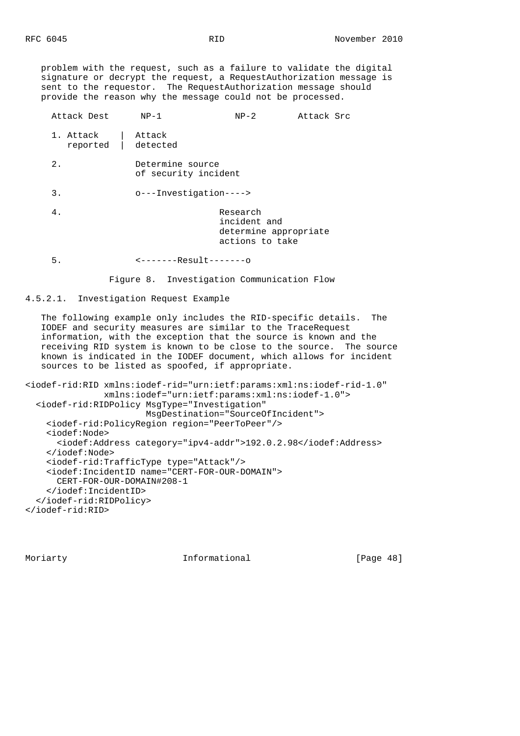problem with the request, such as a failure to validate the digital signature or decrypt the request, a RequestAuthorization message is sent to the requestor. The RequestAuthorization message should provide the reason why the message could not be processed.

| Attack Dest           | $NP-1$                                   | $NP-2$                                                               | Attack Src |  |  |
|-----------------------|------------------------------------------|----------------------------------------------------------------------|------------|--|--|
| 1. Attack<br>reported | Attack<br>detected                       |                                                                      |            |  |  |
| 2.                    | Determine source<br>of security incident |                                                                      |            |  |  |
| 3.                    | o---Investigation---->                   |                                                                      |            |  |  |
| 4.                    |                                          | Research<br>incident and<br>determine appropriate<br>actions to take |            |  |  |
| 5.                    | <-------Result-------o                   |                                                                      |            |  |  |

Figure 8. Investigation Communication Flow

### 4.5.2.1. Investigation Request Example

 The following example only includes the RID-specific details. The IODEF and security measures are similar to the TraceRequest information, with the exception that the source is known and the receiving RID system is known to be close to the source. The source known is indicated in the IODEF document, which allows for incident sources to be listed as spoofed, if appropriate.

```
<iodef-rid:RID xmlns:iodef-rid="urn:ietf:params:xml:ns:iodef-rid-1.0"
                xmlns:iodef="urn:ietf:params:xml:ns:iodef-1.0">
  <iodef-rid:RIDPolicy MsgType="Investigation"
                        MsgDestination="SourceOfIncident">
     <iodef-rid:PolicyRegion region="PeerToPeer"/>
    <iodef:Node>
       <iodef:Address category="ipv4-addr">192.0.2.98</iodef:Address>
     </iodef:Node>
     <iodef-rid:TrafficType type="Attack"/>
     <iodef:IncidentID name="CERT-FOR-OUR-DOMAIN">
      CERT-FOR-OUR-DOMAIN#208-1
     </iodef:IncidentID>
   </iodef-rid:RIDPolicy>
</iodef-rid:RID>
```
Moriarty **Informational** [Page 48]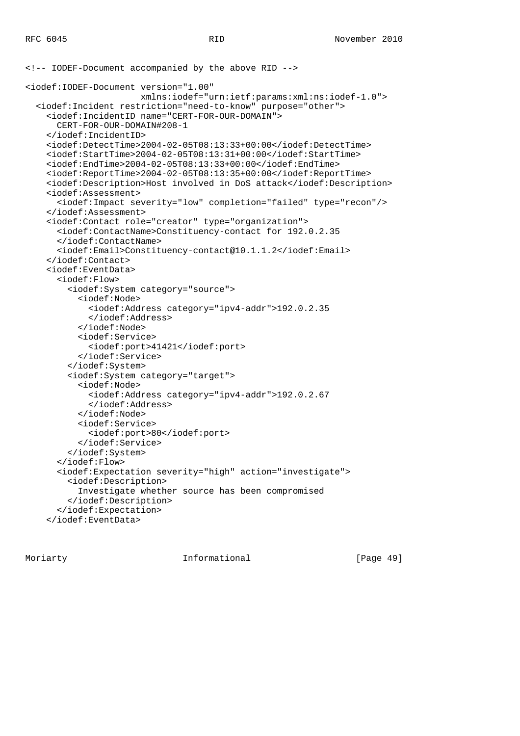```
<!-- IODEF-Document accompanied by the above RID -->
<iodef:IODEF-Document version="1.00"
                       xmlns:iodef="urn:ietf:params:xml:ns:iodef-1.0">
   <iodef:Incident restriction="need-to-know" purpose="other">
     <iodef:IncidentID name="CERT-FOR-OUR-DOMAIN">
       CERT-FOR-OUR-DOMAIN#208-1
     </iodef:IncidentID>
     <iodef:DetectTime>2004-02-05T08:13:33+00:00</iodef:DetectTime>
     <iodef:StartTime>2004-02-05T08:13:31+00:00</iodef:StartTime>
     <iodef:EndTime>2004-02-05T08:13:33+00:00</iodef:EndTime>
     <iodef:ReportTime>2004-02-05T08:13:35+00:00</iodef:ReportTime>
     <iodef:Description>Host involved in DoS attack</iodef:Description>
     <iodef:Assessment>
       <iodef:Impact severity="low" completion="failed" type="recon"/>
     </iodef:Assessment>
     <iodef:Contact role="creator" type="organization">
       <iodef:ContactName>Constituency-contact for 192.0.2.35
       </iodef:ContactName>
       <iodef:Email>Constituency-contact@10.1.1.2</iodef:Email>
     </iodef:Contact>
     <iodef:EventData>
       <iodef:Flow>
         <iodef:System category="source">
           <iodef:Node>
             <iodef:Address category="ipv4-addr">192.0.2.35
             </iodef:Address>
           </iodef:Node>
           <iodef:Service>
             <iodef:port>41421</iodef:port>
           </iodef:Service>
         </iodef:System>
         <iodef:System category="target">
           <iodef:Node>
             <iodef:Address category="ipv4-addr">192.0.2.67
             </iodef:Address>
           </iodef:Node>
           <iodef:Service>
             <iodef:port>80</iodef:port>
           </iodef:Service>
         </iodef:System>
       </iodef:Flow>
       <iodef:Expectation severity="high" action="investigate">
         <iodef:Description>
           Investigate whether source has been compromised
         </iodef:Description>
       </iodef:Expectation>
     </iodef:EventData>
```
Moriarty **Informational** [Page 49]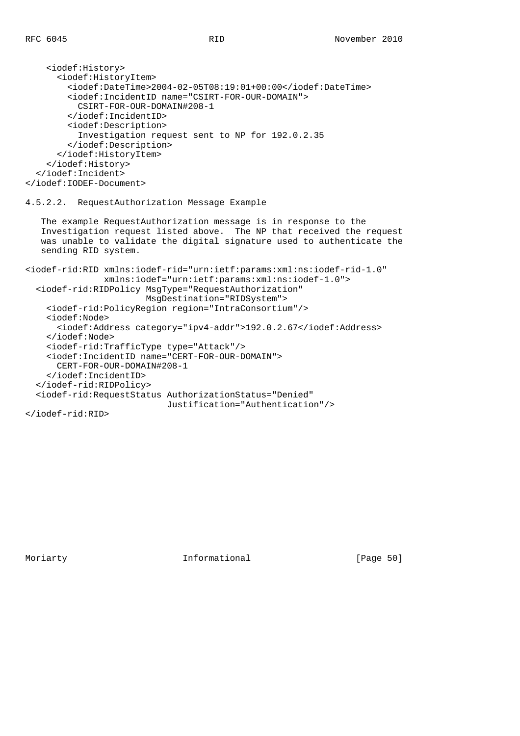```
 <iodef:History>
       <iodef:HistoryItem>
         <iodef:DateTime>2004-02-05T08:19:01+00:00</iodef:DateTime>
         <iodef:IncidentID name="CSIRT-FOR-OUR-DOMAIN">
           CSIRT-FOR-OUR-DOMAIN#208-1
         </iodef:IncidentID>
         <iodef:Description>
           Investigation request sent to NP for 192.0.2.35
         </iodef:Description>
       </iodef:HistoryItem>
     </iodef:History>
   </iodef:Incident>
</iodef:IODEF-Document>
4.5.2.2. RequestAuthorization Message Example
   The example RequestAuthorization message is in response to the
    Investigation request listed above. The NP that received the request
   was unable to validate the digital signature used to authenticate the
   sending RID system.
<iodef-rid:RID xmlns:iodef-rid="urn:ietf:params:xml:ns:iodef-rid-1.0"
                xmlns:iodef="urn:ietf:params:xml:ns:iodef-1.0">
   <iodef-rid:RIDPolicy MsgType="RequestAuthorization"
                        MsgDestination="RIDSystem">
     <iodef-rid:PolicyRegion region="IntraConsortium"/>
     <iodef:Node>
       <iodef:Address category="ipv4-addr">192.0.2.67</iodef:Address>
     </iodef:Node>
     <iodef-rid:TrafficType type="Attack"/>
     <iodef:IncidentID name="CERT-FOR-OUR-DOMAIN">
       CERT-FOR-OUR-DOMAIN#208-1
     </iodef:IncidentID>
   </iodef-rid:RIDPolicy>
   <iodef-rid:RequestStatus AuthorizationStatus="Denied"
                            Justification="Authentication"/>
</iodef-rid:RID>
```
Moriarty **Informational** [Page 50]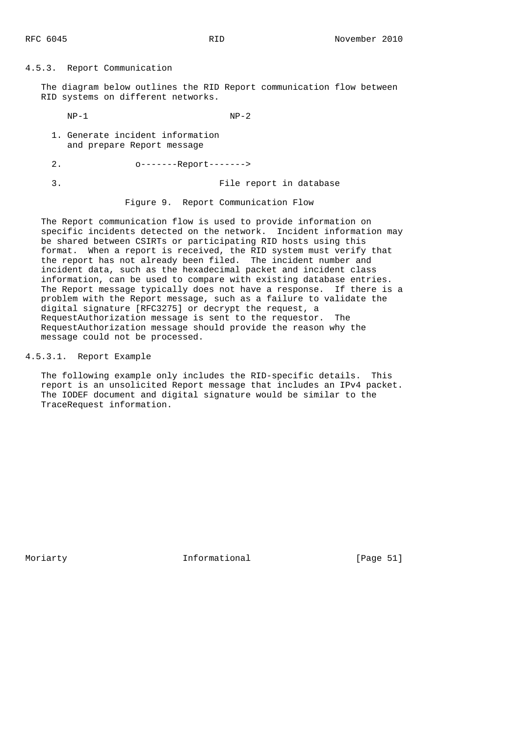4.5.3. Report Communication

 The diagram below outlines the RID Report communication flow between RID systems on different networks.

 $NP-1$   $NP-2$ 

 1. Generate incident information and prepare Report message

 2. o-------Report-------> 3. File report in database

Figure 9. Report Communication Flow

 The Report communication flow is used to provide information on specific incidents detected on the network. Incident information may be shared between CSIRTs or participating RID hosts using this format. When a report is received, the RID system must verify that the report has not already been filed. The incident number and incident data, such as the hexadecimal packet and incident class information, can be used to compare with existing database entries. The Report message typically does not have a response. If there is a problem with the Report message, such as a failure to validate the digital signature [RFC3275] or decrypt the request, a RequestAuthorization message is sent to the requestor. The RequestAuthorization message should provide the reason why the message could not be processed.

4.5.3.1. Report Example

 The following example only includes the RID-specific details. This report is an unsolicited Report message that includes an IPv4 packet. The IODEF document and digital signature would be similar to the TraceRequest information.

Moriarty **Informational** [Page 51]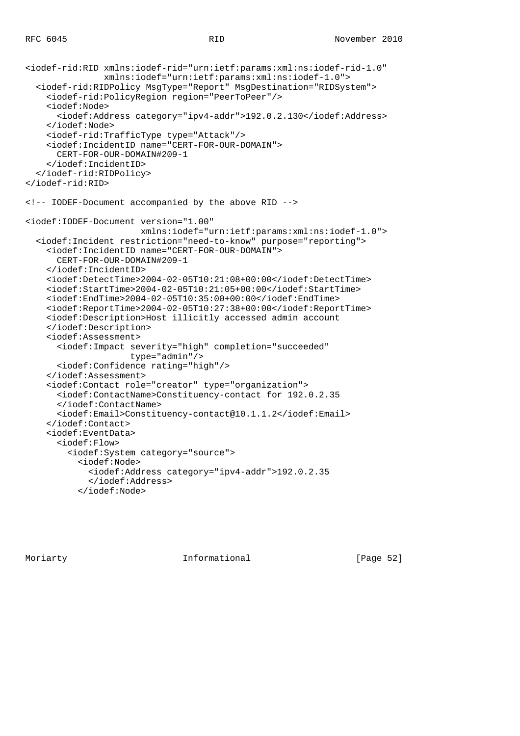```
<iodef-rid:RID xmlns:iodef-rid="urn:ietf:params:xml:ns:iodef-rid-1.0"
                xmlns:iodef="urn:ietf:params:xml:ns:iodef-1.0">
   <iodef-rid:RIDPolicy MsgType="Report" MsgDestination="RIDSystem">
     <iodef-rid:PolicyRegion region="PeerToPeer"/>
     <iodef:Node>
       <iodef:Address category="ipv4-addr">192.0.2.130</iodef:Address>
     </iodef:Node>
     <iodef-rid:TrafficType type="Attack"/>
     <iodef:IncidentID name="CERT-FOR-OUR-DOMAIN">
       CERT-FOR-OUR-DOMAIN#209-1
     </iodef:IncidentID>
   </iodef-rid:RIDPolicy>
</iodef-rid:RID>
<!-- IODEF-Document accompanied by the above RID -->
<iodef:IODEF-Document version="1.00"
                       xmlns:iodef="urn:ietf:params:xml:ns:iodef-1.0">
   <iodef:Incident restriction="need-to-know" purpose="reporting">
     <iodef:IncidentID name="CERT-FOR-OUR-DOMAIN">
       CERT-FOR-OUR-DOMAIN#209-1
     </iodef:IncidentID>
     <iodef:DetectTime>2004-02-05T10:21:08+00:00</iodef:DetectTime>
     <iodef:StartTime>2004-02-05T10:21:05+00:00</iodef:StartTime>
     <iodef:EndTime>2004-02-05T10:35:00+00:00</iodef:EndTime>
     <iodef:ReportTime>2004-02-05T10:27:38+00:00</iodef:ReportTime>
     <iodef:Description>Host illicitly accessed admin account
     </iodef:Description>
     <iodef:Assessment>
       <iodef:Impact severity="high" completion="succeeded"
                     type="admin"/>
       <iodef:Confidence rating="high"/>
     </iodef:Assessment>
     <iodef:Contact role="creator" type="organization">
       <iodef:ContactName>Constituency-contact for 192.0.2.35
       </iodef:ContactName>
       <iodef:Email>Constituency-contact@10.1.1.2</iodef:Email>
     </iodef:Contact>
     <iodef:EventData>
       <iodef:Flow>
         <iodef:System category="source">
           <iodef:Node>
             <iodef:Address category="ipv4-addr">192.0.2.35
             </iodef:Address>
           </iodef:Node>
```
Moriarty **Informational** [Page 52]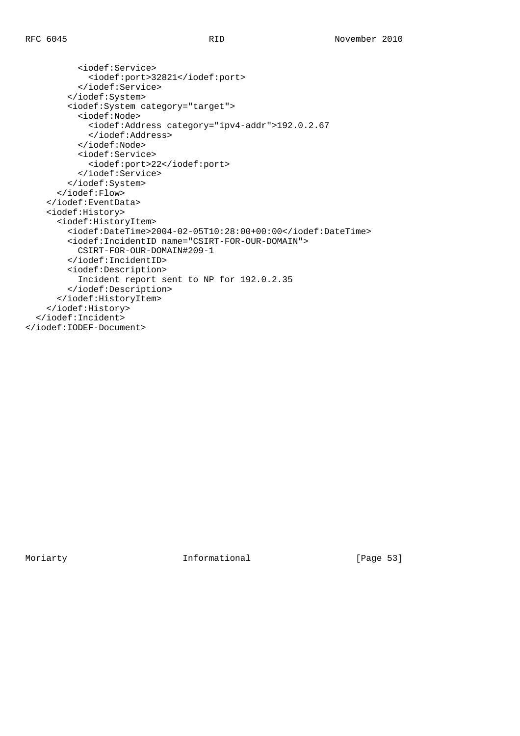```
 <iodef:Service>
             <iodef:port>32821</iodef:port>
           </iodef:Service>
         </iodef:System>
         <iodef:System category="target">
           <iodef:Node>
             <iodef:Address category="ipv4-addr">192.0.2.67
             </iodef:Address>
           </iodef:Node>
           <iodef:Service>
             <iodef:port>22</iodef:port>
           </iodef:Service>
         </iodef:System>
       </iodef:Flow>
     </iodef:EventData>
     <iodef:History>
       <iodef:HistoryItem>
         <iodef:DateTime>2004-02-05T10:28:00+00:00</iodef:DateTime>
         <iodef:IncidentID name="CSIRT-FOR-OUR-DOMAIN">
           CSIRT-FOR-OUR-DOMAIN#209-1
         </iodef:IncidentID>
         <iodef:Description>
           Incident report sent to NP for 192.0.2.35
         </iodef:Description>
       </iodef:HistoryItem>
     </iodef:History>
   </iodef:Incident>
</iodef:IODEF-Document>
```
Moriarty 1nformational [Page 53]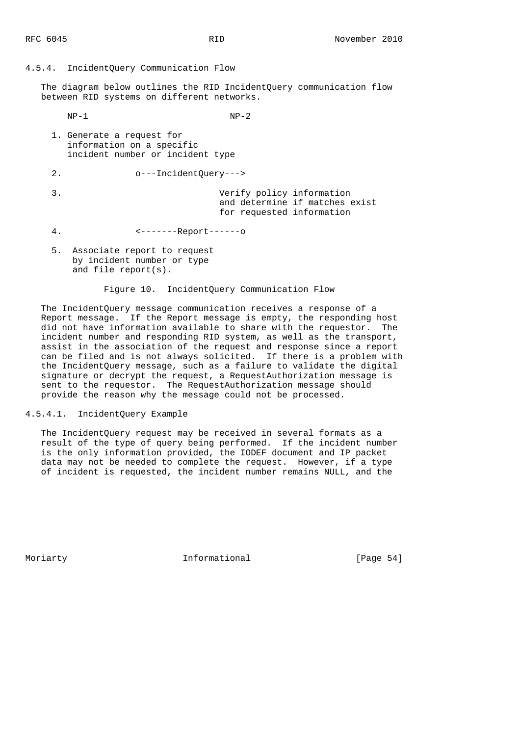#### 4.5.4. IncidentQuery Communication Flow

 The diagram below outlines the RID IncidentQuery communication flow between RID systems on different networks.

 $NP-1$   $NP-2$  1. Generate a request for information on a specific incident number or incident type 2. o---IncidentQuery---> 3. Verify policy information and determine if matches exist for requested information 4. <-------Report------o 5. Associate report to request by incident number or type and file report(s).

Figure 10. IncidentQuery Communication Flow

 The IncidentQuery message communication receives a response of a Report message. If the Report message is empty, the responding host did not have information available to share with the requestor. The incident number and responding RID system, as well as the transport, assist in the association of the request and response since a report can be filed and is not always solicited. If there is a problem with the IncidentQuery message, such as a failure to validate the digital signature or decrypt the request, a RequestAuthorization message is sent to the requestor. The RequestAuthorization message should provide the reason why the message could not be processed.

### 4.5.4.1. IncidentQuery Example

 The IncidentQuery request may be received in several formats as a result of the type of query being performed. If the incident number is the only information provided, the IODEF document and IP packet data may not be needed to complete the request. However, if a type of incident is requested, the incident number remains NULL, and the

Moriarty **Informational** [Page 54]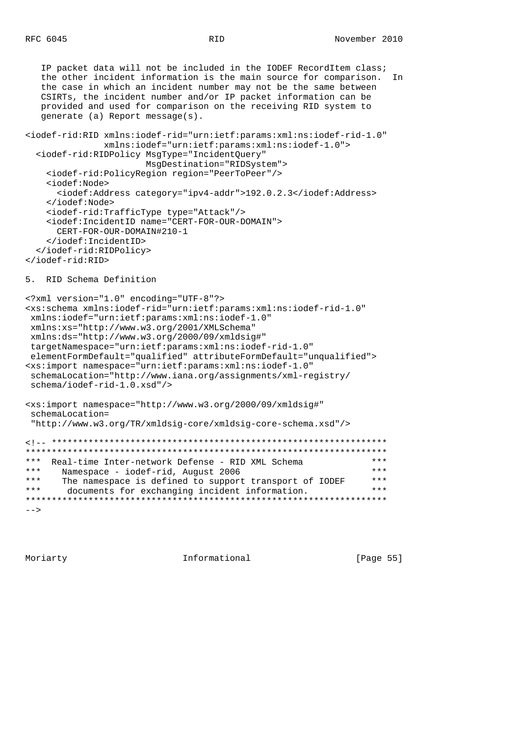IP packet data will not be included in the IODEF RecordItem class; the other incident information is the main source for comparison. In the case in which an incident number may not be the same between CSIRTs, the incident number and/or IP packet information can be provided and used for comparison on the receiving RID system to generate (a) Report message(s). <iodef-rid:RID xmlns:iodef-rid="urn:ietf:params:xml:ns:iodef-rid-1.0" xmlns:iodef="urn:ietf:params:xml:ns:iodef-1.0"> <iodef-rid:RIDPolicy MsgType="IncidentQuery" MsgDestination="RIDSystem"> <iodef-rid:PolicyRegion region="PeerToPeer"/> <iodef:Node> <iodef:Address category="ipv4-addr">192.0.2.3</iodef:Address> </iodef:Node> <iodef-rid:TrafficType type="Attack"/> <iodef:IncidentID name="CERT-FOR-OUR-DOMAIN"> CERT-FOR-OUR-DOMAIN#210-1 </iodef:IncidentID> </iodef-rid:RIDPolicy> </iodef-rid:RID> 5. RID Schema Definition <?xml version="1.0" encoding="UTF-8"?> <xs:schema xmlns:iodef-rid="urn:ietf:params:xml:ns:iodef-rid-1.0" xmlns:iodef="urn:ietf:params:xml:ns:iodef-1.0" xmlns:xs="http://www.w3.org/2001/XMLSchema" xmlns:ds="http://www.w3.org/2000/09/xmldsig#" targetNamespace="urn:ietf:params:xml:ns:iodef-rid-1.0" elementFormDefault="qualified" attributeFormDefault="unqualified"> <xs:import namespace="urn:ietf:params:xml:ns:iodef-1.0" schemaLocation="http://www.iana.org/assignments/xml-registry/ schema/iodef-rid-1.0.xsd"/> <xs:import namespace="http://www.w3.org/2000/09/xmldsig#" schemaLocation= "http://www.w3.org/TR/xmldsig-core/xmldsig-core-schema.xsd"/> <!-- \*\*\*\*\*\*\*\*\*\*\*\*\*\*\*\*\*\*\*\*\*\*\*\*\*\*\*\*\*\*\*\*\*\*\*\*\*\*\*\*\*\*\*\*\*\*\*\*\*\*\*\*\*\*\*\*\*\*\*\*\*\*\*\* \*\*\*\*\*\*\*\*\*\*\*\*\*\*\*\*\*\*\*\*\*\*\*\*\*\*\*\*\*\*\*\*\*\*\*\*\*\*\*\*\*\*\*\*\*\*\*\*\*\*\*\*\*\*\*\*\*\*\*\*\*\*\*\*\*\*\*\*\* \*\*\* Real-time Inter-network Defense - RID XML Schema \*\*\* \*\*\* Wamespace - iodef-rid, August 2006 \*\*\* Namespace - iodef-rid, August 2006 \*\*\*<br>\*\*\* The namespace is defined to support transport of IODEF \*\*\* \*\*\* The namespace is defined to support transport of IODEF \*\*\*<br>\*\*\* documents for exchanging incident information \*\*\* documents for exchanging incident information. \*\*\*\*\*\*\*\*\*\*\*\*\*\*\*\*\*\*\*\*\*\*\*\*\*\*\*\*\*\*\*\*\*\*\*\*\*\*\*\*\*\*\*\*\*\*\*\*\*\*\*\*\*\*\*\*\*\*\*\*\*\*\*\*\*\*\*\*\*  $--&>$ 

Moriarty **Informational** [Page 55]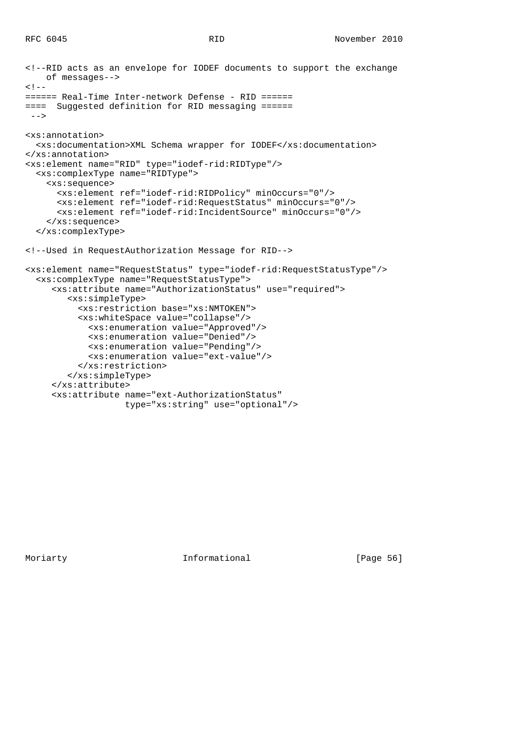```
<!--RID acts as an envelope for IODEF documents to support the exchange
    of messages-->
\lt ! -====== Real-Time Inter-network Defense - RID ======
==== Suggested definition for RID messaging ======
--<xs:annotation>
  <xs:documentation>XML Schema wrapper for IODEF</xs:documentation>
</xs:annotation>
<xs:element name="RID" type="iodef-rid:RIDType"/>
   <xs:complexType name="RIDType">
     <xs:sequence>
       <xs:element ref="iodef-rid:RIDPolicy" minOccurs="0"/>
       <xs:element ref="iodef-rid:RequestStatus" minOccurs="0"/>
       <xs:element ref="iodef-rid:IncidentSource" minOccurs="0"/>
     </xs:sequence>
   </xs:complexType>
<!--Used in RequestAuthorization Message for RID-->
<xs:element name="RequestStatus" type="iodef-rid:RequestStatusType"/>
   <xs:complexType name="RequestStatusType">
      <xs:attribute name="AuthorizationStatus" use="required">
         <xs:simpleType>
           <xs:restriction base="xs:NMTOKEN">
           <xs:whiteSpace value="collapse"/>
             <xs:enumeration value="Approved"/>
             <xs:enumeration value="Denied"/>
             <xs:enumeration value="Pending"/>
             <xs:enumeration value="ext-value"/>
           </xs:restriction>
         </xs:simpleType>
      </xs:attribute>
      <xs:attribute name="ext-AuthorizationStatus"
                    type="xs:string" use="optional"/>
```
Moriarty **Informational** [Page 56]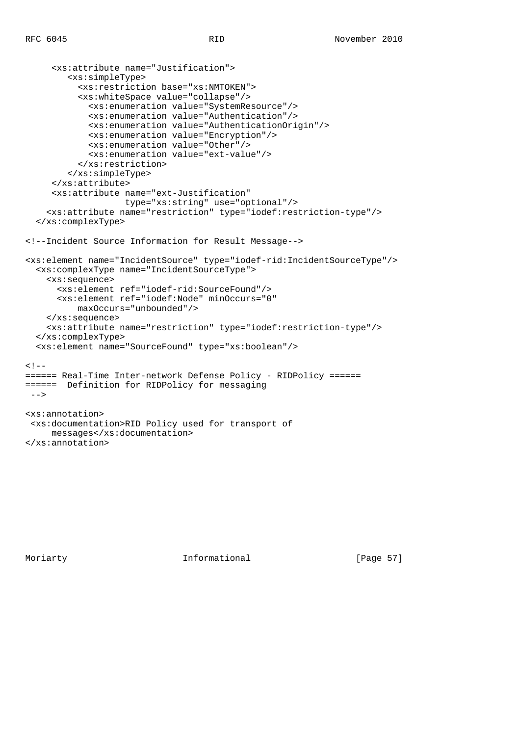```
 <xs:attribute name="Justification">
         <xs:simpleType>
           <xs:restriction base="xs:NMTOKEN">
           <xs:whiteSpace value="collapse"/>
             <xs:enumeration value="SystemResource"/>
             <xs:enumeration value="Authentication"/>
             <xs:enumeration value="AuthenticationOrigin"/>
             <xs:enumeration value="Encryption"/>
             <xs:enumeration value="Other"/>
             <xs:enumeration value="ext-value"/>
           </xs:restriction>
         </xs:simpleType>
      </xs:attribute>
      <xs:attribute name="ext-Justification"
                    type="xs:string" use="optional"/>
     <xs:attribute name="restriction" type="iodef:restriction-type"/>
   </xs:complexType>
<!--Incident Source Information for Result Message-->
<xs:element name="IncidentSource" type="iodef-rid:IncidentSourceType"/>
   <xs:complexType name="IncidentSourceType">
     <xs:sequence>
       <xs:element ref="iodef-rid:SourceFound"/>
       <xs:element ref="iodef:Node" minOccurs="0"
           maxOccurs="unbounded"/>
     </xs:sequence>
     <xs:attribute name="restriction" type="iodef:restriction-type"/>
   </xs:complexType>
   <xs:element name="SourceFound" type="xs:boolean"/>
< 1 - -====== Real-Time Inter-network Defense Policy - RIDPolicy ======
====== Definition for RIDPolicy for messaging
--&><xs:annotation>
 <xs:documentation>RID Policy used for transport of
     messages</xs:documentation>
</xs:annotation>
```
Moriarty **Informational** [Page 57]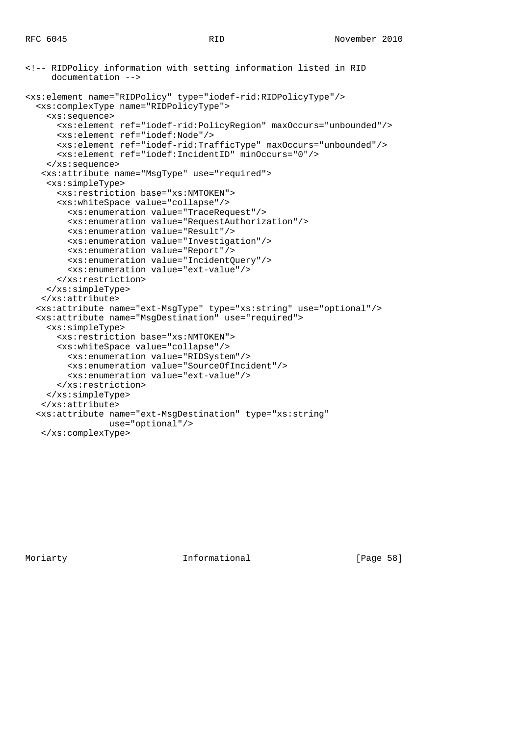```
<!-- RIDPolicy information with setting information listed in RID
      documentation -->
<xs:element name="RIDPolicy" type="iodef-rid:RIDPolicyType"/>
   <xs:complexType name="RIDPolicyType">
     <xs:sequence>
       <xs:element ref="iodef-rid:PolicyRegion" maxOccurs="unbounded"/>
       <xs:element ref="iodef:Node"/>
       <xs:element ref="iodef-rid:TrafficType" maxOccurs="unbounded"/>
       <xs:element ref="iodef:IncidentID" minOccurs="0"/>
     </xs:sequence>
    <xs:attribute name="MsgType" use="required">
     <xs:simpleType>
       <xs:restriction base="xs:NMTOKEN">
       <xs:whiteSpace value="collapse"/>
         <xs:enumeration value="TraceRequest"/>
         <xs:enumeration value="RequestAuthorization"/>
         <xs:enumeration value="Result"/>
         <xs:enumeration value="Investigation"/>
         <xs:enumeration value="Report"/>
         <xs:enumeration value="IncidentQuery"/>
         <xs:enumeration value="ext-value"/>
       </xs:restriction>
     </xs:simpleType>
    </xs:attribute>
   <xs:attribute name="ext-MsgType" type="xs:string" use="optional"/>
   <xs:attribute name="MsgDestination" use="required">
     <xs:simpleType>
       <xs:restriction base="xs:NMTOKEN">
       <xs:whiteSpace value="collapse"/>
        <xs:enumeration value="RIDSystem"/>
         <xs:enumeration value="SourceOfIncident"/>
         <xs:enumeration value="ext-value"/>
       </xs:restriction>
     </xs:simpleType>
    </xs:attribute>
   <xs:attribute name="ext-MsgDestination" type="xs:string"
                 use="optional"/>
    </xs:complexType>
```
Moriarty **Informational** [Page 58]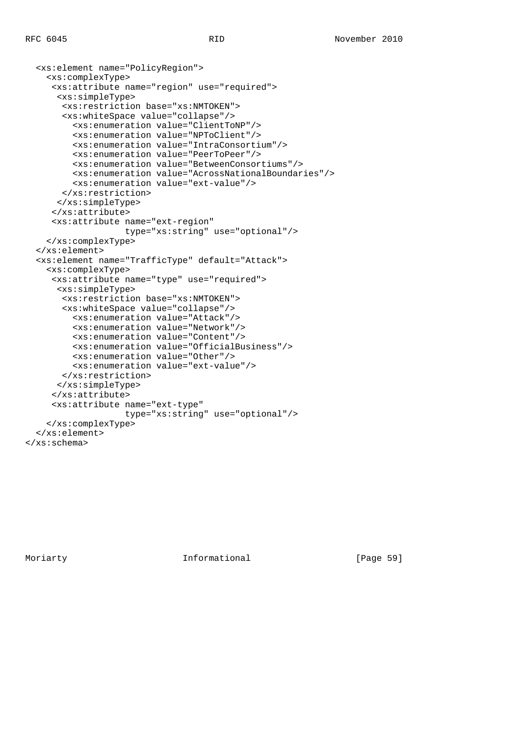```
 <xs:element name="PolicyRegion">
     <xs:complexType>
      <xs:attribute name="region" use="required">
       <xs:simpleType>
        <xs:restriction base="xs:NMTOKEN">
        <xs:whiteSpace value="collapse"/>
          <xs:enumeration value="ClientToNP"/>
          <xs:enumeration value="NPToClient"/>
          <xs:enumeration value="IntraConsortium"/>
          <xs:enumeration value="PeerToPeer"/>
          <xs:enumeration value="BetweenConsortiums"/>
          <xs:enumeration value="AcrossNationalBoundaries"/>
          <xs:enumeration value="ext-value"/>
        </xs:restriction>
       </xs:simpleType>
      </xs:attribute>
      <xs:attribute name="ext-region"
                    type="xs:string" use="optional"/>
     </xs:complexType>
   </xs:element>
   <xs:element name="TrafficType" default="Attack">
     <xs:complexType>
      <xs:attribute name="type" use="required">
       <xs:simpleType>
        <xs:restriction base="xs:NMTOKEN">
        <xs:whiteSpace value="collapse"/>
          <xs:enumeration value="Attack"/>
          <xs:enumeration value="Network"/>
          <xs:enumeration value="Content"/>
          <xs:enumeration value="OfficialBusiness"/>
          <xs:enumeration value="Other"/>
          <xs:enumeration value="ext-value"/>
       </xs:restriction>
       </xs:simpleType>
      </xs:attribute>
      <xs:attribute name="ext-type"
                    type="xs:string" use="optional"/>
     </xs:complexType>
   </xs:element>
</xs:schema>
```
Moriarty **Informational** [Page 59]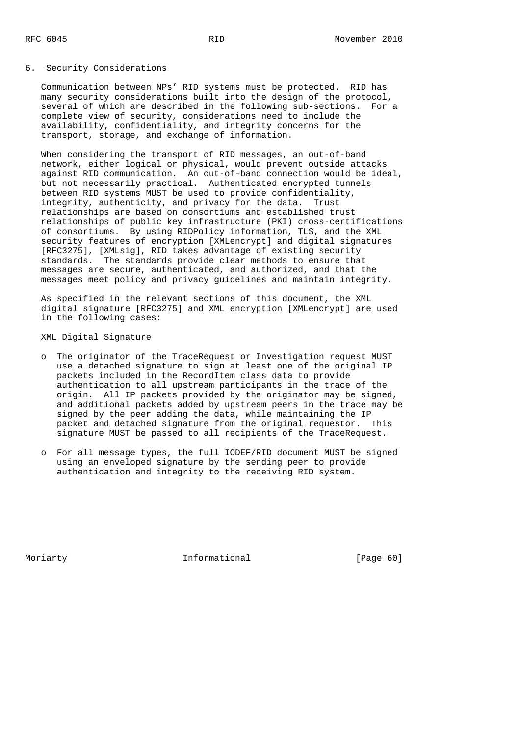## 6. Security Considerations

 Communication between NPs' RID systems must be protected. RID has many security considerations built into the design of the protocol, several of which are described in the following sub-sections. For a complete view of security, considerations need to include the availability, confidentiality, and integrity concerns for the transport, storage, and exchange of information.

When considering the transport of RID messages, an out-of-band network, either logical or physical, would prevent outside attacks against RID communication. An out-of-band connection would be ideal, but not necessarily practical. Authenticated encrypted tunnels between RID systems MUST be used to provide confidentiality, integrity, authenticity, and privacy for the data. Trust relationships are based on consortiums and established trust relationships of public key infrastructure (PKI) cross-certifications of consortiums. By using RIDPolicy information, TLS, and the XML security features of encryption [XMLencrypt] and digital signatures [RFC3275], [XMLsig], RID takes advantage of existing security standards. The standards provide clear methods to ensure that messages are secure, authenticated, and authorized, and that the messages meet policy and privacy guidelines and maintain integrity.

 As specified in the relevant sections of this document, the XML digital signature [RFC3275] and XML encryption [XMLencrypt] are used in the following cases:

### XML Digital Signature

- o The originator of the TraceRequest or Investigation request MUST use a detached signature to sign at least one of the original IP packets included in the RecordItem class data to provide authentication to all upstream participants in the trace of the origin. All IP packets provided by the originator may be signed, and additional packets added by upstream peers in the trace may be signed by the peer adding the data, while maintaining the IP packet and detached signature from the original requestor. This signature MUST be passed to all recipients of the TraceRequest.
- o For all message types, the full IODEF/RID document MUST be signed using an enveloped signature by the sending peer to provide authentication and integrity to the receiving RID system.

Moriarty **Informational** [Page 60]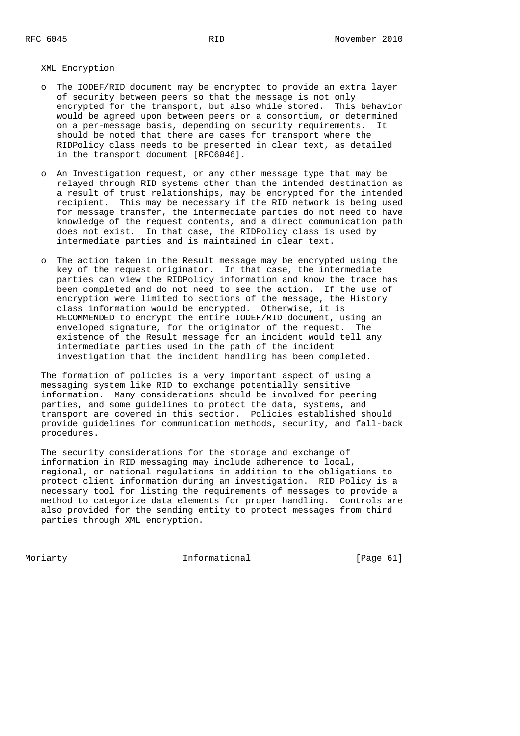XML Encryption

- o The IODEF/RID document may be encrypted to provide an extra layer of security between peers so that the message is not only encrypted for the transport, but also while stored. This behavior would be agreed upon between peers or a consortium, or determined on a per-message basis, depending on security requirements. It should be noted that there are cases for transport where the RIDPolicy class needs to be presented in clear text, as detailed in the transport document [RFC6046].
- o An Investigation request, or any other message type that may be relayed through RID systems other than the intended destination as a result of trust relationships, may be encrypted for the intended recipient. This may be necessary if the RID network is being used for message transfer, the intermediate parties do not need to have knowledge of the request contents, and a direct communication path does not exist. In that case, the RIDPolicy class is used by intermediate parties and is maintained in clear text.
- o The action taken in the Result message may be encrypted using the key of the request originator. In that case, the intermediate parties can view the RIDPolicy information and know the trace has been completed and do not need to see the action. If the use of encryption were limited to sections of the message, the History class information would be encrypted. Otherwise, it is RECOMMENDED to encrypt the entire IODEF/RID document, using an enveloped signature, for the originator of the request. The existence of the Result message for an incident would tell any intermediate parties used in the path of the incident investigation that the incident handling has been completed.

 The formation of policies is a very important aspect of using a messaging system like RID to exchange potentially sensitive information. Many considerations should be involved for peering parties, and some guidelines to protect the data, systems, and transport are covered in this section. Policies established should provide guidelines for communication methods, security, and fall-back procedures.

 The security considerations for the storage and exchange of information in RID messaging may include adherence to local, regional, or national regulations in addition to the obligations to protect client information during an investigation. RID Policy is a necessary tool for listing the requirements of messages to provide a method to categorize data elements for proper handling. Controls are also provided for the sending entity to protect messages from third parties through XML encryption.

Moriarty **Informational** [Page 61]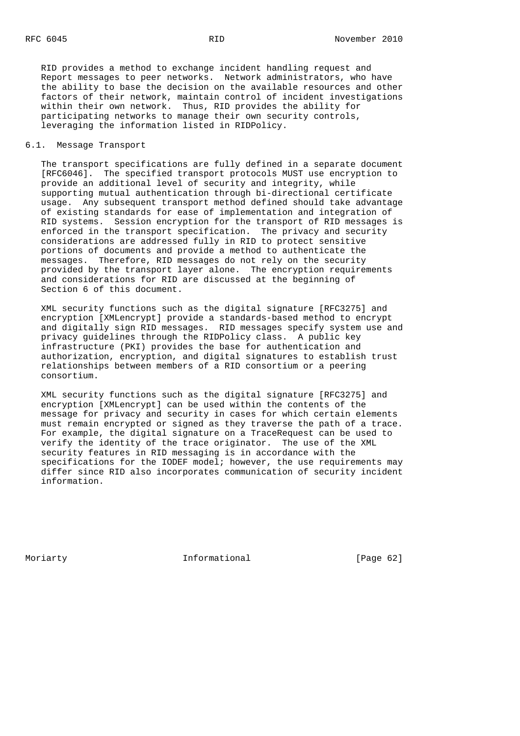RID provides a method to exchange incident handling request and Report messages to peer networks. Network administrators, who have the ability to base the decision on the available resources and other factors of their network, maintain control of incident investigations within their own network. Thus, RID provides the ability for participating networks to manage their own security controls, leveraging the information listed in RIDPolicy.

# 6.1. Message Transport

 The transport specifications are fully defined in a separate document [RFC6046]. The specified transport protocols MUST use encryption to provide an additional level of security and integrity, while supporting mutual authentication through bi-directional certificate usage. Any subsequent transport method defined should take advantage of existing standards for ease of implementation and integration of RID systems. Session encryption for the transport of RID messages is enforced in the transport specification. The privacy and security considerations are addressed fully in RID to protect sensitive portions of documents and provide a method to authenticate the messages. Therefore, RID messages do not rely on the security provided by the transport layer alone. The encryption requirements and considerations for RID are discussed at the beginning of Section 6 of this document.

 XML security functions such as the digital signature [RFC3275] and encryption [XMLencrypt] provide a standards-based method to encrypt and digitally sign RID messages. RID messages specify system use and privacy guidelines through the RIDPolicy class. A public key infrastructure (PKI) provides the base for authentication and authorization, encryption, and digital signatures to establish trust relationships between members of a RID consortium or a peering consortium.

 XML security functions such as the digital signature [RFC3275] and encryption [XMLencrypt] can be used within the contents of the message for privacy and security in cases for which certain elements must remain encrypted or signed as they traverse the path of a trace. For example, the digital signature on a TraceRequest can be used to verify the identity of the trace originator. The use of the XML security features in RID messaging is in accordance with the specifications for the IODEF model; however, the use requirements may differ since RID also incorporates communication of security incident information.

Moriarty **Informational** [Page 62]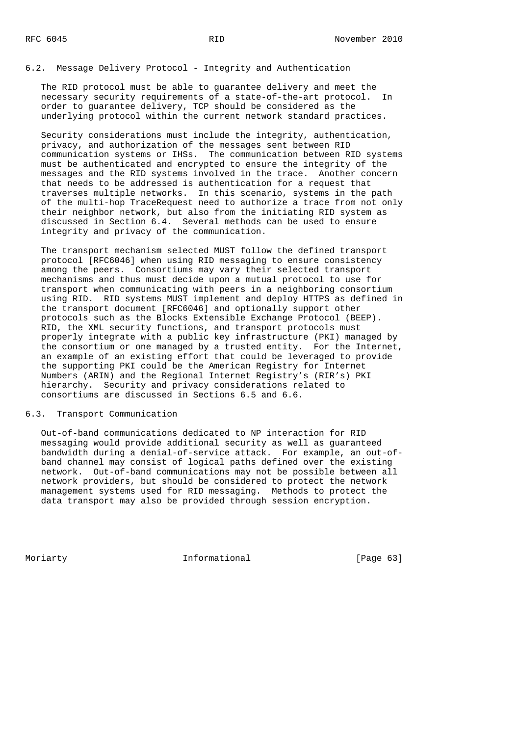# 6.2. Message Delivery Protocol - Integrity and Authentication

 The RID protocol must be able to guarantee delivery and meet the necessary security requirements of a state-of-the-art protocol. In order to guarantee delivery, TCP should be considered as the underlying protocol within the current network standard practices.

 Security considerations must include the integrity, authentication, privacy, and authorization of the messages sent between RID communication systems or IHSs. The communication between RID systems must be authenticated and encrypted to ensure the integrity of the messages and the RID systems involved in the trace. Another concern that needs to be addressed is authentication for a request that traverses multiple networks. In this scenario, systems in the path of the multi-hop TraceRequest need to authorize a trace from not only their neighbor network, but also from the initiating RID system as discussed in Section 6.4. Several methods can be used to ensure integrity and privacy of the communication.

 The transport mechanism selected MUST follow the defined transport protocol [RFC6046] when using RID messaging to ensure consistency among the peers. Consortiums may vary their selected transport mechanisms and thus must decide upon a mutual protocol to use for transport when communicating with peers in a neighboring consortium using RID. RID systems MUST implement and deploy HTTPS as defined in the transport document [RFC6046] and optionally support other protocols such as the Blocks Extensible Exchange Protocol (BEEP). RID, the XML security functions, and transport protocols must properly integrate with a public key infrastructure (PKI) managed by the consortium or one managed by a trusted entity. For the Internet, an example of an existing effort that could be leveraged to provide the supporting PKI could be the American Registry for Internet Numbers (ARIN) and the Regional Internet Registry's (RIR's) PKI hierarchy. Security and privacy considerations related to consortiums are discussed in Sections 6.5 and 6.6.

### 6.3. Transport Communication

 Out-of-band communications dedicated to NP interaction for RID messaging would provide additional security as well as guaranteed bandwidth during a denial-of-service attack. For example, an out-of band channel may consist of logical paths defined over the existing network. Out-of-band communications may not be possible between all network providers, but should be considered to protect the network management systems used for RID messaging. Methods to protect the data transport may also be provided through session encryption.

Moriarty **Informational** [Page 63]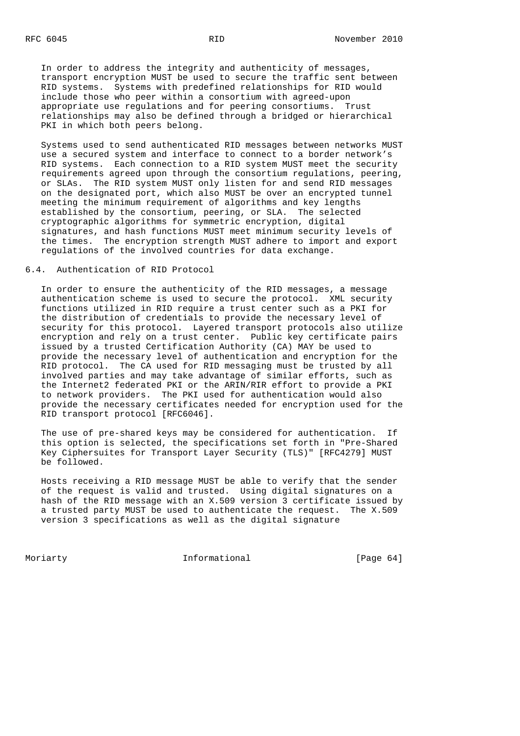In order to address the integrity and authenticity of messages, transport encryption MUST be used to secure the traffic sent between RID systems. Systems with predefined relationships for RID would include those who peer within a consortium with agreed-upon appropriate use regulations and for peering consortiums. Trust relationships may also be defined through a bridged or hierarchical PKI in which both peers belong.

 Systems used to send authenticated RID messages between networks MUST use a secured system and interface to connect to a border network's RID systems. Each connection to a RID system MUST meet the security requirements agreed upon through the consortium regulations, peering, or SLAs. The RID system MUST only listen for and send RID messages on the designated port, which also MUST be over an encrypted tunnel meeting the minimum requirement of algorithms and key lengths established by the consortium, peering, or SLA. The selected cryptographic algorithms for symmetric encryption, digital signatures, and hash functions MUST meet minimum security levels of the times. The encryption strength MUST adhere to import and export regulations of the involved countries for data exchange.

## 6.4. Authentication of RID Protocol

 In order to ensure the authenticity of the RID messages, a message authentication scheme is used to secure the protocol. XML security functions utilized in RID require a trust center such as a PKI for the distribution of credentials to provide the necessary level of security for this protocol. Layered transport protocols also utilize encryption and rely on a trust center. Public key certificate pairs issued by a trusted Certification Authority (CA) MAY be used to provide the necessary level of authentication and encryption for the RID protocol. The CA used for RID messaging must be trusted by all involved parties and may take advantage of similar efforts, such as the Internet2 federated PKI or the ARIN/RIR effort to provide a PKI to network providers. The PKI used for authentication would also provide the necessary certificates needed for encryption used for the RID transport protocol [RFC6046].

 The use of pre-shared keys may be considered for authentication. If this option is selected, the specifications set forth in "Pre-Shared Key Ciphersuites for Transport Layer Security (TLS)" [RFC4279] MUST be followed.

 Hosts receiving a RID message MUST be able to verify that the sender of the request is valid and trusted. Using digital signatures on a hash of the RID message with an X.509 version 3 certificate issued by a trusted party MUST be used to authenticate the request. The X.509 version 3 specifications as well as the digital signature

Moriarty **Informational** [Page 64]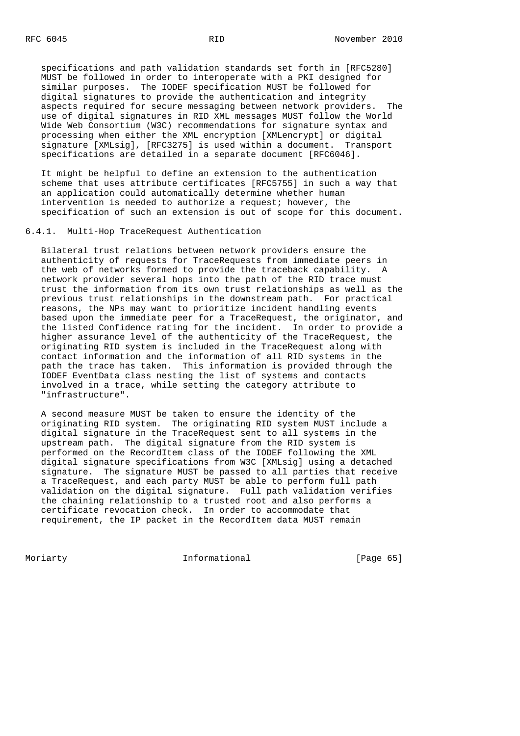specifications and path validation standards set forth in [RFC5280] MUST be followed in order to interoperate with a PKI designed for similar purposes. The IODEF specification MUST be followed for digital signatures to provide the authentication and integrity aspects required for secure messaging between network providers. The use of digital signatures in RID XML messages MUST follow the World Wide Web Consortium (W3C) recommendations for signature syntax and processing when either the XML encryption [XMLencrypt] or digital signature [XMLsig], [RFC3275] is used within a document. Transport specifications are detailed in a separate document [RFC6046].

 It might be helpful to define an extension to the authentication scheme that uses attribute certificates [RFC5755] in such a way that an application could automatically determine whether human intervention is needed to authorize a request; however, the specification of such an extension is out of scope for this document.

6.4.1. Multi-Hop TraceRequest Authentication

 Bilateral trust relations between network providers ensure the authenticity of requests for TraceRequests from immediate peers in the web of networks formed to provide the traceback capability. A network provider several hops into the path of the RID trace must trust the information from its own trust relationships as well as the previous trust relationships in the downstream path. For practical reasons, the NPs may want to prioritize incident handling events based upon the immediate peer for a TraceRequest, the originator, and the listed Confidence rating for the incident. In order to provide a higher assurance level of the authenticity of the TraceRequest, the originating RID system is included in the TraceRequest along with contact information and the information of all RID systems in the path the trace has taken. This information is provided through the IODEF EventData class nesting the list of systems and contacts involved in a trace, while setting the category attribute to "infrastructure".

 A second measure MUST be taken to ensure the identity of the originating RID system. The originating RID system MUST include a digital signature in the TraceRequest sent to all systems in the upstream path. The digital signature from the RID system is performed on the RecordItem class of the IODEF following the XML digital signature specifications from W3C [XMLsig] using a detached signature. The signature MUST be passed to all parties that receive a TraceRequest, and each party MUST be able to perform full path validation on the digital signature. Full path validation verifies the chaining relationship to a trusted root and also performs a certificate revocation check. In order to accommodate that requirement, the IP packet in the RecordItem data MUST remain

Moriarty **Informational** [Page 65]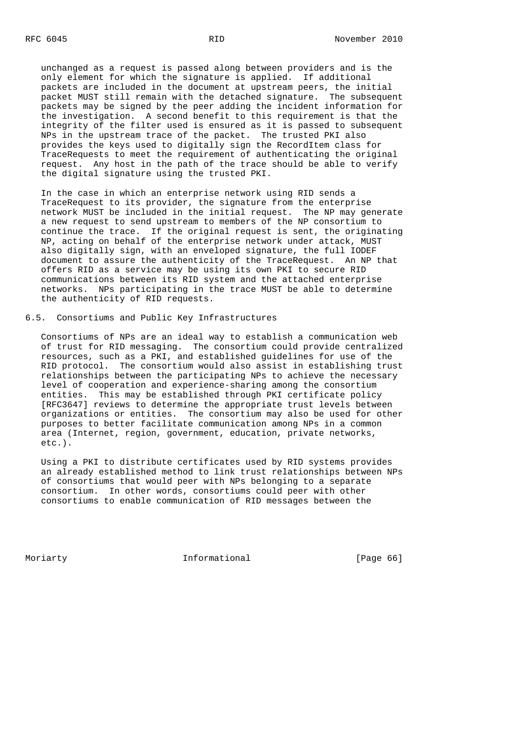unchanged as a request is passed along between providers and is the only element for which the signature is applied. If additional packets are included in the document at upstream peers, the initial packet MUST still remain with the detached signature. The subsequent packets may be signed by the peer adding the incident information for the investigation. A second benefit to this requirement is that the integrity of the filter used is ensured as it is passed to subsequent NPs in the upstream trace of the packet. The trusted PKI also provides the keys used to digitally sign the RecordItem class for TraceRequests to meet the requirement of authenticating the original request. Any host in the path of the trace should be able to verify the digital signature using the trusted PKI.

 In the case in which an enterprise network using RID sends a TraceRequest to its provider, the signature from the enterprise network MUST be included in the initial request. The NP may generate a new request to send upstream to members of the NP consortium to continue the trace. If the original request is sent, the originating NP, acting on behalf of the enterprise network under attack, MUST also digitally sign, with an enveloped signature, the full IODEF document to assure the authenticity of the TraceRequest. An NP that offers RID as a service may be using its own PKI to secure RID communications between its RID system and the attached enterprise networks. NPs participating in the trace MUST be able to determine the authenticity of RID requests.

# 6.5. Consortiums and Public Key Infrastructures

 Consortiums of NPs are an ideal way to establish a communication web of trust for RID messaging. The consortium could provide centralized resources, such as a PKI, and established guidelines for use of the RID protocol. The consortium would also assist in establishing trust relationships between the participating NPs to achieve the necessary level of cooperation and experience-sharing among the consortium entities. This may be established through PKI certificate policy [RFC3647] reviews to determine the appropriate trust levels between organizations or entities. The consortium may also be used for other purposes to better facilitate communication among NPs in a common area (Internet, region, government, education, private networks, etc.).

 Using a PKI to distribute certificates used by RID systems provides an already established method to link trust relationships between NPs of consortiums that would peer with NPs belonging to a separate consortium. In other words, consortiums could peer with other consortiums to enable communication of RID messages between the

Moriarty **Informational** [Page 66]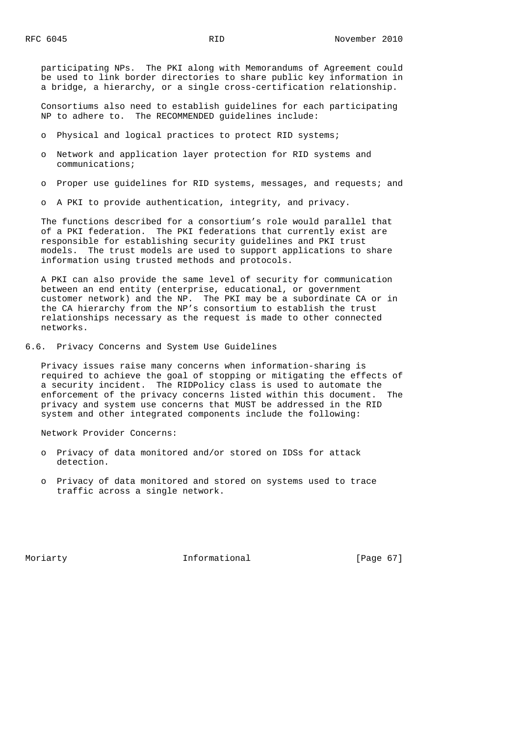participating NPs. The PKI along with Memorandums of Agreement could be used to link border directories to share public key information in a bridge, a hierarchy, or a single cross-certification relationship.

 Consortiums also need to establish guidelines for each participating NP to adhere to. The RECOMMENDED guidelines include:

- o Physical and logical practices to protect RID systems;
- o Network and application layer protection for RID systems and communications;
- o Proper use guidelines for RID systems, messages, and requests; and
- o A PKI to provide authentication, integrity, and privacy.

 The functions described for a consortium's role would parallel that of a PKI federation. The PKI federations that currently exist are responsible for establishing security guidelines and PKI trust models. The trust models are used to support applications to share information using trusted methods and protocols.

 A PKI can also provide the same level of security for communication between an end entity (enterprise, educational, or government customer network) and the NP. The PKI may be a subordinate CA or in the CA hierarchy from the NP's consortium to establish the trust relationships necessary as the request is made to other connected networks.

6.6. Privacy Concerns and System Use Guidelines

 Privacy issues raise many concerns when information-sharing is required to achieve the goal of stopping or mitigating the effects of a security incident. The RIDPolicy class is used to automate the enforcement of the privacy concerns listed within this document. The privacy and system use concerns that MUST be addressed in the RID system and other integrated components include the following:

Network Provider Concerns:

- o Privacy of data monitored and/or stored on IDSs for attack detection.
- o Privacy of data monitored and stored on systems used to trace traffic across a single network.

Moriarty **Informational** [Page 67]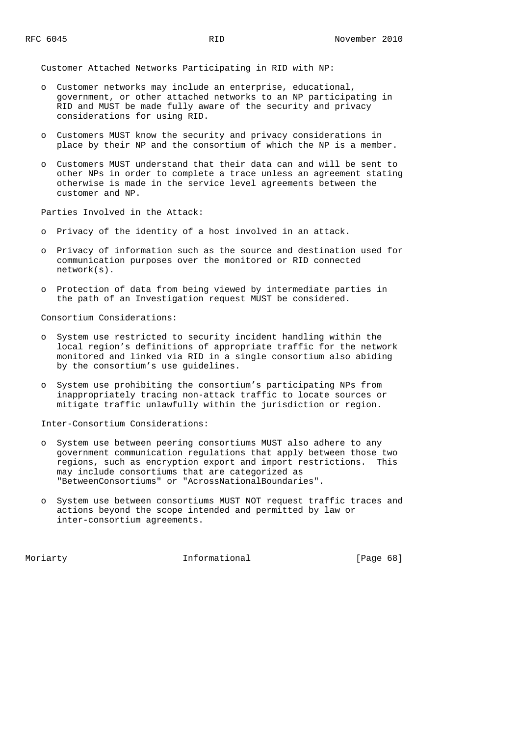Customer Attached Networks Participating in RID with NP:

- o Customer networks may include an enterprise, educational, government, or other attached networks to an NP participating in RID and MUST be made fully aware of the security and privacy considerations for using RID.
- o Customers MUST know the security and privacy considerations in place by their NP and the consortium of which the NP is a member.
- o Customers MUST understand that their data can and will be sent to other NPs in order to complete a trace unless an agreement stating otherwise is made in the service level agreements between the customer and NP.

Parties Involved in the Attack:

- o Privacy of the identity of a host involved in an attack.
- o Privacy of information such as the source and destination used for communication purposes over the monitored or RID connected network(s).
- o Protection of data from being viewed by intermediate parties in the path of an Investigation request MUST be considered.

Consortium Considerations:

- o System use restricted to security incident handling within the local region's definitions of appropriate traffic for the network monitored and linked via RID in a single consortium also abiding by the consortium's use guidelines.
- o System use prohibiting the consortium's participating NPs from inappropriately tracing non-attack traffic to locate sources or mitigate traffic unlawfully within the jurisdiction or region.

Inter-Consortium Considerations:

- o System use between peering consortiums MUST also adhere to any government communication regulations that apply between those two regions, such as encryption export and import restrictions. This may include consortiums that are categorized as "BetweenConsortiums" or "AcrossNationalBoundaries".
- o System use between consortiums MUST NOT request traffic traces and actions beyond the scope intended and permitted by law or inter-consortium agreements.

Moriarty **Informational** [Page 68]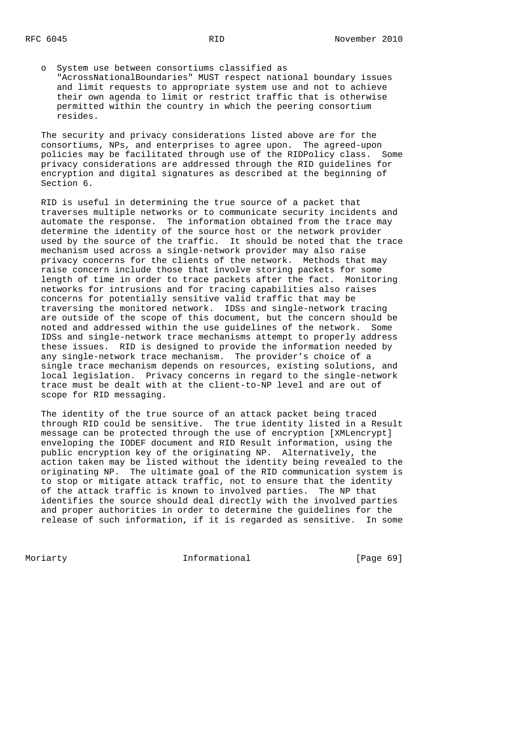o System use between consortiums classified as "AcrossNationalBoundaries" MUST respect national boundary issues and limit requests to appropriate system use and not to achieve their own agenda to limit or restrict traffic that is otherwise permitted within the country in which the peering consortium resides.

 The security and privacy considerations listed above are for the consortiums, NPs, and enterprises to agree upon. The agreed-upon policies may be facilitated through use of the RIDPolicy class. Some privacy considerations are addressed through the RID guidelines for encryption and digital signatures as described at the beginning of Section 6.

 RID is useful in determining the true source of a packet that traverses multiple networks or to communicate security incidents and automate the response. The information obtained from the trace may determine the identity of the source host or the network provider used by the source of the traffic. It should be noted that the trace mechanism used across a single-network provider may also raise privacy concerns for the clients of the network. Methods that may raise concern include those that involve storing packets for some length of time in order to trace packets after the fact. Monitoring networks for intrusions and for tracing capabilities also raises concerns for potentially sensitive valid traffic that may be traversing the monitored network. IDSs and single-network tracing are outside of the scope of this document, but the concern should be noted and addressed within the use guidelines of the network. Some IDSs and single-network trace mechanisms attempt to properly address these issues. RID is designed to provide the information needed by any single-network trace mechanism. The provider's choice of a single trace mechanism depends on resources, existing solutions, and local legislation. Privacy concerns in regard to the single-network trace must be dealt with at the client-to-NP level and are out of scope for RID messaging.

 The identity of the true source of an attack packet being traced through RID could be sensitive. The true identity listed in a Result message can be protected through the use of encryption [XMLencrypt] enveloping the IODEF document and RID Result information, using the public encryption key of the originating NP. Alternatively, the action taken may be listed without the identity being revealed to the originating NP. The ultimate goal of the RID communication system is to stop or mitigate attack traffic, not to ensure that the identity of the attack traffic is known to involved parties. The NP that identifies the source should deal directly with the involved parties and proper authorities in order to determine the guidelines for the release of such information, if it is regarded as sensitive. In some

Moriarty **Informational** [Page 69]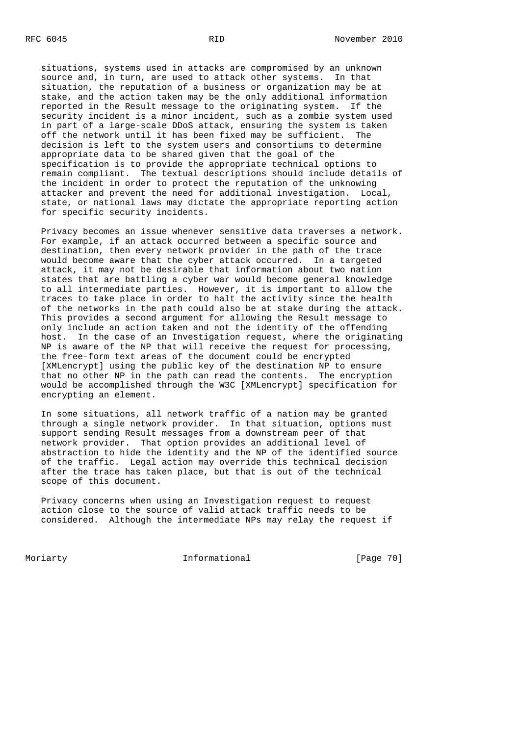situations, systems used in attacks are compromised by an unknown source and, in turn, are used to attack other systems. In that situation, the reputation of a business or organization may be at stake, and the action taken may be the only additional information reported in the Result message to the originating system. If the security incident is a minor incident, such as a zombie system used in part of a large-scale DDoS attack, ensuring the system is taken off the network until it has been fixed may be sufficient. The decision is left to the system users and consortiums to determine appropriate data to be shared given that the goal of the specification is to provide the appropriate technical options to remain compliant. The textual descriptions should include details of the incident in order to protect the reputation of the unknowing attacker and prevent the need for additional investigation. Local, state, or national laws may dictate the appropriate reporting action for specific security incidents.

 Privacy becomes an issue whenever sensitive data traverses a network. For example, if an attack occurred between a specific source and destination, then every network provider in the path of the trace would become aware that the cyber attack occurred. In a targeted attack, it may not be desirable that information about two nation states that are battling a cyber war would become general knowledge to all intermediate parties. However, it is important to allow the traces to take place in order to halt the activity since the health of the networks in the path could also be at stake during the attack. This provides a second argument for allowing the Result message to only include an action taken and not the identity of the offending host. In the case of an Investigation request, where the originating NP is aware of the NP that will receive the request for processing, the free-form text areas of the document could be encrypted [XMLencrypt] using the public key of the destination NP to ensure that no other NP in the path can read the contents. The encryption would be accomplished through the W3C [XMLencrypt] specification for encrypting an element.

 In some situations, all network traffic of a nation may be granted through a single network provider. In that situation, options must support sending Result messages from a downstream peer of that network provider. That option provides an additional level of abstraction to hide the identity and the NP of the identified source of the traffic. Legal action may override this technical decision after the trace has taken place, but that is out of the technical scope of this document.

 Privacy concerns when using an Investigation request to request action close to the source of valid attack traffic needs to be considered. Although the intermediate NPs may relay the request if

Moriarty **Informational** [Page 70]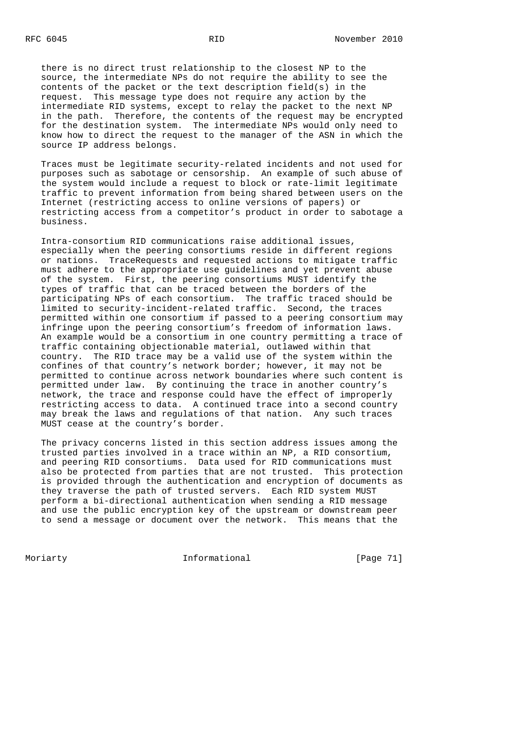there is no direct trust relationship to the closest NP to the source, the intermediate NPs do not require the ability to see the contents of the packet or the text description field(s) in the request. This message type does not require any action by the intermediate RID systems, except to relay the packet to the next NP in the path. Therefore, the contents of the request may be encrypted for the destination system. The intermediate NPs would only need to know how to direct the request to the manager of the ASN in which the source IP address belongs.

 Traces must be legitimate security-related incidents and not used for purposes such as sabotage or censorship. An example of such abuse of the system would include a request to block or rate-limit legitimate traffic to prevent information from being shared between users on the Internet (restricting access to online versions of papers) or restricting access from a competitor's product in order to sabotage a business.

 Intra-consortium RID communications raise additional issues, especially when the peering consortiums reside in different regions or nations. TraceRequests and requested actions to mitigate traffic must adhere to the appropriate use guidelines and yet prevent abuse of the system. First, the peering consortiums MUST identify the types of traffic that can be traced between the borders of the participating NPs of each consortium. The traffic traced should be limited to security-incident-related traffic. Second, the traces permitted within one consortium if passed to a peering consortium may infringe upon the peering consortium's freedom of information laws. An example would be a consortium in one country permitting a trace of traffic containing objectionable material, outlawed within that country. The RID trace may be a valid use of the system within the confines of that country's network border; however, it may not be permitted to continue across network boundaries where such content is permitted under law. By continuing the trace in another country's network, the trace and response could have the effect of improperly restricting access to data. A continued trace into a second country may break the laws and regulations of that nation. Any such traces MUST cease at the country's border.

 The privacy concerns listed in this section address issues among the trusted parties involved in a trace within an NP, a RID consortium, and peering RID consortiums. Data used for RID communications must also be protected from parties that are not trusted. This protection is provided through the authentication and encryption of documents as they traverse the path of trusted servers. Each RID system MUST perform a bi-directional authentication when sending a RID message and use the public encryption key of the upstream or downstream peer to send a message or document over the network. This means that the

Moriarty **Informational** [Page 71]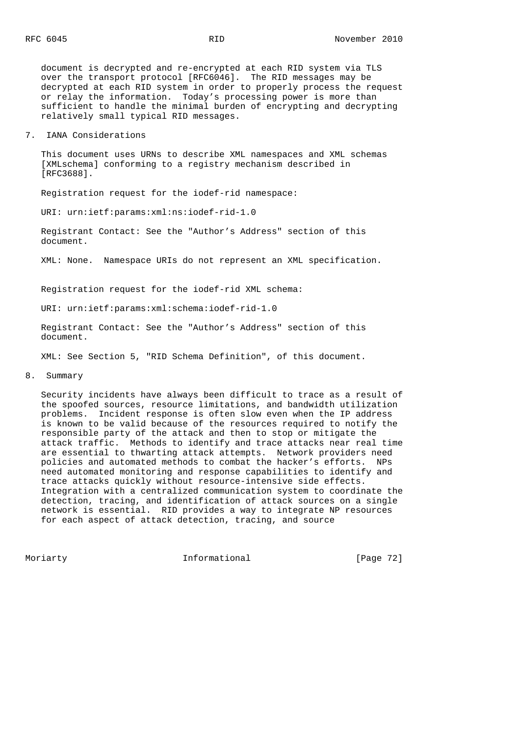document is decrypted and re-encrypted at each RID system via TLS over the transport protocol [RFC6046]. The RID messages may be decrypted at each RID system in order to properly process the request or relay the information. Today's processing power is more than sufficient to handle the minimal burden of encrypting and decrypting relatively small typical RID messages.

## 7. IANA Considerations

 This document uses URNs to describe XML namespaces and XML schemas [XMLschema] conforming to a registry mechanism described in [RFC3688].

Registration request for the iodef-rid namespace:

URI: urn:ietf:params:xml:ns:iodef-rid-1.0

 Registrant Contact: See the "Author's Address" section of this document.

XML: None. Namespace URIs do not represent an XML specification.

Registration request for the iodef-rid XML schema:

URI: urn:ietf:params:xml:schema:iodef-rid-1.0

 Registrant Contact: See the "Author's Address" section of this document.

XML: See Section 5, "RID Schema Definition", of this document.

### 8. Summary

 Security incidents have always been difficult to trace as a result of the spoofed sources, resource limitations, and bandwidth utilization problems. Incident response is often slow even when the IP address is known to be valid because of the resources required to notify the responsible party of the attack and then to stop or mitigate the attack traffic. Methods to identify and trace attacks near real time are essential to thwarting attack attempts. Network providers need policies and automated methods to combat the hacker's efforts. NPs need automated monitoring and response capabilities to identify and trace attacks quickly without resource-intensive side effects. Integration with a centralized communication system to coordinate the detection, tracing, and identification of attack sources on a single network is essential. RID provides a way to integrate NP resources for each aspect of attack detection, tracing, and source

Moriarty **Informational** [Page 72]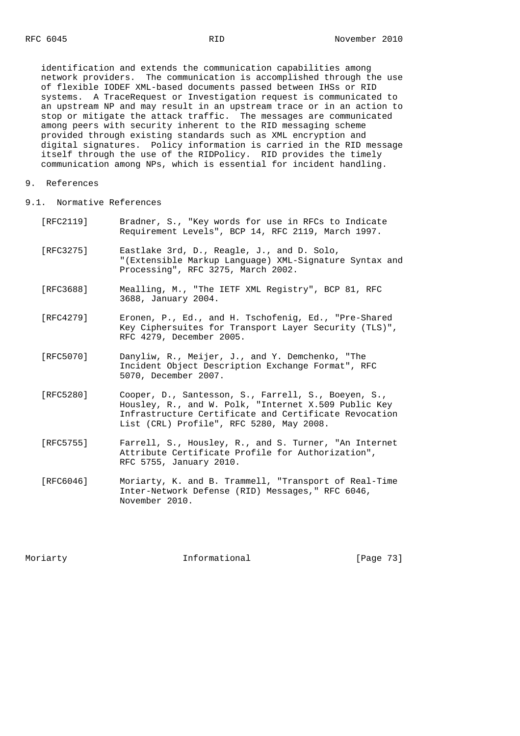identification and extends the communication capabilities among network providers. The communication is accomplished through the use of flexible IODEF XML-based documents passed between IHSs or RID systems. A TraceRequest or Investigation request is communicated to an upstream NP and may result in an upstream trace or in an action to stop or mitigate the attack traffic. The messages are communicated among peers with security inherent to the RID messaging scheme provided through existing standards such as XML encryption and digital signatures. Policy information is carried in the RID message itself through the use of the RIDPolicy. RID provides the timely communication among NPs, which is essential for incident handling.

## 9. References

9.1. Normative References

| [RFC2119] | Bradner, S., "Key words for use in RFCs to Indicate |  |  |  |  |  |
|-----------|-----------------------------------------------------|--|--|--|--|--|
|           | Requirement Levels", BCP 14, RFC 2119, March 1997.  |  |  |  |  |  |

- [RFC3275] Eastlake 3rd, D., Reagle, J., and D. Solo, "(Extensible Markup Language) XML-Signature Syntax and Processing", RFC 3275, March 2002.
- [RFC3688] Mealling, M., "The IETF XML Registry", BCP 81, RFC 3688, January 2004.
- [RFC4279] Eronen, P., Ed., and H. Tschofenig, Ed., "Pre-Shared Key Ciphersuites for Transport Layer Security (TLS)", RFC 4279, December 2005.
- [RFC5070] Danyliw, R., Meijer, J., and Y. Demchenko, "The Incident Object Description Exchange Format", RFC 5070, December 2007.
- [RFC5280] Cooper, D., Santesson, S., Farrell, S., Boeyen, S., Housley, R., and W. Polk, "Internet X.509 Public Key Infrastructure Certificate and Certificate Revocation List (CRL) Profile", RFC 5280, May 2008.
- [RFC5755] Farrell, S., Housley, R., and S. Turner, "An Internet Attribute Certificate Profile for Authorization", RFC 5755, January 2010.
- [RFC6046] Moriarty, K. and B. Trammell, "Transport of Real-Time Inter-Network Defense (RID) Messages," RFC 6046, November 2010.

Moriarty **Informational** [Page 73]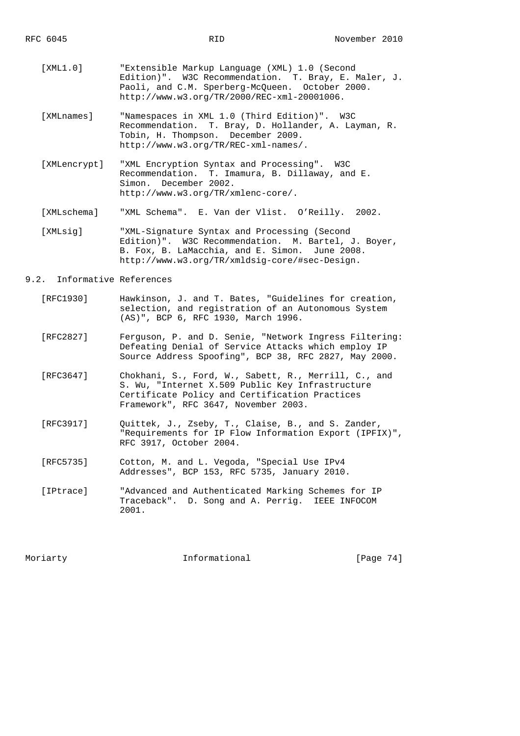- [XML1.0] "Extensible Markup Language (XML) 1.0 (Second Edition)". W3C Recommendation. T. Bray, E. Maler, J. Paoli, and C.M. Sperberg-McQueen. October 2000. http://www.w3.org/TR/2000/REC-xml-20001006.
- [XMLnames] "Namespaces in XML 1.0 (Third Edition)". W3C Recommendation. T. Bray, D. Hollander, A. Layman, R. Tobin, H. Thompson. December 2009. http://www.w3.org/TR/REC-xml-names/.
- [XMLencrypt] "XML Encryption Syntax and Processing". W3C Recommendation. T. Imamura, B. Dillaway, and E. Simon. December 2002. http://www.w3.org/TR/xmlenc-core/.

[XMLschema] "XML Schema". E. Van der Vlist. O'Reilly. 2002.

 [XMLsig] "XML-Signature Syntax and Processing (Second Edition)". W3C Recommendation. M. Bartel, J. Boyer, B. Fox, B. LaMacchia, and E. Simon. June 2008. http://www.w3.org/TR/xmldsig-core/#sec-Design.

## 9.2. Informative References

- [RFC1930] Hawkinson, J. and T. Bates, "Guidelines for creation, selection, and registration of an Autonomous System (AS)", BCP 6, RFC 1930, March 1996.
- [RFC2827] Ferguson, P. and D. Senie, "Network Ingress Filtering: Defeating Denial of Service Attacks which employ IP Source Address Spoofing", BCP 38, RFC 2827, May 2000.
- [RFC3647] Chokhani, S., Ford, W., Sabett, R., Merrill, C., and S. Wu, "Internet X.509 Public Key Infrastructure Certificate Policy and Certification Practices Framework", RFC 3647, November 2003.
- [RFC3917] Quittek, J., Zseby, T., Claise, B., and S. Zander, "Requirements for IP Flow Information Export (IPFIX)", RFC 3917, October 2004.
- [RFC5735] Cotton, M. and L. Vegoda, "Special Use IPv4 Addresses", BCP 153, RFC 5735, January 2010.
- [IPtrace] "Advanced and Authenticated Marking Schemes for IP Traceback". D. Song and A. Perrig. IEEE INFOCOM 2001.

Moriarty **Informational** [Page 74]